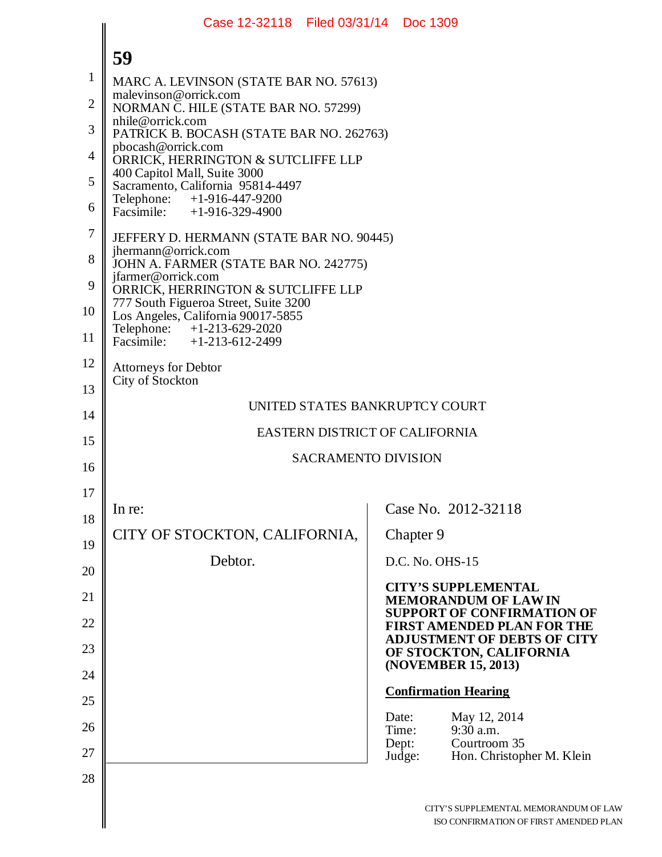|                | Case 12-32118 Filed 03/31/14 Doc 1309                                                             |                                                                               |
|----------------|---------------------------------------------------------------------------------------------------|-------------------------------------------------------------------------------|
|                | 59                                                                                                |                                                                               |
| $\mathbf 1$    | MARC A. LEVINSON (STATE BAR NO. 57613)                                                            |                                                                               |
| $\overline{2}$ | malevinson@orrick.com<br>NORMAN C. HILE (STATE BAR NO. 57299)                                     |                                                                               |
| 3              | nhile@orrick.com<br>PATRICK B. BOCASH (STATE BAR NO. 262763)                                      |                                                                               |
| $\overline{4}$ | pbocash@orrick.com<br>ORRICK, HERRINGTON & SUTCLIFFE LLP                                          |                                                                               |
| 5              | 400 Capitol Mall, Suite 3000<br>Sacramento, California 95814-4497                                 |                                                                               |
| 6              | Telephone: +1-916-447-9200<br>Facsimile: +1-916-329-4900                                          |                                                                               |
| 7              | JEFFERY D. HERMANN (STATE BAR NO. 90445)                                                          |                                                                               |
| 8              | jhermann@orrick.com<br>JOHN A. FARMER (STATE BAR NO. 242775)                                      |                                                                               |
| 9              | jfarmer@orrick.com<br>ORRICK, HERRINGTON & SUTCLIFFE LLP<br>777 South Figueroa Street, Suite 3200 |                                                                               |
| 10             | Los Angeles, California 90017-5855                                                                |                                                                               |
| 11             | Telephone: +1-213-629-2020<br>Facsimile: +1-213-612-2499                                          |                                                                               |
| 12             | <b>Attorneys for Debtor</b><br>City of Stockton                                                   |                                                                               |
| 13             |                                                                                                   | UNITED STATES BANKRUPTCY COURT                                                |
| 14             |                                                                                                   | EASTERN DISTRICT OF CALIFORNIA                                                |
| 15             |                                                                                                   | <b>SACRAMENTO DIVISION</b>                                                    |
| 16             |                                                                                                   |                                                                               |
| 17             | In re:                                                                                            | Case No. 2012-32118                                                           |
| 18             | CITY OF STOCKTON, CALIFORNIA,                                                                     | Chapter 9                                                                     |
| 19             | Debtor.                                                                                           | D.C. No. OHS-15                                                               |
| 20             |                                                                                                   | <b>CITY'S SUPPLEMENTAL</b>                                                    |
| 21<br>22       |                                                                                                   | <b>MEMORANDUM OF LAWIN</b><br><b>SUPPORT OF CONFIRMATION OF</b>               |
| 23             |                                                                                                   | <b>FIRST AMENDED PLAN FOR THE</b><br><b>ADJUSTMENT OF DEBTS OF CITY</b>       |
| 24             |                                                                                                   | OF STOCKTON, CALIFORNIA<br>(NOVEMBER 15, 2013)                                |
| 25             |                                                                                                   | <b>Confirmation Hearing</b>                                                   |
| 26             |                                                                                                   | May 12, 2014<br>Date:<br>$9:30$ a.m.<br>Time:                                 |
| 27             |                                                                                                   | Courtroom 35<br>Dept:<br>Hon. Christopher M. Klein<br>Judge:                  |
| 28             |                                                                                                   |                                                                               |
|                |                                                                                                   | CITY'S SUPPLEMENTAL MEMORANDUM OF LA<br>ISO CONFIRMATION OF FIRST AMENDED PL. |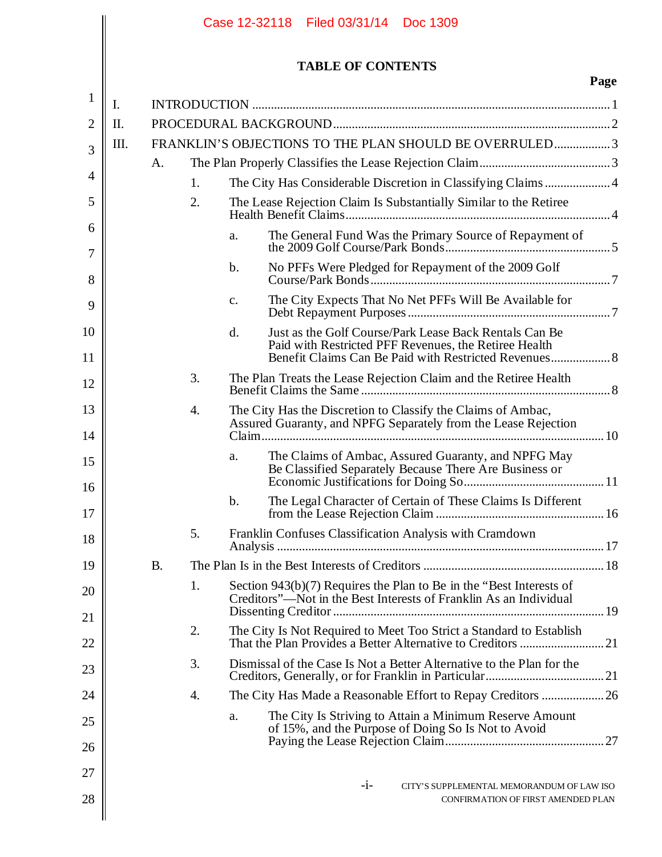|                |           |    |                | Case 12-32118 Filed 03/31/14 Doc 1309                                                                                                      |      |
|----------------|-----------|----|----------------|--------------------------------------------------------------------------------------------------------------------------------------------|------|
|                |           |    |                | <b>TABLE OF CONTENTS</b>                                                                                                                   |      |
| $\mathbf{1}$   | I.        |    |                |                                                                                                                                            | Page |
| $\overline{2}$ | П.        |    |                |                                                                                                                                            |      |
| 3              | Ш.        |    |                | FRANKLIN'S OBJECTIONS TO THE PLAN SHOULD BE OVERRULED3                                                                                     |      |
|                | A.        |    |                |                                                                                                                                            |      |
| $\overline{4}$ |           | 1. |                | The City Has Considerable Discretion in Classifying Claims4                                                                                |      |
| 5              |           | 2. |                | The Lease Rejection Claim Is Substantially Similar to the Retiree                                                                          |      |
| 6<br>7         |           |    | a.             | The General Fund Was the Primary Source of Repayment of                                                                                    |      |
| 8              |           |    | $\mathbf b$ .  | No PFFs Were Pledged for Repayment of the 2009 Golf                                                                                        |      |
| 9              |           |    | $\mathbf{c}$ . | The City Expects That No Net PFFs Will Be Available for                                                                                    |      |
| 10             |           |    | d.             | Just as the Golf Course/Park Lease Back Rentals Can Be                                                                                     |      |
| 11             |           |    |                | Paid with Restricted PFF Revenues, the Retiree Health<br>Benefit Claims Can Be Paid with Restricted Revenues 8                             |      |
| 12             |           | 3. |                | The Plan Treats the Lease Rejection Claim and the Retiree Health                                                                           |      |
| 13<br>14       |           | 4. |                | The City Has the Discretion to Classify the Claims of Ambac,<br>Assured Guaranty, and NPFG Separately from the Lease Rejection             |      |
| 15<br>16       |           |    | a.             | The Claims of Ambac, Assured Guaranty, and NPFG May<br>Be Classified Separately Because There Are Business or                              |      |
| 17             |           |    | $\mathbf b$ .  | The Legal Character of Certain of These Claims Is Different                                                                                |      |
| 18             |           | 5. |                | Franklin Confuses Classification Analysis with Cramdown                                                                                    |      |
| 19             | <b>B.</b> |    |                |                                                                                                                                            |      |
| 20             |           | 1. |                | Section $943(b)(7)$ Requires the Plan to Be in the "Best Interests of<br>Creditors"—Not in the Best Interests of Franklin As an Individual |      |
| 21             |           |    |                |                                                                                                                                            |      |
| 22             |           | 2. |                | The City Is Not Required to Meet Too Strict a Standard to Establish                                                                        |      |
| 23             |           | 3. |                | Dismissal of the Case Is Not a Better Alternative to the Plan for the                                                                      |      |
| 24             |           | 4. |                |                                                                                                                                            |      |
| 25             |           |    | a.             | The City Is Striving to Attain a Minimum Reserve Amount<br>of 15%, and the Purpose of Doing So Is Not to Avoid                             |      |
| 26             |           |    |                |                                                                                                                                            |      |
| 27             |           |    |                | $-1-$<br>CITY'S SUPPLEMENTAL MEMORANDUM OF LAW ISO                                                                                         |      |
| 28             |           |    |                | CONFIRMATION OF FIRST AMENDED PLAN                                                                                                         |      |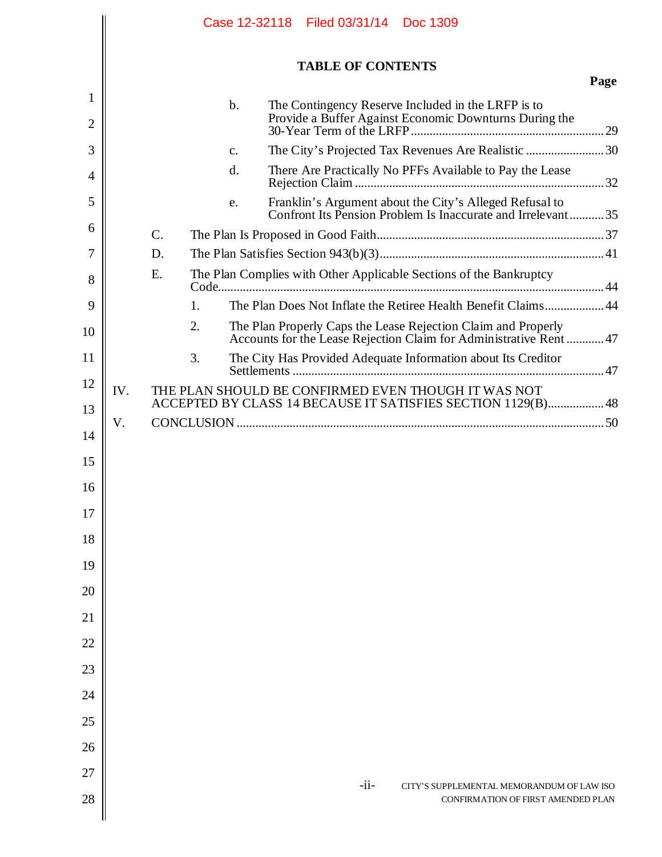|        |     |                 |    |                |  |                          | Case 12-32118 Filed 03/31/14 Doc 1309                                                                                               |                                    |      |
|--------|-----|-----------------|----|----------------|--|--------------------------|-------------------------------------------------------------------------------------------------------------------------------------|------------------------------------|------|
|        |     |                 |    |                |  | <b>TABLE OF CONTENTS</b> |                                                                                                                                     |                                    |      |
| 1<br>2 |     |                 |    | $b$ .          |  |                          | The Contingency Reserve Included in the LRFP is to                                                                                  |                                    | Page |
| 3      |     |                 |    | $\mathbf{C}$ . |  |                          | The City's Projected Tax Revenues Are Realistic  30                                                                                 |                                    |      |
| 4      |     |                 |    | d.             |  |                          | There Are Practically No PFFs Available to Pay the Lease                                                                            |                                    |      |
| 5      |     |                 |    | e.             |  |                          | Franklin's Argument about the City's Alleged Refusal to<br>Confront Its Pension Problem Is Inaccurate and Irrelevant35              |                                    |      |
| 6      |     | $\mathcal{C}$ . |    |                |  |                          |                                                                                                                                     |                                    |      |
| 7      |     | D.              |    |                |  |                          |                                                                                                                                     |                                    |      |
| 8      |     | Ε.              |    |                |  |                          | The Plan Complies with Other Applicable Sections of the Bankruptcy                                                                  |                                    |      |
| 9      |     |                 | 1. |                |  |                          | The Plan Does Not Inflate the Retiree Health Benefit Claims 44                                                                      |                                    |      |
| 10     |     |                 | 2. |                |  |                          | The Plan Properly Caps the Lease Rejection Claim and Properly<br>Accounts for the Lease Rejection Claim for Administrative Rent  47 |                                    |      |
| 11     |     |                 | 3. |                |  |                          | The City Has Provided Adequate Information about Its Creditor                                                                       |                                    |      |
| 12     | IV. |                 |    |                |  |                          | THE PLAN SHOULD BE CONFIRMED EVEN THOUGH IT WAS NOT                                                                                 |                                    |      |
| 13     |     |                 |    |                |  |                          | ACCEPTED BY CLASS 14 BECAUSE IT SATISFIES SECTION 1129(B) 48                                                                        |                                    |      |
| 14     | V.  |                 |    |                |  |                          |                                                                                                                                     |                                    |      |
| 15     |     |                 |    |                |  |                          |                                                                                                                                     |                                    |      |
| 16     |     |                 |    |                |  |                          |                                                                                                                                     |                                    |      |
| 17     |     |                 |    |                |  |                          |                                                                                                                                     |                                    |      |
| 18     |     |                 |    |                |  |                          |                                                                                                                                     |                                    |      |
| 19     |     |                 |    |                |  |                          |                                                                                                                                     |                                    |      |
| 20     |     |                 |    |                |  |                          |                                                                                                                                     |                                    |      |
| 21     |     |                 |    |                |  |                          |                                                                                                                                     |                                    |      |
| 22     |     |                 |    |                |  |                          |                                                                                                                                     |                                    |      |
| 23     |     |                 |    |                |  |                          |                                                                                                                                     |                                    |      |
| 24     |     |                 |    |                |  |                          |                                                                                                                                     |                                    |      |
| 25     |     |                 |    |                |  |                          |                                                                                                                                     |                                    |      |
| 26     |     |                 |    |                |  |                          |                                                                                                                                     |                                    |      |
| 27     |     |                 |    |                |  | $-i$ i-                  | CITY'S SUPPLEMENTAL MEMORANDUM OF LAW ISO                                                                                           |                                    |      |
| 28     |     |                 |    |                |  |                          |                                                                                                                                     | CONFIRMATION OF FIRST AMENDED PLAN |      |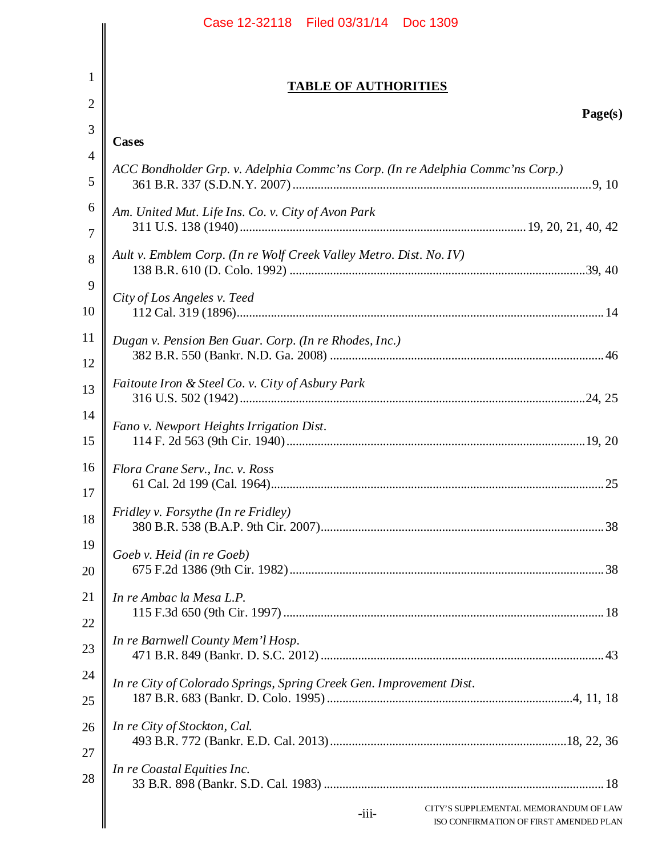|                | Case 12-32118 Filed 03/31/14 Doc 1309                                                      |
|----------------|--------------------------------------------------------------------------------------------|
|                |                                                                                            |
| 1              | <b>TABLE OF AUTHORITIES</b>                                                                |
| 2              | Page(s)                                                                                    |
| 3              | <b>Cases</b>                                                                               |
| $\overline{4}$ | ACC Bondholder Grp. v. Adelphia Commc'ns Corp. (In re Adelphia Commc'ns Corp.)             |
| 5              |                                                                                            |
| 6              | Am. United Mut. Life Ins. Co. v. City of Avon Park                                         |
| 7              |                                                                                            |
| 8              | Ault v. Emblem Corp. (In re Wolf Creek Valley Metro. Dist. No. IV)                         |
| 9              | City of Los Angeles v. Teed                                                                |
| 10             |                                                                                            |
| 11             | Dugan v. Pension Ben Guar. Corp. (In re Rhodes, Inc.)                                      |
| 12             |                                                                                            |
| 13             | Faitoute Iron & Steel Co. v. City of Asbury Park                                           |
| 14             | Fano v. Newport Heights Irrigation Dist.                                                   |
| 15             |                                                                                            |
| 16             | Flora Crane Serv., Inc. v. Ross                                                            |
| 17             |                                                                                            |
| 18             | Fridley v. Forsythe (In re Fridley)                                                        |
| 19             | Goeb v. Heid (in re Goeb)                                                                  |
| 20             |                                                                                            |
| 21             | In re Ambac la Mesa L.P.                                                                   |
| 22             |                                                                                            |
| 23             | In re Barnwell County Mem'l Hosp.                                                          |
| 24             | In re City of Colorado Springs, Spring Creek Gen. Improvement Dist.                        |
| 25             |                                                                                            |
| 26             | In re City of Stockton, Cal.                                                               |
| 27             |                                                                                            |
| 28             | In re Coastal Equities Inc.                                                                |
|                | CITY'S SUPPLEMENTAL MEMORANDUM OF LAW<br>$-iii-$<br>ISO CONFIRMATION OF FIRST AMENDED PLAN |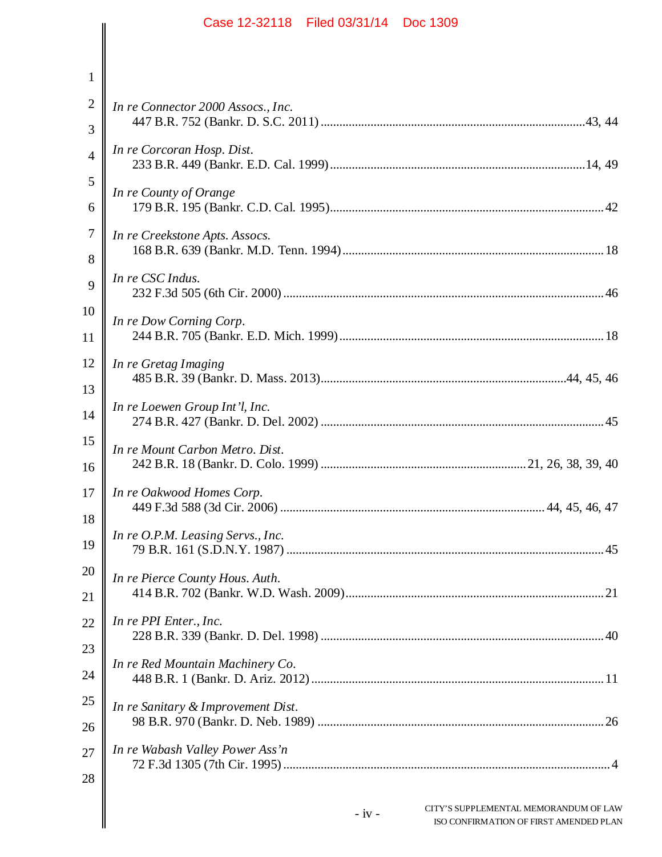|                | Case 12-32118 Filed 03/31/14 Doc 1309                                                       |
|----------------|---------------------------------------------------------------------------------------------|
|                |                                                                                             |
| $\mathbf{1}$   |                                                                                             |
| $\mathbf{2}$   | In re Connector 2000 Assocs., Inc.                                                          |
| 3              |                                                                                             |
| $\overline{4}$ | In re Corcoran Hosp. Dist.                                                                  |
| 5              | In re County of Orange                                                                      |
| 6              |                                                                                             |
| 7              | In re Creekstone Apts. Assocs.                                                              |
| 8              |                                                                                             |
| 9              | In re CSC Indus.                                                                            |
| 10             | In re Dow Corning Corp.                                                                     |
| 11             |                                                                                             |
| 12             | In re Gretag Imaging                                                                        |
| 13             |                                                                                             |
| 14             | In re Loewen Group Int'l, Inc.                                                              |
| 15             | In re Mount Carbon Metro. Dist.                                                             |
| 16             |                                                                                             |
| 17             | In re Oakwood Homes Corp.                                                                   |
| 18             | In re O.P.M. Leasing Servs., Inc.                                                           |
| 19             |                                                                                             |
| 20             | In re Pierce County Hous. Auth.                                                             |
| 21             |                                                                                             |
| 22             | In re PPI Enter., Inc.                                                                      |
| 23             | In re Red Mountain Machinery Co.                                                            |
| 24             |                                                                                             |
| 25             | In re Sanitary & Improvement Dist.                                                          |
| 26             |                                                                                             |
| 27             | In re Wabash Valley Power Ass'n                                                             |
| 28             |                                                                                             |
|                | CITY'S SUPPLEMENTAL MEMORANDUM OF LAW<br>$-iv -$<br>ISO CONFIRM ATION OF FIRST AMENDED PLAN |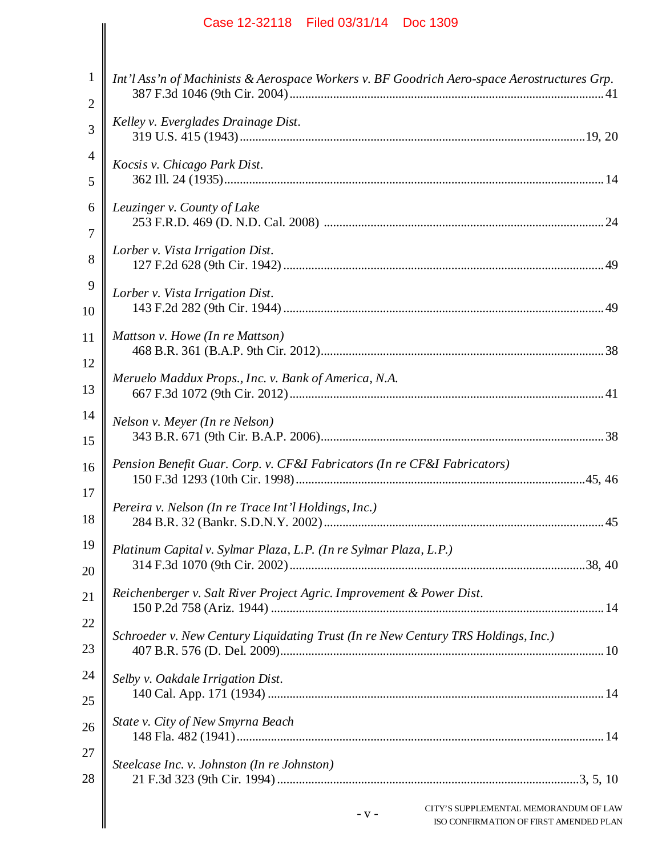| Case 12-32118   Filed 03/31/14   Doc 1309                                                   |
|---------------------------------------------------------------------------------------------|
|                                                                                             |
| Int'l Ass'n of Machinists & Aerospace Workers v. BF Goodrich Aero-space Aerostructures Grp. |
| Kelley v. Everglades Drainage Dist.                                                         |
| Kocsis v. Chicago Park Dist.                                                                |
| Leuzinger v. County of Lake                                                                 |
| Lorber v. Vista Irrigation Dist.                                                            |
| Lorber v. Vista Irrigation Dist.                                                            |
| Mattson v. Howe (In re Mattson)                                                             |
| Meruelo Maddux Props., Inc. v. Bank of America, N.A.                                        |
| Nelson v. Meyer (In re Nelson)                                                              |
| Pension Benefit Guar. Corp. v. CF&I Fabricators (In re CF&I Fabricators)                    |
| Pereira v. Nelson (In re Trace Int'l Holdings, Inc.)                                        |
| Platinum Capital v. Sylmar Plaza, L.P. (In re Sylmar Plaza, L.P.)                           |
| Reichenberger v. Salt River Project Agric. Improvement & Power Dist.                        |
| Schroeder v. New Century Liquidating Trust (In re New Century TRS Holdings, Inc.)           |
| Selby v. Oakdale Irrigation Dist.                                                           |
| State v. City of New Smyrna Beach                                                           |
| Steelcase Inc. v. Johnston (In re Johnston)                                                 |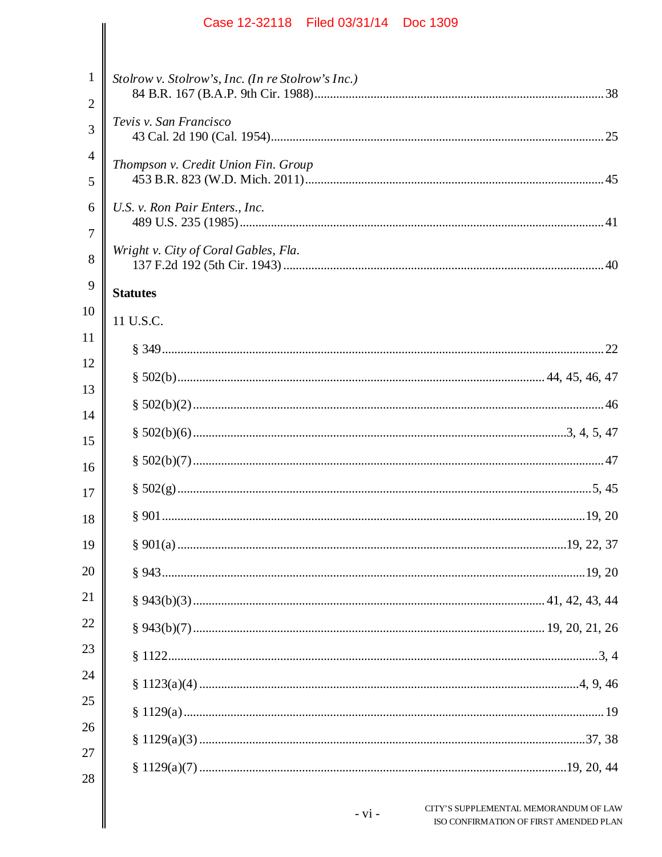| 1<br>$\mathbf{2}$   | Stolrow v. Stolrow's, Inc. (In re Stolrow's Inc.) |                                                                                 |
|---------------------|---------------------------------------------------|---------------------------------------------------------------------------------|
| 3                   | Tevis v. San Francisco                            |                                                                                 |
| $\overline{4}$<br>5 | Thompson v. Credit Union Fin. Group               |                                                                                 |
| 6                   | U.S. v. Ron Pair Enters., Inc.                    |                                                                                 |
| $\tau$<br>8         | Wright v. City of Coral Gables, Fla.              |                                                                                 |
| 9                   | <b>Statutes</b>                                   |                                                                                 |
| 10                  | 11 U.S.C.                                         |                                                                                 |
| 11                  |                                                   |                                                                                 |
| 12                  |                                                   |                                                                                 |
| 13                  |                                                   |                                                                                 |
| 14                  |                                                   |                                                                                 |
| 15                  |                                                   |                                                                                 |
| 16                  |                                                   |                                                                                 |
| 17                  |                                                   |                                                                                 |
| 18<br>19            |                                                   |                                                                                 |
| 20                  |                                                   |                                                                                 |
| 21                  |                                                   |                                                                                 |
| 22                  |                                                   |                                                                                 |
| 23                  |                                                   |                                                                                 |
| 24                  |                                                   |                                                                                 |
| 25                  |                                                   |                                                                                 |
| 26                  |                                                   |                                                                                 |
| 27                  |                                                   |                                                                                 |
| 28                  |                                                   |                                                                                 |
|                     | $- vi -$                                          | CITY'S SUPPLEMENTAL MEMORANDUM OF LAW<br>ISO CONFIRMATION OF FIRST AMENDED PLAN |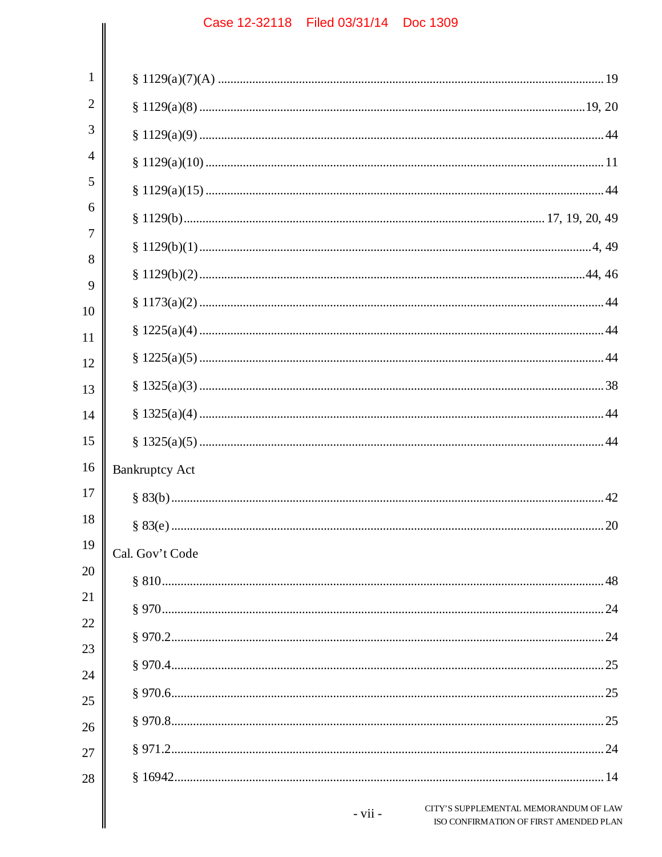|                | Case IZ-32110 - Liled 03/31/14 - DOC 1309                                                    |
|----------------|----------------------------------------------------------------------------------------------|
|                |                                                                                              |
| 1              |                                                                                              |
| $\overline{2}$ |                                                                                              |
| 3              |                                                                                              |
| 4              |                                                                                              |
| 5              |                                                                                              |
| 6              |                                                                                              |
| 7              |                                                                                              |
| 8              |                                                                                              |
| 9              |                                                                                              |
| 10<br>11       |                                                                                              |
| 12             |                                                                                              |
| 13             |                                                                                              |
| 14             |                                                                                              |
| 15             |                                                                                              |
| 16             | <b>Bankruptcy Act</b>                                                                        |
| 17             |                                                                                              |
| 18             |                                                                                              |
| 19             | Cal. Gov't Code                                                                              |
| 20             |                                                                                              |
| 21             |                                                                                              |
| 22             |                                                                                              |
| 23             |                                                                                              |
| 24             |                                                                                              |
| 25             |                                                                                              |
| 26             |                                                                                              |
| 27             |                                                                                              |
| 28             |                                                                                              |
|                | CITY'S SUPPLEMENTAL MEMORANDUM OF LAW<br>$- vii -$<br>ISO CONFIRMATION OF FIRST AMENDED PLAN |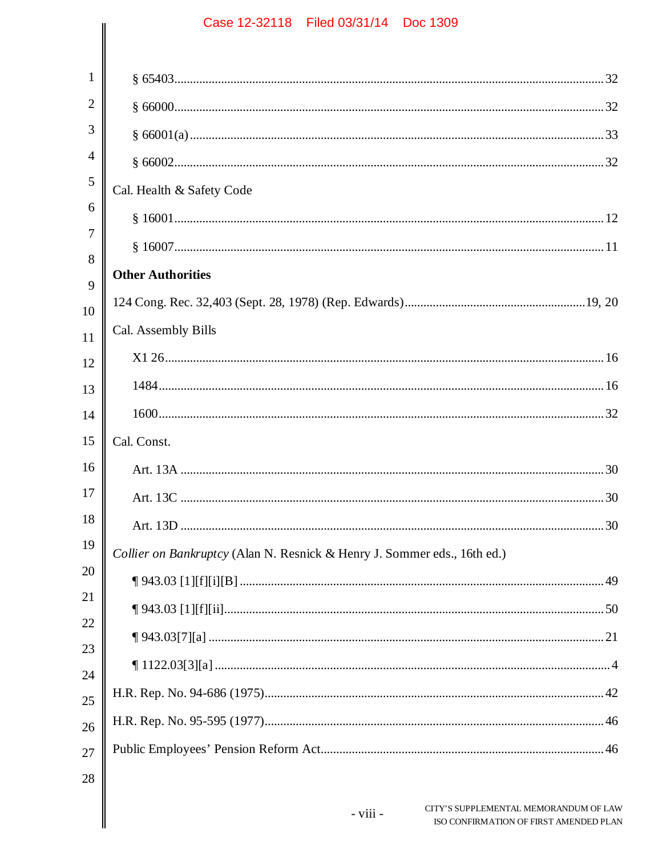| $\mathbf{1}$   |                                                                          |
|----------------|--------------------------------------------------------------------------|
| $\overline{2}$ |                                                                          |
| 3              |                                                                          |
| $\overline{4}$ |                                                                          |
| 5              | Cal. Health & Safety Code                                                |
| 6              |                                                                          |
| $\overline{7}$ |                                                                          |
| 8              | <b>Other Authorities</b>                                                 |
| 9              |                                                                          |
| 10             | Cal. Assembly Bills                                                      |
| 11             |                                                                          |
| 12             |                                                                          |
| 13             |                                                                          |
| 14             |                                                                          |
| 15             | Cal. Const.                                                              |
| 16             |                                                                          |
| 17             |                                                                          |
| 18             |                                                                          |
| 19             | Collier on Bankruptcy (Alan N. Resnick & Henry J. Sommer eds., 16th ed.) |
| 20             |                                                                          |
| 21             |                                                                          |
| 22             |                                                                          |
| 23             |                                                                          |
| 24             |                                                                          |
| 25<br>26       |                                                                          |
| 27             |                                                                          |
| 28             |                                                                          |
|                |                                                                          |

 $-$  viii  $-$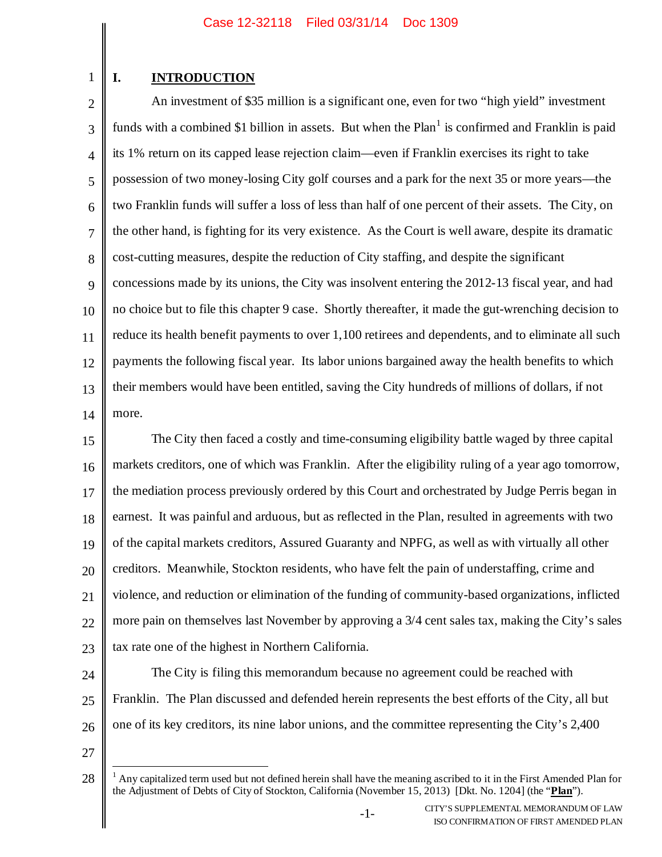## **I. INTRODUCTION**

1

2 3 4 5 6 7 8 9 10 11 12 13 14 An investment of \$35 million is a significant one, even for two "high yield" investment funds with a combined \$1 billion in assets. But when the  $Plan<sup>1</sup>$  is confirmed and Franklin is paid its 1% return on its capped lease rejection claim—even if Franklin exercises its right to take possession of two money-losing City golf courses and a park for the next 35 or more years—the two Franklin funds will suffer a loss of less than half of one percent of their assets. The City, on the other hand, is fighting for its very existence. As the Court is well aware, despite its dramatic cost-cutting measures, despite the reduction of City staffing, and despite the significant concessions made by its unions, the City was insolvent entering the 2012-13 fiscal year, and had no choice but to file this chapter 9 case. Shortly thereafter, it made the gut-wrenching decision to reduce its health benefit payments to over 1,100 retirees and dependents, and to eliminate all such payments the following fiscal year. Its labor unions bargained away the health benefits to which their members would have been entitled, saving the City hundreds of millions of dollars, if not more.

15 16 17 18 19 20 21 22 23 The City then faced a costly and time-consuming eligibility battle waged by three capital markets creditors, one of which was Franklin. After the eligibility ruling of a year ago tomorrow, the mediation process previously ordered by this Court and orchestrated by Judge Perris began in earnest. It was painful and arduous, but as reflected in the Plan, resulted in agreements with two of the capital markets creditors, Assured Guaranty and NPFG, as well as with virtually all other creditors. Meanwhile, Stockton residents, who have felt the pain of understaffing, crime and violence, and reduction or elimination of the funding of community-based organizations, inflicted more pain on themselves last November by approving a 3/4 cent sales tax, making the City's sales tax rate one of the highest in Northern California.

24 25 26 The City is filing this memorandum because no agreement could be reached with Franklin. The Plan discussed and defended herein represents the best efforts of the City, all but one of its key creditors, its nine labor unions, and the committee representing the City's 2,400

<sup>28</sup>  $<sup>1</sup>$  Any capitalized term used but not defined herein shall have the meaning ascribed to it in the First Amended Plan for</sup> the Adjustment of Debts of City of Stockton, California (November 15, 2013) [Dkt. No. 1204] (the "**Plan**").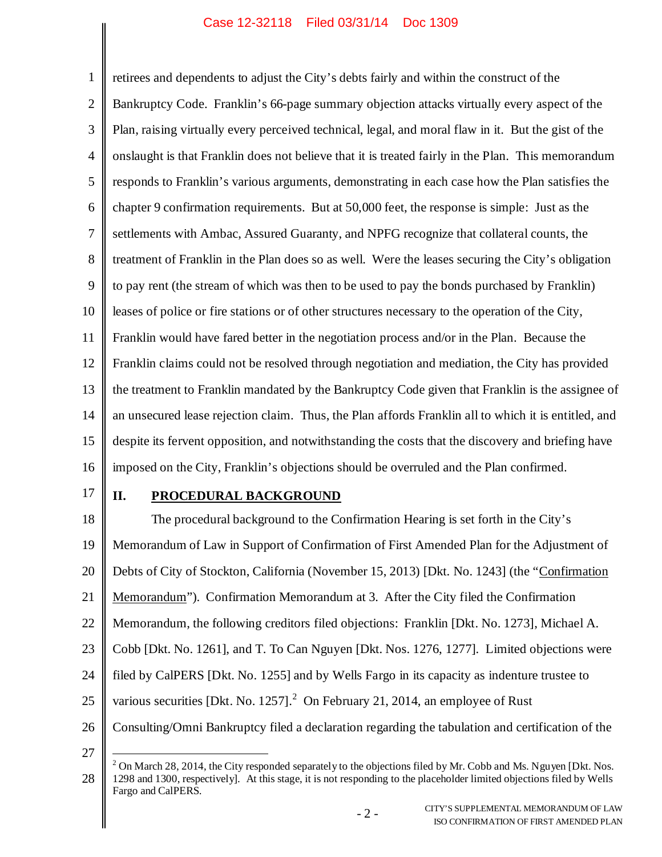1 2 3 4 5 6 7 8 9 10 11 12 13 14 15 16 retirees and dependents to adjust the City's debts fairly and within the construct of the Bankruptcy Code. Franklin's 66-page summary objection attacks virtually every aspect of the Plan, raising virtually every perceived technical, legal, and moral flaw in it. But the gist of the onslaught is that Franklin does not believe that it is treated fairly in the Plan. This memorandum responds to Franklin's various arguments, demonstrating in each case how the Plan satisfies the chapter 9 confirmation requirements. But at 50,000 feet, the response is simple: Just as the settlements with Ambac, Assured Guaranty, and NPFG recognize that collateral counts, the treatment of Franklin in the Plan does so as well. Were the leases securing the City's obligation to pay rent (the stream of which was then to be used to pay the bonds purchased by Franklin) leases of police or fire stations or of other structures necessary to the operation of the City, Franklin would have fared better in the negotiation process and/or in the Plan. Because the Franklin claims could not be resolved through negotiation and mediation, the City has provided the treatment to Franklin mandated by the Bankruptcy Code given that Franklin is the assignee of an unsecured lease rejection claim. Thus, the Plan affords Franklin all to which it is entitled, and despite its fervent opposition, and notwithstanding the costs that the discovery and briefing have imposed on the City, Franklin's objections should be overruled and the Plan confirmed.

17

27

### **II. PROCEDURAL BACKGROUND**

18 19 20 21 22 23 24 25 26 The procedural background to the Confirmation Hearing is set forth in the City's Memorandum of Law in Support of Confirmation of First Amended Plan for the Adjustment of Debts of City of Stockton, California (November 15, 2013) [Dkt. No. 1243] (the "Confirmation Memorandum"). Confirmation Memorandum at 3. After the City filed the Confirmation Memorandum, the following creditors filed objections: Franklin [Dkt. No. 1273], Michael A. Cobb [Dkt. No. 1261], and T. To Can Nguyen [Dkt. Nos. 1276, 1277]. Limited objections were filed by CalPERS [Dkt. No. 1255] and by Wells Fargo in its capacity as indenture trustee to various securities [Dkt. No. 1257].<sup>2</sup> On February 21, 2014, an employee of Rust Consulting/Omni Bankruptcy filed a declaration regarding the tabulation and certification of the

<sup>28</sup> <sup>2</sup> On March 28, 2014, the City responded separately to the objections filed by Mr. Cobb and Ms. Nguyen [Dkt. Nos. 1298 and 1300, respectively]. At this stage, it is not responding to the placeholder limited objections filed by Wells Fargo and CalPERS.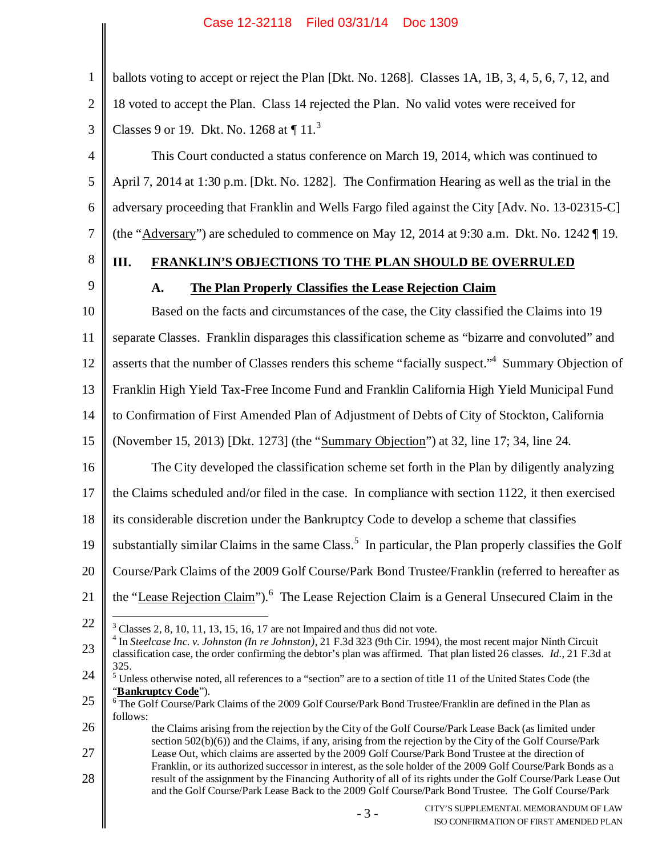1 2 3 4 5 6 ballots voting to accept or reject the Plan [Dkt. No. 1268]. Classes 1A, 1B, 3, 4, 5, 6, 7, 12, and 18 voted to accept the Plan. Class 14 rejected the Plan. No valid votes were received for Classes 9 or 19. Dkt. No. 1268 at  $\P$  11.<sup>3</sup> This Court conducted a status conference on March 19, 2014, which was continued to April 7, 2014 at 1:30 p.m. [Dkt. No. 1282]. The Confirmation Hearing as well as the trial in the adversary proceeding that Franklin and Wells Fargo filed against the City [Adv. No. 13-02315-C]

7 (the "Adversary") are scheduled to commence on May 12, 2014 at 9:30 a.m. Dkt. No. 1242  $\P$  19.

## **III. FRANKLIN'S OBJECTIONS TO THE PLAN SHOULD BE OVERRULED**

9

8

## **A. The Plan Properly Classifies the Lease Rejection Claim**

10 11 12 13 14 15 16 17 18 19 20 21 22 23 Based on the facts and circumstances of the case, the City classified the Claims into 19 separate Classes. Franklin disparages this classification scheme as "bizarre and convoluted" and asserts that the number of Classes renders this scheme "facially suspect."<sup>4</sup> Summary Objection of Franklin High Yield Tax-Free Income Fund and Franklin California High Yield Municipal Fund to Confirmation of First Amended Plan of Adjustment of Debts of City of Stockton, California (November 15, 2013) [Dkt. 1273] (the "Summary Objection") at 32, line 17; 34, line 24. The City developed the classification scheme set forth in the Plan by diligently analyzing the Claims scheduled and/or filed in the case. In compliance with section 1122, it then exercised its considerable discretion under the Bankruptcy Code to develop a scheme that classifies substantially similar Claims in the same Class.<sup>5</sup> In particular, the Plan properly classifies the Golf Course/Park Claims of the 2009 Golf Course/Park Bond Trustee/Franklin (referred to hereafter as the "Lease Rejection Claim").<sup>6</sup> The Lease Rejection Claim is a General Unsecured Claim in the  $3$  Classes 2, 8, 10, 11, 13, 15, 16, 17 are not Impaired and thus did not vote. 4 In *Steelcase Inc. v. Johnston (In re Johnston)*, 21 F.3d 323 (9th Cir. 1994), the most recent major Ninth Circuit classification case, the order confirming the debtor's plan was affirmed. That plan listed 26 classes. *Id.*, 21 F.3d at 325.

24 <sup>5</sup> Unless otherwise noted, all references to a "section" are to a section of title 11 of the United States Code (the "**Bankruptcy Code**").

<sup>25</sup> <sup>6</sup> The Golf Course/Park Claims of the 2009 Golf Course/Park Bond Trustee/Franklin are defined in the Plan as follows:

<sup>26</sup> 27 28 the Claims arising from the rejection by the City of the Golf Course/Park Lease Back (as limited under section 502(b)(6)) and the Claims, if any, arising from the rejection by the City of the Golf Course/Park Lease Out, which claims are asserted by the 2009 Golf Course/Park Bond Trustee at the direction of Franklin, or its authorized successor in interest, as the sole holder of the 2009 Golf Course/Park Bonds as a result of the assignment by the Financing Authority of all of its rights under the Golf Course/Park Lease Out and the Golf Course/Park Lease Back to the 2009 Golf Course/Park Bond Trustee. The Golf Course/Park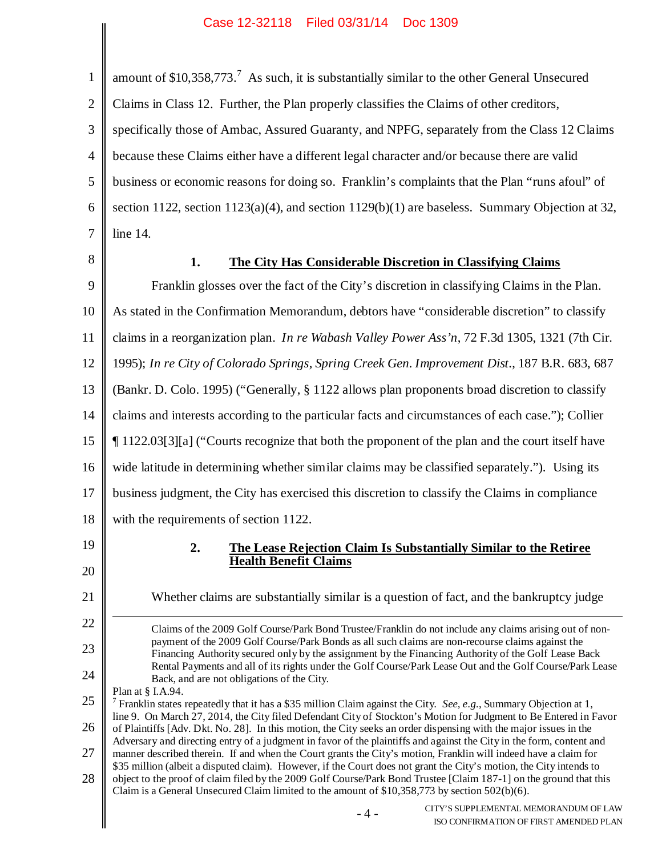| $\mathbf{1}$   | amount of \$10,358,773. <sup>7</sup> As such, it is substantially similar to the other General Unsecured                                                                                                                                           |
|----------------|----------------------------------------------------------------------------------------------------------------------------------------------------------------------------------------------------------------------------------------------------|
| $\overline{2}$ | Claims in Class 12. Further, the Plan properly classifies the Claims of other creditors,                                                                                                                                                           |
| 3              | specifically those of Ambac, Assured Guaranty, and NPFG, separately from the Class 12 Claims                                                                                                                                                       |
| $\overline{4}$ | because these Claims either have a different legal character and/or because there are valid                                                                                                                                                        |
| 5              | business or economic reasons for doing so. Franklin's complaints that the Plan "runs afoul" of                                                                                                                                                     |
| 6              | section 1122, section 1123(a)(4), and section 1129(b)(1) are baseless. Summary Objection at 32,                                                                                                                                                    |
| $\overline{7}$ | line 14.                                                                                                                                                                                                                                           |
| $8\,$          | The City Has Considerable Discretion in Classifying Claims<br>1.                                                                                                                                                                                   |
| 9              | Franklin glosses over the fact of the City's discretion in classifying Claims in the Plan.                                                                                                                                                         |
| 10             | As stated in the Confirmation Memorandum, debtors have "considerable discretion" to classify                                                                                                                                                       |
| 11             | claims in a reorganization plan. In re Wabash Valley Power Ass'n, 72 F.3d 1305, 1321 (7th Cir.                                                                                                                                                     |
| 12             | 1995); In re City of Colorado Springs, Spring Creek Gen. Improvement Dist., 187 B.R. 683, 687                                                                                                                                                      |
| 13             | (Bankr. D. Colo. 1995) ("Generally, § 1122 allows plan proponents broad discretion to classify                                                                                                                                                     |
| 14             | claims and interests according to the particular facts and circumstances of each case."); Collier                                                                                                                                                  |
| 15             | 1122.03[3][a] ("Courts recognize that both the proponent of the plan and the court itself have                                                                                                                                                     |
| 16             | wide latitude in determining whether similar claims may be classified separately."). Using its                                                                                                                                                     |
| 17             | business judgment, the City has exercised this discretion to classify the Claims in compliance                                                                                                                                                     |
| 18             | with the requirements of section 1122.                                                                                                                                                                                                             |
| 19             | 2.<br>The Lease Rejection Claim Is Substantially Similar to the Retiree<br><b>Health Benefit Claims</b>                                                                                                                                            |
| 20             |                                                                                                                                                                                                                                                    |
| 21             | Whether claims are substantially similar is a question of fact, and the bankruptcy judge                                                                                                                                                           |
| 22             | Claims of the 2009 Golf Course/Park Bond Trustee/Franklin do not include any claims arising out of non-<br>payment of the 2009 Golf Course/Park Bonds as all such claims are non-recourse claims against the                                       |
| 23             | Financing Authority secured only by the assignment by the Financing Authority of the Golf Lease Back<br>Rental Payments and all of its rights under the Golf Course/Park Lease Out and the Golf Course/Park Lease                                  |
| 24             | Back, and are not obligations of the City.<br>Plan at § I.A.94.                                                                                                                                                                                    |
| 25             | <sup>7</sup> Franklin states repeatedly that it has a \$35 million Claim against the City. See, e.g., Summary Objection at 1,<br>line 9. On March 27, 2014, the City filed Defendant City of Stockton's Motion for Judgment to Be Entered in Favor |
| 26             | of Plaintiffs [Adv. Dkt. No. 28]. In this motion, the City seeks an order dispensing with the major issues in the<br>Adversary and directing entry of a judgment in favor of the plaintiffs and against the City in the form, content and          |
| 27             | manner described therein. If and when the Court grants the City's motion, Franklin will indeed have a claim for<br>\$35 million (albeit a disputed claim). However, if the Court does not grant the City's motion, the City intends to             |
| 28             | object to the proof of claim filed by the 2009 Golf Course/Park Bond Trustee [Claim 187-1] on the ground that this<br>Claim is a General Unsecured Claim limited to the amount of $$10,358,773$ by section $502(b)(6)$ .                           |
|                | CITY'S SUPPLEMENTAL MEMORANDUM OF LAW<br>- 4 -<br>ISO CONFIRMATION OF FIRST AMENDED PLAN                                                                                                                                                           |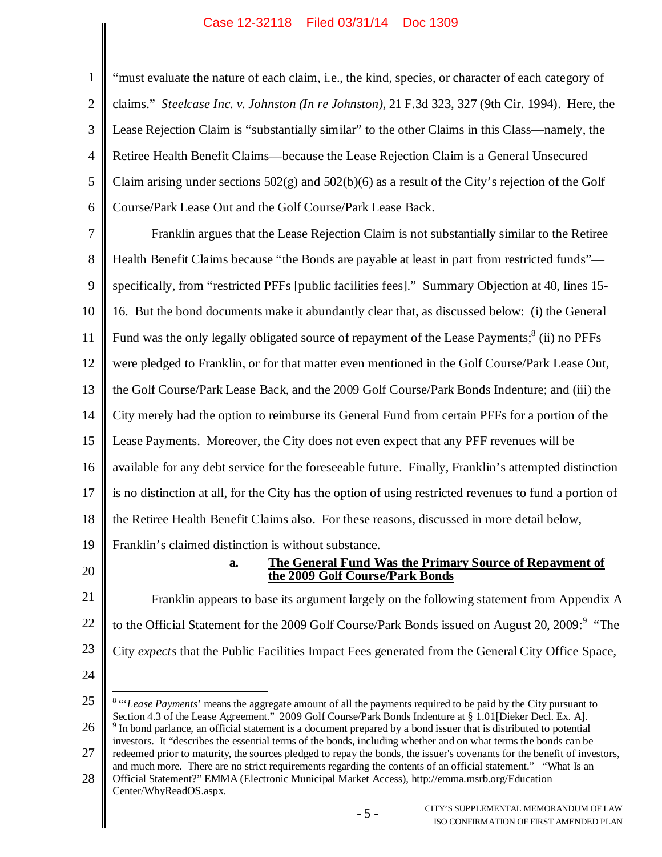1 2 3 4 5 6 "must evaluate the nature of each claim, i.e., the kind, species, or character of each category of claims." *Steelcase Inc. v. Johnston (In re Johnston)*, 21 F.3d 323, 327 (9th Cir. 1994). Here, the Lease Rejection Claim is "substantially similar" to the other Claims in this Class—namely, the Retiree Health Benefit Claims—because the Lease Rejection Claim is a General Unsecured Claim arising under sections  $502(g)$  and  $502(b)(6)$  as a result of the City's rejection of the Golf Course/Park Lease Out and the Golf Course/Park Lease Back.

7 8 9 10 11 12 13 14 15 16 17 18 19 Franklin argues that the Lease Rejection Claim is not substantially similar to the Retiree Health Benefit Claims because "the Bonds are payable at least in part from restricted funds" specifically, from "restricted PFFs [public facilities fees]." Summary Objection at 40, lines 15- 16. But the bond documents make it abundantly clear that, as discussed below: (i) the General Fund was the only legally obligated source of repayment of the Lease Payments; $^8$  (ii) no PFFs were pledged to Franklin, or for that matter even mentioned in the Golf Course/Park Lease Out, the Golf Course/Park Lease Back, and the 2009 Golf Course/Park Bonds Indenture; and (iii) the City merely had the option to reimburse its General Fund from certain PFFs for a portion of the Lease Payments. Moreover, the City does not even expect that any PFF revenues will be available for any debt service for the foreseeable future. Finally, Franklin's attempted distinction is no distinction at all, for the City has the option of using restricted revenues to fund a portion of the Retiree Health Benefit Claims also. For these reasons, discussed in more detail below, Franklin's claimed distinction is without substance.

20

### **a. The General Fund Was the Primary Source of Repayment of the 2009 Golf Course/Park Bonds**

21 22 23 Franklin appears to base its argument largely on the following statement from Appendix A to the Official Statement for the 2009 Golf Course/Park Bonds issued on August 20, 2009:<sup>9</sup> "The City *expects* that the Public Facilities Impact Fees generated from the General City Office Space,

<sup>24</sup>

<sup>25</sup> 26 27 <sup>8</sup> "'*Lease Payments*' means the aggregate amount of all the payments required to be paid by the City pursuant to Section 4.3 of the Lease Agreement." 2009 Golf Course/Park Bonds Indenture at § 1.01[Dieker Decl. Ex. A]. <sup>9</sup> In bond parlance, an official statement is a document prepared by a bond issuer that is distributed to potential investors. It "describes the essential terms of the bonds, including whether and on what terms the bonds can be redeemed prior to maturity, the sources pledged to repay the bonds, the issuer's covenants for the benefit of investors,

<sup>28</sup> and much more. There are no strict requirements regarding the contents of an official statement." "What Is an Official Statement?" EMMA (Electronic Municipal Market Access), http://emma.msrb.org/Education

Center/WhyReadOS.aspx.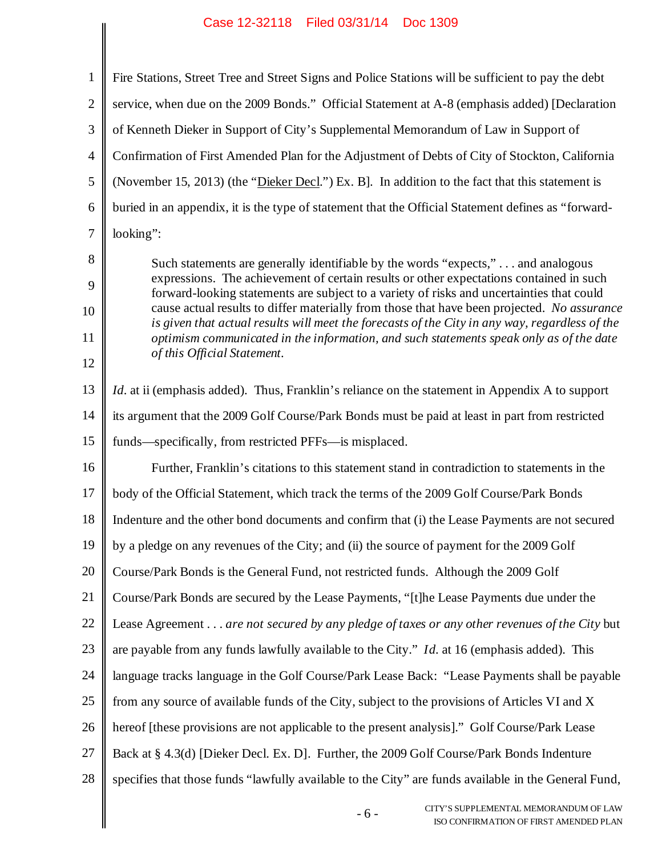| $\mathbf{1}$             | Fire Stations, Street Tree and Street Signs and Police Stations will be sufficient to pay the debt                                                                                                                                                                                                                                                                                                                                                                                                                                                                                                  |
|--------------------------|-----------------------------------------------------------------------------------------------------------------------------------------------------------------------------------------------------------------------------------------------------------------------------------------------------------------------------------------------------------------------------------------------------------------------------------------------------------------------------------------------------------------------------------------------------------------------------------------------------|
| $\overline{2}$           | service, when due on the 2009 Bonds." Official Statement at A-8 (emphasis added) [Declaration                                                                                                                                                                                                                                                                                                                                                                                                                                                                                                       |
| 3                        | of Kenneth Dieker in Support of City's Supplemental Memorandum of Law in Support of                                                                                                                                                                                                                                                                                                                                                                                                                                                                                                                 |
| $\overline{4}$           | Confirmation of First Amended Plan for the Adjustment of Debts of City of Stockton, California                                                                                                                                                                                                                                                                                                                                                                                                                                                                                                      |
| 5                        | (November 15, 2013) (the "Dieker Decl.") Ex. B]. In addition to the fact that this statement is                                                                                                                                                                                                                                                                                                                                                                                                                                                                                                     |
| 6                        | buried in an appendix, it is the type of statement that the Official Statement defines as "forward-                                                                                                                                                                                                                                                                                                                                                                                                                                                                                                 |
| $\tau$                   | looking":                                                                                                                                                                                                                                                                                                                                                                                                                                                                                                                                                                                           |
| 8<br>9<br>10<br>11<br>12 | Such statements are generally identifiable by the words "expects," and analogous<br>expressions. The achievement of certain results or other expectations contained in such<br>forward-looking statements are subject to a variety of risks and uncertainties that could<br>cause actual results to differ materially from those that have been projected. No assurance<br>is given that actual results will meet the forecasts of the City in any way, regardless of the<br>optimism communicated in the information, and such statements speak only as of the date<br>of this Official Statement. |
| 13                       | <i>Id.</i> at ii (emphasis added). Thus, Franklin's reliance on the statement in Appendix A to support                                                                                                                                                                                                                                                                                                                                                                                                                                                                                              |
| 14                       | its argument that the 2009 Golf Course/Park Bonds must be paid at least in part from restricted                                                                                                                                                                                                                                                                                                                                                                                                                                                                                                     |
| 15                       | funds—specifically, from restricted PFFs—is misplaced.                                                                                                                                                                                                                                                                                                                                                                                                                                                                                                                                              |
| 16                       | Further, Franklin's citations to this statement stand in contradiction to statements in the                                                                                                                                                                                                                                                                                                                                                                                                                                                                                                         |
| 17                       | body of the Official Statement, which track the terms of the 2009 Golf Course/Park Bonds                                                                                                                                                                                                                                                                                                                                                                                                                                                                                                            |
| 18                       | Indenture and the other bond documents and confirm that (i) the Lease Payments are not secured                                                                                                                                                                                                                                                                                                                                                                                                                                                                                                      |
| 19                       | by a pledge on any revenues of the City; and (ii) the source of payment for the 2009 Golf                                                                                                                                                                                                                                                                                                                                                                                                                                                                                                           |
| 20                       | Course/Park Bonds is the General Fund, not restricted funds. Although the 2009 Golf                                                                                                                                                                                                                                                                                                                                                                                                                                                                                                                 |
| 21                       | Course/Park Bonds are secured by the Lease Payments, "[t]he Lease Payments due under the                                                                                                                                                                                                                                                                                                                                                                                                                                                                                                            |
| 22                       | Lease Agreement are not secured by any pledge of taxes or any other revenues of the City but                                                                                                                                                                                                                                                                                                                                                                                                                                                                                                        |
| 23                       | are payable from any funds lawfully available to the City." <i>Id.</i> at 16 (emphasis added). This                                                                                                                                                                                                                                                                                                                                                                                                                                                                                                 |
| 24                       | language tracks language in the Golf Course/Park Lease Back: "Lease Payments shall be payable                                                                                                                                                                                                                                                                                                                                                                                                                                                                                                       |
| 25                       | from any source of available funds of the City, subject to the provisions of Articles VI and X                                                                                                                                                                                                                                                                                                                                                                                                                                                                                                      |
| 26                       | hereof [these provisions are not applicable to the present analysis]." Golf Course/Park Lease                                                                                                                                                                                                                                                                                                                                                                                                                                                                                                       |
| 27                       | Back at § 4.3(d) [Dieker Decl. Ex. D]. Further, the 2009 Golf Course/Park Bonds Indenture                                                                                                                                                                                                                                                                                                                                                                                                                                                                                                           |
| 28                       | specifies that those funds "lawfully available to the City" are funds available in the General Fund,                                                                                                                                                                                                                                                                                                                                                                                                                                                                                                |
|                          | CITY'S SUPPLEMENTAL MEMORANDUM OF LAW<br>$-6-$<br>ISO CONFIRM ATION OF FIRST AMENDED PLAN                                                                                                                                                                                                                                                                                                                                                                                                                                                                                                           |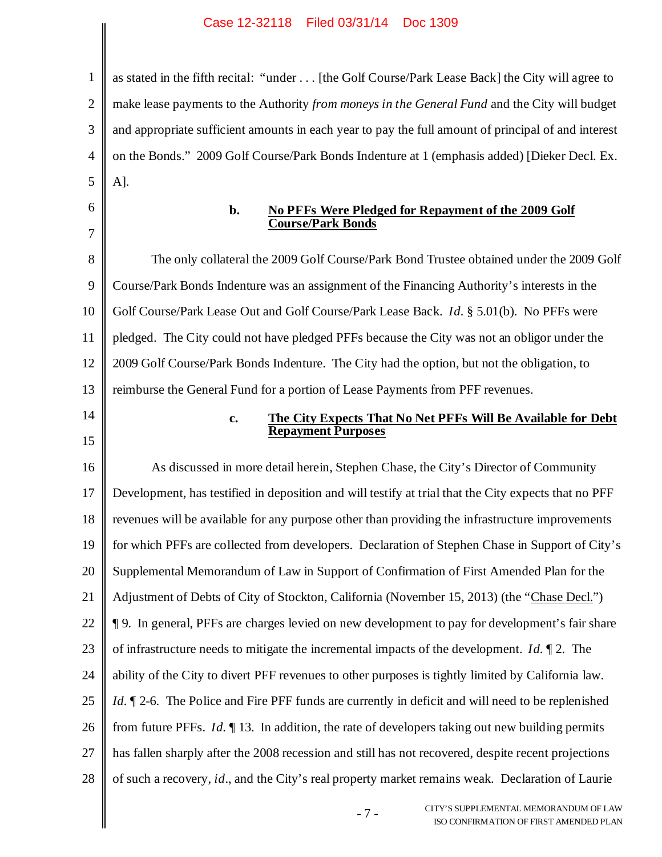1 2 3 4 5 as stated in the fifth recital: "under . . . [the Golf Course/Park Lease Back] the City will agree to make lease payments to the Authority *from moneys in the General Fund* and the City will budget and appropriate sufficient amounts in each year to pay the full amount of principal of and interest on the Bonds." 2009 Golf Course/Park Bonds Indenture at 1 (emphasis added) [Dieker Decl. Ex. A].

6 7

## **b. No PFFs Were Pledged for Repayment of the 2009 Golf Course/Park Bonds**

8 9 10 11 12 13 The only collateral the 2009 Golf Course/Park Bond Trustee obtained under the 2009 Golf Course/Park Bonds Indenture was an assignment of the Financing Authority's interests in the Golf Course/Park Lease Out and Golf Course/Park Lease Back. *Id.* § 5.01(b). No PFFs were pledged. The City could not have pledged PFFs because the City was not an obligor under the 2009 Golf Course/Park Bonds Indenture. The City had the option, but not the obligation, to reimburse the General Fund for a portion of Lease Payments from PFF revenues.

14 15

## **c. The City Expects That No Net PFFs Will Be Available for Debt Repayment Purposes**

16 17 18 19 20 21 22 23 24 25 26 27 28 As discussed in more detail herein, Stephen Chase, the City's Director of Community Development, has testified in deposition and will testify at trial that the City expects that no PFF revenues will be available for any purpose other than providing the infrastructure improvements for which PFFs are collected from developers. Declaration of Stephen Chase in Support of City's Supplemental Memorandum of Law in Support of Confirmation of First Amended Plan for the Adjustment of Debts of City of Stockton, California (November 15, 2013) (the "Chase Decl.") ¶ 9. In general, PFFs are charges levied on new development to pay for development's fair share of infrastructure needs to mitigate the incremental impacts of the development. *Id.* ¶ 2. The ability of the City to divert PFF revenues to other purposes is tightly limited by California law. *Id.*  $\mathbb{I}$  2-6. The Police and Fire PFF funds are currently in deficit and will need to be replenished from future PFFs. *Id.* ¶ 13. In addition, the rate of developers taking out new building permits has fallen sharply after the 2008 recession and still has not recovered, despite recent projections of such a recovery, *id*., and the City's real property market remains weak. Declaration of Laurie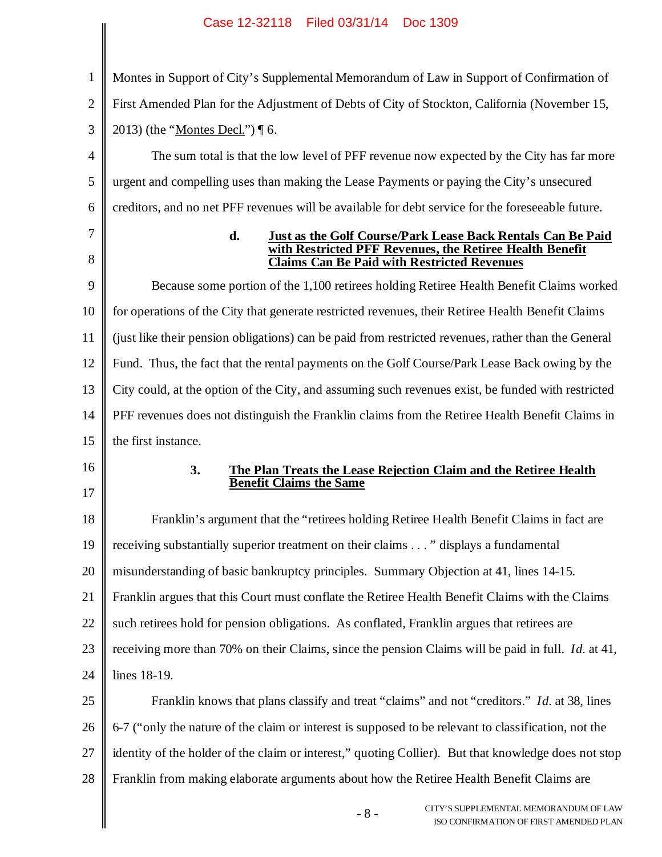| $\mathbf{1}$   | Montes in Support of City's Supplemental Memorandum of Law in Support of Confirmation of                                                                                                   |
|----------------|--------------------------------------------------------------------------------------------------------------------------------------------------------------------------------------------|
| $\overline{2}$ | First Amended Plan for the Adjustment of Debts of City of Stockton, California (November 15,                                                                                               |
| 3              | 2013) (the " <u>Montes Decl.</u> ") ¶ 6.                                                                                                                                                   |
| 4              | The sum total is that the low level of PFF revenue now expected by the City has far more                                                                                                   |
| 5              | urgent and compelling uses than making the Lease Payments or paying the City's unsecured                                                                                                   |
| 6              | creditors, and no net PFF revenues will be available for debt service for the foreseeable future.                                                                                          |
| 7<br>8         | d.<br><b>Just as the Golf Course/Park Lease Back Rentals Can Be Paid</b><br>with Restricted PFF Revenues, the Retiree Health Benefit<br><b>Claims Can Be Paid with Restricted Revenues</b> |
| 9              | Because some portion of the 1,100 retirees holding Retiree Health Benefit Claims worked                                                                                                    |
| 10             | for operations of the City that generate restricted revenues, their Retiree Health Benefit Claims                                                                                          |
| 11             | (just like their pension obligations) can be paid from restricted revenues, rather than the General                                                                                        |
| 12             | Fund. Thus, the fact that the rental payments on the Golf Course/Park Lease Back owing by the                                                                                              |
| 13             | City could, at the option of the City, and assuming such revenues exist, be funded with restricted                                                                                         |
| 14             | PFF revenues does not distinguish the Franklin claims from the Retiree Health Benefit Claims in                                                                                            |
| 15             | the first instance.                                                                                                                                                                        |
| 16             | 3.<br>The Plan Treats the Lease Rejection Claim and the Retiree Health                                                                                                                     |
| 17             | <b>Benefit Claims the Same</b>                                                                                                                                                             |
| 18             | Franklin's argument that the "retirees holding Retiree Health Benefit Claims in fact are                                                                                                   |
| 19             | receiving substantially superior treatment on their claims " displays a fundamental                                                                                                        |
| 20             | misunderstanding of basic bankruptcy principles. Summary Objection at 41, lines 14-15.                                                                                                     |
| 21             | Franklin argues that this Court must conflate the Retiree Health Benefit Claims with the Claims                                                                                            |
| 22             | such retirees hold for pension obligations. As conflated, Franklin argues that retirees are                                                                                                |
| 23             | receiving more than 70% on their Claims, since the pension Claims will be paid in full. <i>Id.</i> at 41,                                                                                  |
| 24             | lines 18-19.                                                                                                                                                                               |
| 25             | Franklin knows that plans classify and treat "claims" and not "creditors." <i>Id.</i> at 38, lines                                                                                         |
| 26             | 6-7 ("only the nature of the claim or interest is supposed to be relevant to classification, not the                                                                                       |
| 27             | identity of the holder of the claim or interest," quoting Collier). But that knowledge does not stop                                                                                       |
| 28             | Franklin from making elaborate arguments about how the Retiree Health Benefit Claims are                                                                                                   |
|                | CITY'S SUPPLEMENTAL MEMORANDUM OF LAW<br>$-8-$<br>ISO CONFIRMATION OF FIRST AMENDED PLAN                                                                                                   |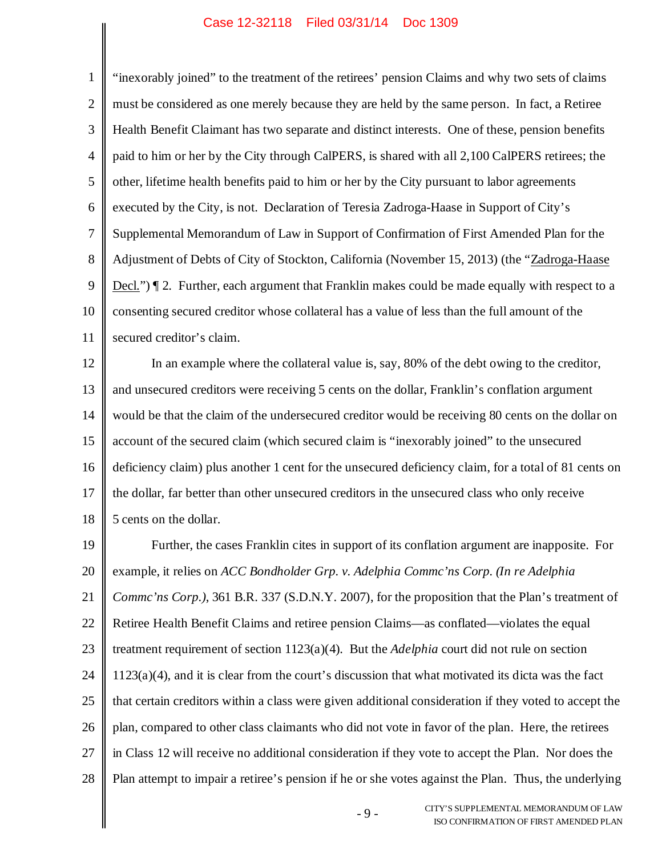1 2 3 4 5 6 7 8 9 10 11 "inexorably joined" to the treatment of the retirees' pension Claims and why two sets of claims must be considered as one merely because they are held by the same person. In fact, a Retiree Health Benefit Claimant has two separate and distinct interests. One of these, pension benefits paid to him or her by the City through CalPERS, is shared with all 2,100 CalPERS retirees; the other, lifetime health benefits paid to him or her by the City pursuant to labor agreements executed by the City, is not. Declaration of Teresia Zadroga-Haase in Support of City's Supplemental Memorandum of Law in Support of Confirmation of First Amended Plan for the Adjustment of Debts of City of Stockton, California (November 15, 2013) (the "Zadroga-Haase Decl.") ¶ 2. Further, each argument that Franklin makes could be made equally with respect to a consenting secured creditor whose collateral has a value of less than the full amount of the secured creditor's claim.

12 13 14 15 16 17 18 In an example where the collateral value is, say, 80% of the debt owing to the creditor, and unsecured creditors were receiving 5 cents on the dollar, Franklin's conflation argument would be that the claim of the undersecured creditor would be receiving 80 cents on the dollar on account of the secured claim (which secured claim is "inexorably joined" to the unsecured deficiency claim) plus another 1 cent for the unsecured deficiency claim, for a total of 81 cents on the dollar, far better than other unsecured creditors in the unsecured class who only receive 5 cents on the dollar.

19 20 21 22 23 24 25 26 27 28 Further, the cases Franklin cites in support of its conflation argument are inapposite. For example, it relies on *ACC Bondholder Grp. v. Adelphia Commc'ns Corp. (In re Adelphia Commc'ns Corp.)*, 361 B.R. 337 (S.D.N.Y. 2007), for the proposition that the Plan's treatment of Retiree Health Benefit Claims and retiree pension Claims—as conflated—violates the equal treatment requirement of section 1123(a)(4). But the *Adelphia* court did not rule on section 1123(a)(4), and it is clear from the court's discussion that what motivated its dicta was the fact that certain creditors within a class were given additional consideration if they voted to accept the plan, compared to other class claimants who did not vote in favor of the plan. Here, the retirees in Class 12 will receive no additional consideration if they vote to accept the Plan. Nor does the Plan attempt to impair a retiree's pension if he or she votes against the Plan. Thus, the underlying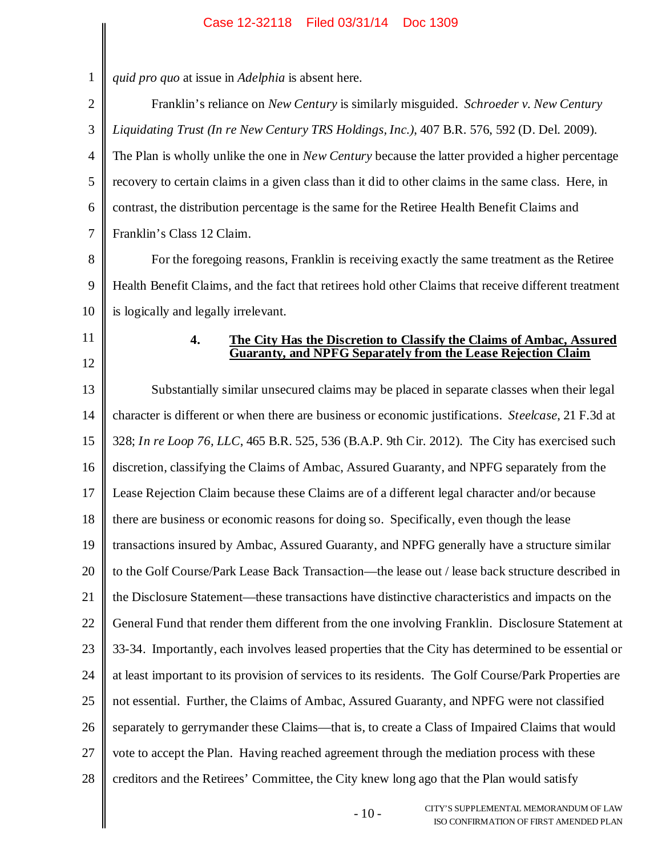║

| 1              | quid pro quo at issue in Adelphia is absent here.                                                       |
|----------------|---------------------------------------------------------------------------------------------------------|
| $\overline{2}$ | Franklin's reliance on New Century is similarly misguided. Schroeder v. New Century                     |
| 3              | Liquidating Trust (In re New Century TRS Holdings, Inc.), 407 B.R. 576, 592 (D. Del. 2009).             |
| $\overline{4}$ | The Plan is wholly unlike the one in <i>New Century</i> because the latter provided a higher percentage |
| 5              | recovery to certain claims in a given class than it did to other claims in the same class. Here, in     |
| 6              | contrast, the distribution percentage is the same for the Retiree Health Benefit Claims and             |
| 7              | Franklin's Class 12 Claim.                                                                              |
| 8              | For the foregoing reasons, Franklin is receiving exactly the same treatment as the Retiree              |
| 9              | Health Benefit Claims, and the fact that retirees hold other Claims that receive different treatment    |
| 10             | is logically and legally irrelevant.                                                                    |
| 11             | 4.<br>The City Has the Discretion to Classify the Claims of Ambac, Assured                              |
| 12             | <b>Guaranty, and NPFG Separately from the Lease Rejection Claim</b>                                     |
| 13             | Substantially similar unsecured claims may be placed in separate classes when their legal               |
| 14             | character is different or when there are business or economic justifications. Steelcase, 21 F.3d at     |
| 15             | 328; In re Loop 76, LLC, 465 B.R. 525, 536 (B.A.P. 9th Cir. 2012). The City has exercised such          |
| 16             | discretion, classifying the Claims of Ambac, Assured Guaranty, and NPFG separately from the             |
| 17             | Lease Rejection Claim because these Claims are of a different legal character and/or because            |
| 18             | there are business or economic reasons for doing so. Specifically, even though the lease                |
| 19             | transactions insured by Ambac, Assured Guaranty, and NPFG generally have a structure similar            |
| 20             | to the Golf Course/Park Lease Back Transaction—the lease out / lease back structure described in        |
| 21             | the Disclosure Statement—these transactions have distinctive characteristics and impacts on the         |
| 22             | General Fund that render them different from the one involving Franklin. Disclosure Statement at        |
| 23             | 33-34. Importantly, each involves leased properties that the City has determined to be essential or     |
| 24             | at least important to its provision of services to its residents. The Golf Course/Park Properties are   |
| 25             | not essential. Further, the Claims of Ambac, Assured Guaranty, and NPFG were not classified             |
| 26             | separately to gerrymander these Claims—that is, to create a Class of Impaired Claims that would         |
| 27             | vote to accept the Plan. Having reached agreement through the mediation process with these              |
| 28             | creditors and the Retirees' Committee, the City knew long ago that the Plan would satisfy               |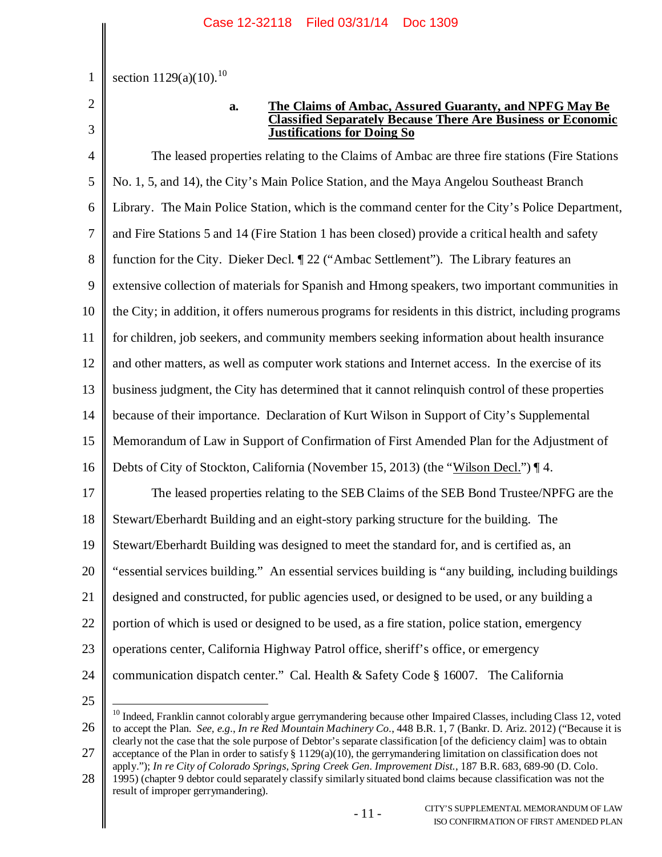section  $1129(a)(10).^{10}$ 

2 3

1

### **a. The Claims of Ambac, Assured Guaranty, and NPFG May Be Classified Separately Because There Are Business or Economic Justifications for Doing So**

4 5 6 7 8 9 10 11 12 13 14 15 16 17 18 19 20 21 22 23 24 The leased properties relating to the Claims of Ambac are three fire stations (Fire Stations No. 1, 5, and 14), the City's Main Police Station, and the Maya Angelou Southeast Branch Library. The Main Police Station, which is the command center for the City's Police Department, and Fire Stations 5 and 14 (Fire Station 1 has been closed) provide a critical health and safety function for the City. Dieker Decl. ¶ 22 ("Ambac Settlement"). The Library features an extensive collection of materials for Spanish and Hmong speakers, two important communities in the City; in addition, it offers numerous programs for residents in this district, including programs for children, job seekers, and community members seeking information about health insurance and other matters, as well as computer work stations and Internet access. In the exercise of its business judgment, the City has determined that it cannot relinquish control of these properties because of their importance. Declaration of Kurt Wilson in Support of City's Supplemental Memorandum of Law in Support of Confirmation of First Amended Plan for the Adjustment of Debts of City of Stockton, California (November 15, 2013) (the "Wilson Decl.") ¶ 4. The leased properties relating to the SEB Claims of the SEB Bond Trustee/NPFG are the Stewart/Eberhardt Building and an eight-story parking structure for the building. The Stewart/Eberhardt Building was designed to meet the standard for, and is certified as, an "essential services building." An essential services building is "any building, including buildings designed and constructed, for public agencies used, or designed to be used, or any building a portion of which is used or designed to be used, as a fire station, police station, emergency operations center, California Highway Patrol office, sheriff's office, or emergency communication dispatch center." Cal. Health & Safety Code § 16007. The California

<sup>26</sup> 27 <sup>10</sup> Indeed, Franklin cannot colorably argue gerrymandering because other Impaired Classes, including Class 12, voted to accept the Plan. *See, e.g.*, *In re Red Mountain Machinery Co.*, 448 B.R. 1, 7 (Bankr. D. Ariz. 2012) ("Because it is clearly not the case that the sole purpose of Debtor's separate classification [of the deficiency claim] was to obtain acceptance of the Plan in order to satisfy  $\S 1129(a)(10)$ , the gerrymandering limitation on classification does not

apply."); *In re City of Colorado Springs, Spring Creek Gen. Improvement Dist.*, 187 B.R. 683, 689-90 (D. Colo.

<sup>28</sup> 1995) (chapter 9 debtor could separately classify similarly situated bond claims because classification was not the result of improper gerrymandering).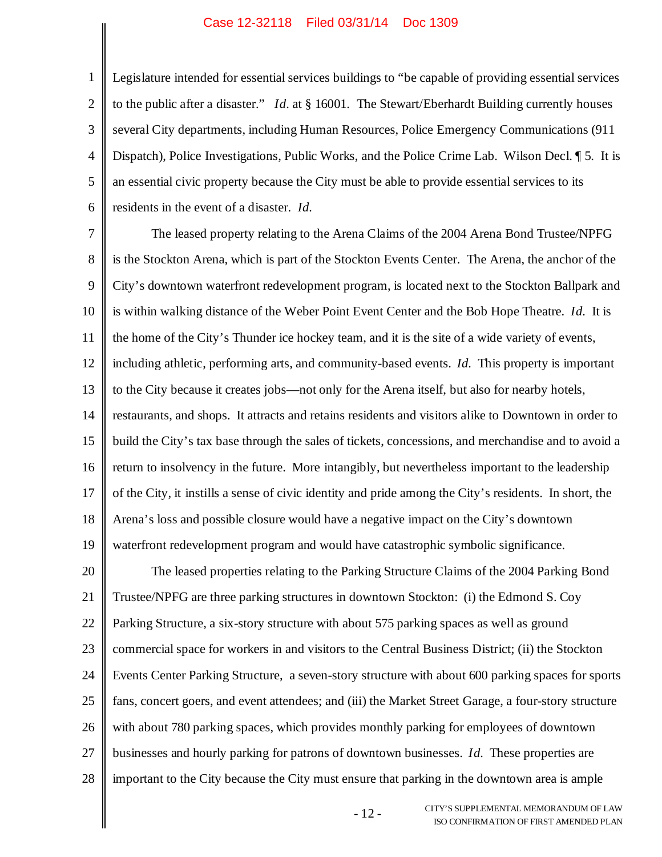1

2 3 4 5 6 Legislature intended for essential services buildings to "be capable of providing essential services to the public after a disaster." *Id.* at § 16001. The Stewart/Eberhardt Building currently houses several City departments, including Human Resources, Police Emergency Communications (911 Dispatch), Police Investigations, Public Works, and the Police Crime Lab. Wilson Decl. ¶ 5. It is an essential civic property because the City must be able to provide essential services to its residents in the event of a disaster. *Id.*

7 8 9 10 11 12 13 14 15 16 17 18 19 The leased property relating to the Arena Claims of the 2004 Arena Bond Trustee/NPFG is the Stockton Arena, which is part of the Stockton Events Center. The Arena, the anchor of the City's downtown waterfront redevelopment program, is located next to the Stockton Ballpark and is within walking distance of the Weber Point Event Center and the Bob Hope Theatre. *Id.* It is the home of the City's Thunder ice hockey team, and it is the site of a wide variety of events, including athletic, performing arts, and community-based events. *Id.* This property is important to the City because it creates jobs—not only for the Arena itself, but also for nearby hotels, restaurants, and shops. It attracts and retains residents and visitors alike to Downtown in order to build the City's tax base through the sales of tickets, concessions, and merchandise and to avoid a return to insolvency in the future. More intangibly, but nevertheless important to the leadership of the City, it instills a sense of civic identity and pride among the City's residents. In short, the Arena's loss and possible closure would have a negative impact on the City's downtown waterfront redevelopment program and would have catastrophic symbolic significance.

20 21 22 23 24 25 26 27 28 The leased properties relating to the Parking Structure Claims of the 2004 Parking Bond Trustee/NPFG are three parking structures in downtown Stockton: (i) the Edmond S. Coy Parking Structure, a six-story structure with about 575 parking spaces as well as ground commercial space for workers in and visitors to the Central Business District; (ii) the Stockton Events Center Parking Structure, a seven-story structure with about 600 parking spaces for sports fans, concert goers, and event attendees; and (iii) the Market Street Garage, a four-story structure with about 780 parking spaces, which provides monthly parking for employees of downtown businesses and hourly parking for patrons of downtown businesses. *Id.* These properties are important to the City because the City must ensure that parking in the downtown area is ample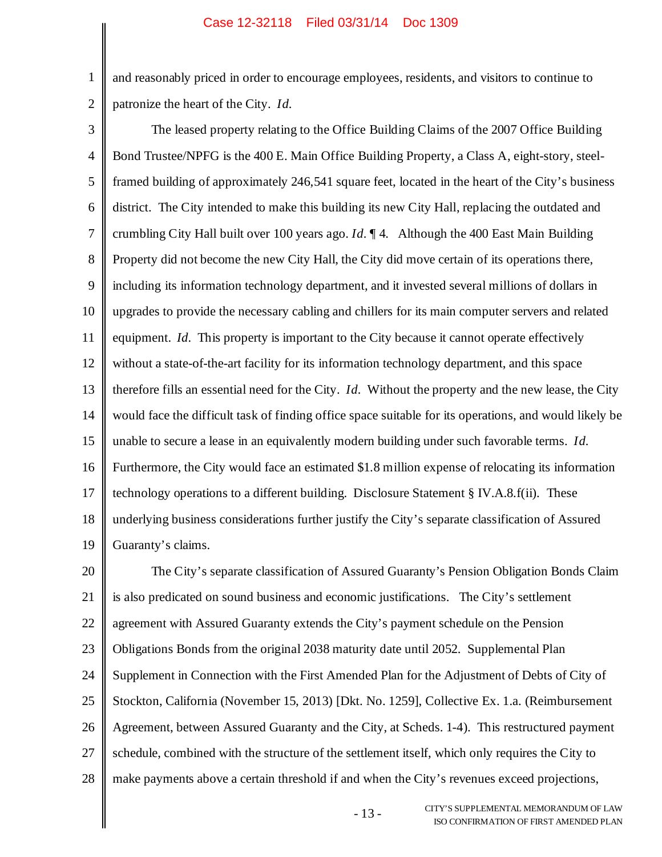1

2

and reasonably priced in order to encourage employees, residents, and visitors to continue to patronize the heart of the City. *Id.*

3 4 5 6 7 8 9 10 11 12 13 14 15 16 17 18 19 The leased property relating to the Office Building Claims of the 2007 Office Building Bond Trustee/NPFG is the 400 E. Main Office Building Property, a Class A, eight-story, steelframed building of approximately 246,541 square feet, located in the heart of the City's business district. The City intended to make this building its new City Hall, replacing the outdated and crumbling City Hall built over 100 years ago. *Id.* ¶ 4. Although the 400 East Main Building Property did not become the new City Hall, the City did move certain of its operations there, including its information technology department, and it invested several millions of dollars in upgrades to provide the necessary cabling and chillers for its main computer servers and related equipment. *Id.* This property is important to the City because it cannot operate effectively without a state-of-the-art facility for its information technology department, and this space therefore fills an essential need for the City. *Id.* Without the property and the new lease, the City would face the difficult task of finding office space suitable for its operations, and would likely be unable to secure a lease in an equivalently modern building under such favorable terms. *Id.* Furthermore, the City would face an estimated \$1.8 million expense of relocating its information technology operations to a different building. Disclosure Statement § IV.A.8.f(ii). These underlying business considerations further justify the City's separate classification of Assured Guaranty's claims.

20 21 22 23 24 25 26 27 28 The City's separate classification of Assured Guaranty's Pension Obligation Bonds Claim is also predicated on sound business and economic justifications. The City's settlement agreement with Assured Guaranty extends the City's payment schedule on the Pension Obligations Bonds from the original 2038 maturity date until 2052. Supplemental Plan Supplement in Connection with the First Amended Plan for the Adjustment of Debts of City of Stockton, California (November 15, 2013) [Dkt. No. 1259], Collective Ex. 1.a. (Reimbursement Agreement, between Assured Guaranty and the City, at Scheds. 1-4). This restructured payment schedule, combined with the structure of the settlement itself, which only requires the City to make payments above a certain threshold if and when the City's revenues exceed projections,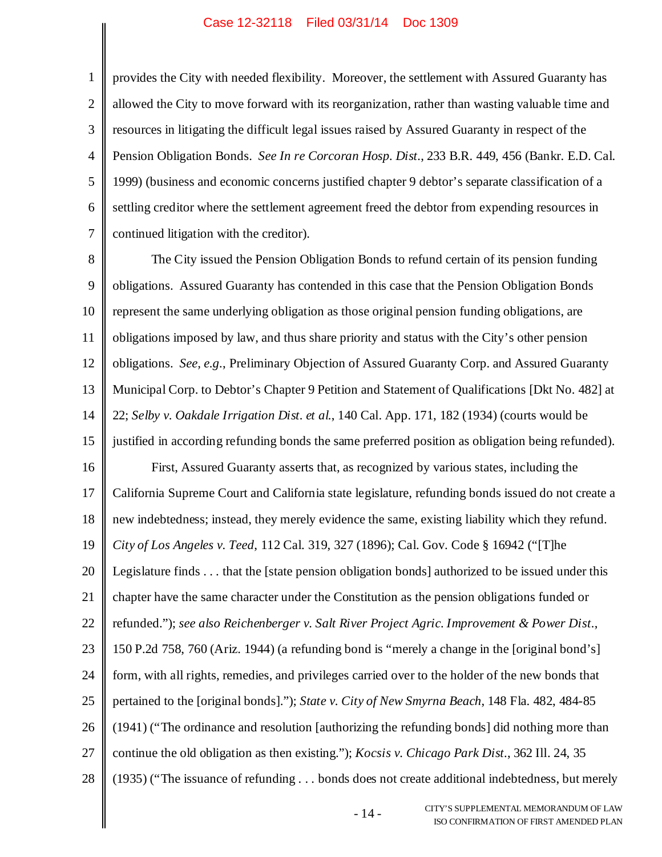provides the City with needed flexibility. Moreover, the settlement with Assured Guaranty has allowed the City to move forward with its reorganization, rather than wasting valuable time and resources in litigating the difficult legal issues raised by Assured Guaranty in respect of the Pension Obligation Bonds. *See In re Corcoran Hosp. Dist.*, 233 B.R. 449, 456 (Bankr. E.D. Cal. 1999) (business and economic concerns justified chapter 9 debtor's separate classification of a settling creditor where the settlement agreement freed the debtor from expending resources in

7 continued litigation with the creditor).

1

2

3

4

5

6

8 9 10 11 12 13 14 15 16 17 18 19 20 21 22 23 24 25 26 27 28 The City issued the Pension Obligation Bonds to refund certain of its pension funding obligations. Assured Guaranty has contended in this case that the Pension Obligation Bonds represent the same underlying obligation as those original pension funding obligations, are obligations imposed by law, and thus share priority and status with the City's other pension obligations. *See, e.g.*, Preliminary Objection of Assured Guaranty Corp. and Assured Guaranty Municipal Corp. to Debtor's Chapter 9 Petition and Statement of Qualifications [Dkt No. 482] at 22; *Selby v. Oakdale Irrigation Dist. et al.*, 140 Cal. App. 171, 182 (1934) (courts would be justified in according refunding bonds the same preferred position as obligation being refunded). First, Assured Guaranty asserts that, as recognized by various states, including the California Supreme Court and California state legislature, refunding bonds issued do not create a new indebtedness; instead, they merely evidence the same, existing liability which they refund. *City of Los Angeles v. Teed*, 112 Cal. 319, 327 (1896); Cal. Gov. Code § 16942 ("[T]he Legislature finds . . . that the [state pension obligation bonds] authorized to be issued under this chapter have the same character under the Constitution as the pension obligations funded or refunded."); *see also Reichenberger v. Salt River Project Agric. Improvement & Power Dist.*, 150 P.2d 758, 760 (Ariz. 1944) (a refunding bond is "merely a change in the [original bond's] form, with all rights, remedies, and privileges carried over to the holder of the new bonds that pertained to the [original bonds]."); *State v. City of New Smyrna Beach*, 148 Fla. 482, 484-85 (1941) ("The ordinance and resolution [authorizing the refunding bonds] did nothing more than continue the old obligation as then existing."); *Kocsis v. Chicago Park Dist.*, 362 Ill. 24, 35 (1935) ("The issuance of refunding . . . bonds does not create additional indebtedness, but merely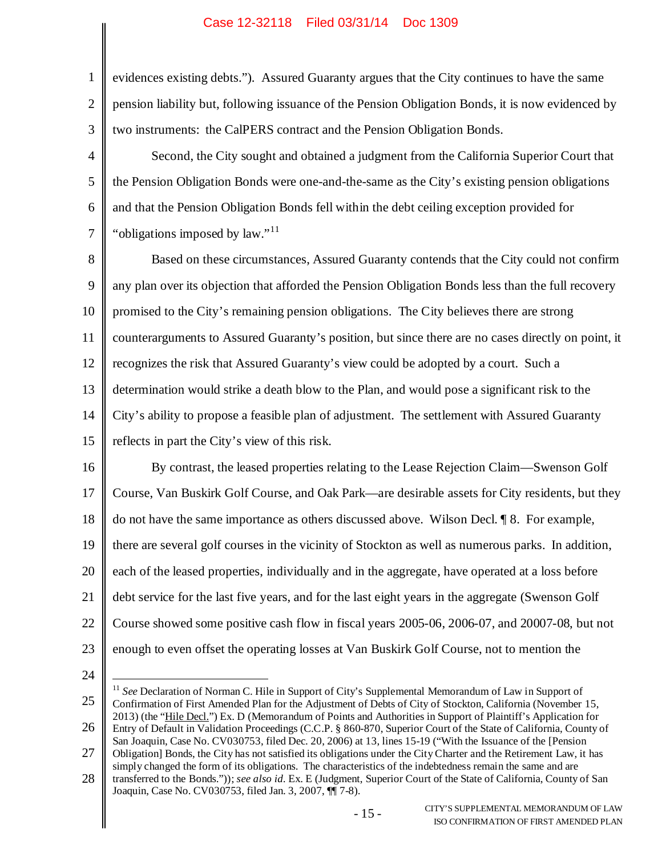| $\mathbf{1}$   | evidences existing debts."). Assured Guaranty argues that the City continues to have the same            |
|----------------|----------------------------------------------------------------------------------------------------------|
| $\mathbf{2}$   | pension liability but, following issuance of the Pension Obligation Bonds, it is now evidenced by        |
| $\mathfrak{Z}$ | two instruments: the CalPERS contract and the Pension Obligation Bonds.                                  |
| 4              | Second, the City sought and obtained a judgment from the California Superior Court that                  |
| 5              | the Pension Obligation Bonds were one-and-the-same as the City's existing pension obligations            |
| 6              | and that the Pension Obligation Bonds fell within the debt ceiling exception provided for                |
| $\tau$         | "obligations imposed by law." <sup>11</sup>                                                              |
| 8              | Based on these circumstances, Assured Guaranty contends that the City could not confirm                  |
| 9              | any plan over its objection that afforded the Pension Obligation Bonds less than the full recovery       |
| 10             | promised to the City's remaining pension obligations. The City believes there are strong                 |
| 11             | counterarguments to Assured Guaranty's position, but since there are no cases directly on point, it      |
| 12             | recognizes the risk that Assured Guaranty's view could be adopted by a court. Such a                     |
| 13             | determination would strike a death blow to the Plan, and would pose a significant risk to the            |
| 14             | City's ability to propose a feasible plan of adjustment. The settlement with Assured Guaranty            |
| 15             | reflects in part the City's view of this risk.                                                           |
| 16             | By contrast, the leased properties relating to the Lease Rejection Claim—Swenson Golf                    |
| 17             | Course, Van Buskirk Golf Course, and Oak Park—are desirable assets for City residents, but they          |
| 18             | do not have the same importance as others discussed above. Wilson Decl. 18. For example,                 |
| 19             | there are several golf courses in the vicinity of Stockton as well as numerous parks. In addition,       |
| 20             | each of the leased properties, individually and in the aggregate, have operated at a loss before         |
| 21             | debt service for the last five years, and for the last eight years in the aggregate (Swenson Golf        |
| 22             | Course showed some positive cash flow in fiscal years 2005-06, 2006-07, and 20007-08, but not            |
| 23             | enough to even offset the operating losses at Van Buskirk Golf Course, not to mention the                |
| 24             |                                                                                                          |
|                | $11$ See Declaration of Norman C. Hile in Support of City's Supplemental Memorandum of Law in Support of |

<sup>26</sup> Confirmation of First Amended Plan for the Adjustment of Debts of City of Stockton, California (November 15, 2013) (the "Hile Decl.") Ex. D (Memorandum of Points and Authorities in Support of Plaintiff's Application for Entry of Default in Validation Proceedings (C.C.P. § 860-870, Superior Court of the State of California, County of

<sup>27</sup> San Joaquin, Case No. CV030753, filed Dec. 20, 2006) at 13, lines 15-19 ("With the Issuance of the [Pension Obligation] Bonds, the City has not satisfied its obligations under the City Charter and the Retirement Law, it has simply changed the form of its obligations. The characteristics of the indebtedness remain the same and are

<sup>28</sup> transferred to the Bonds.")); *see also id.* Ex. E (Judgment, Superior Court of the State of California, County of San Joaquin, Case No. CV030753, filed Jan. 3, 2007, ¶¶ 7-8).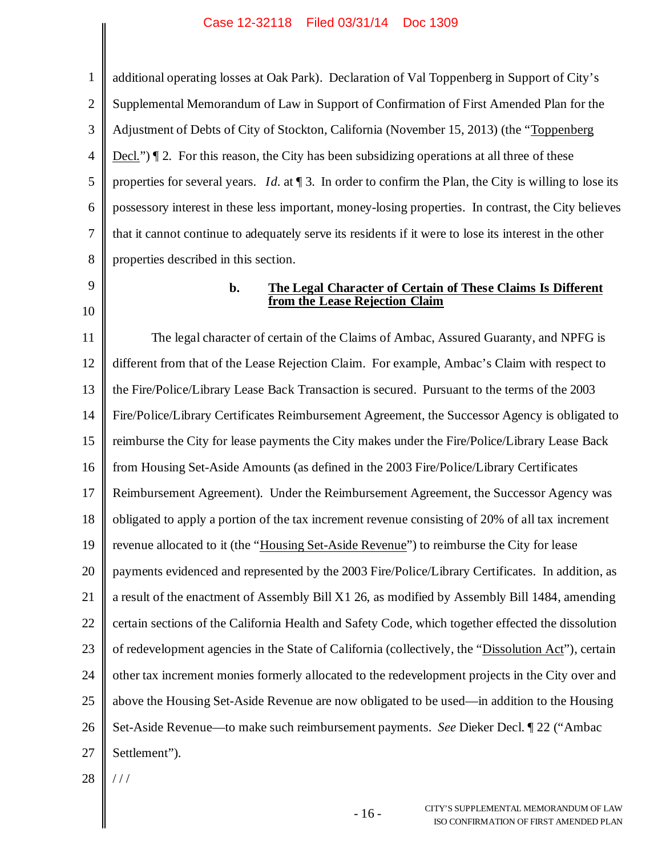1 2 3 4 5 6 7 8 additional operating losses at Oak Park). Declaration of Val Toppenberg in Support of City's Supplemental Memorandum of Law in Support of Confirmation of First Amended Plan for the Adjustment of Debts of City of Stockton, California (November 15, 2013) (the "Toppenberg Decl.")  $\mathbb{I}$  2. For this reason, the City has been subsidizing operations at all three of these properties for several years. *Id.* at ¶ 3. In order to confirm the Plan, the City is willing to lose its possessory interest in these less important, money-losing properties. In contrast, the City believes that it cannot continue to adequately serve its residents if it were to lose its interest in the other properties described in this section.

9

# 10

#### **b. The Legal Character of Certain of These Claims Is Different from the Lease Rejection Claim**

11 12 13 14 15 16 17 18 19 20 21 22 23 24 25 26 27 The legal character of certain of the Claims of Ambac, Assured Guaranty, and NPFG is different from that of the Lease Rejection Claim. For example, Ambac's Claim with respect to the Fire/Police/Library Lease Back Transaction is secured. Pursuant to the terms of the 2003 Fire/Police/Library Certificates Reimbursement Agreement, the Successor Agency is obligated to reimburse the City for lease payments the City makes under the Fire/Police/Library Lease Back from Housing Set-Aside Amounts (as defined in the 2003 Fire/Police/Library Certificates Reimbursement Agreement). Under the Reimbursement Agreement, the Successor Agency was obligated to apply a portion of the tax increment revenue consisting of 20% of all tax increment revenue allocated to it (the "Housing Set-Aside Revenue") to reimburse the City for lease payments evidenced and represented by the 2003 Fire/Police/Library Certificates. In addition, as a result of the enactment of Assembly Bill X1 26, as modified by Assembly Bill 1484, amending certain sections of the California Health and Safety Code, which together effected the dissolution of redevelopment agencies in the State of California (collectively, the "Dissolution Act"), certain other tax increment monies formerly allocated to the redevelopment projects in the City over and above the Housing Set-Aside Revenue are now obligated to be used—in addition to the Housing Set-Aside Revenue—to make such reimbursement payments. *See* Dieker Decl. ¶ 22 ("Ambac Settlement").

28 / / /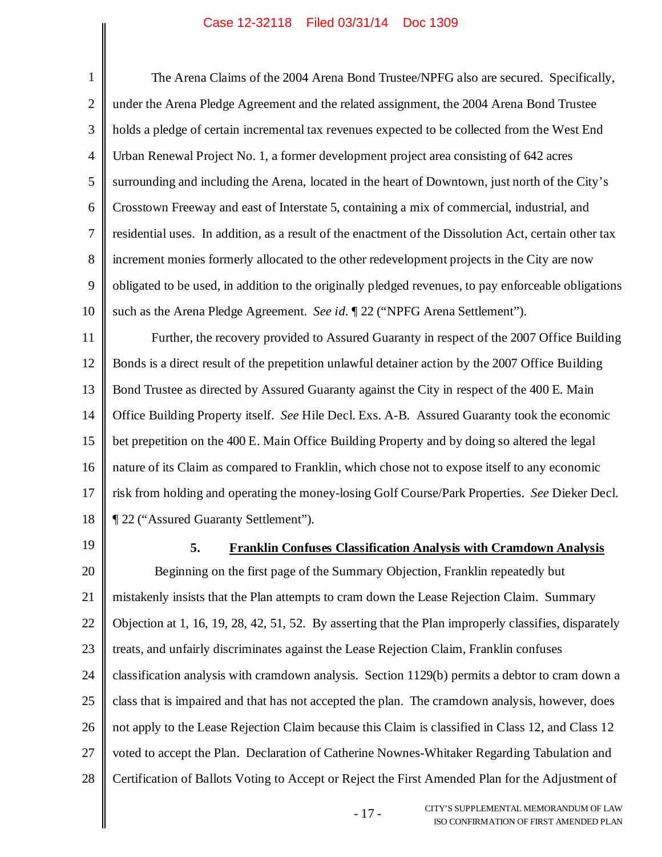1 2 3 4 5 6 7 8 9 10 11 12 13 14 15 16 17 18 19 20 21 22 23 24 25 26 The Arena Claims of the 2004 Arena Bond Trustee/NPFG also are secured. Specifically, under the Arena Pledge Agreement and the related assignment, the 2004 Arena Bond Trustee holds a pledge of certain incremental tax revenues expected to be collected from the West End Urban Renewal Project No. 1, a former development project area consisting of 642 acres surrounding and including the Arena, located in the heart of Downtown, just north of the City's Crosstown Freeway and east of Interstate 5, containing a mix of commercial, industrial, and residential uses. In addition, as a result of the enactment of the Dissolution Act, certain other tax increment monies formerly allocated to the other redevelopment projects in the City are now obligated to be used, in addition to the originally pledged revenues, to pay enforceable obligations such as the Arena Pledge Agreement. *See id.* ¶ 22 ("NPFG Arena Settlement"). Further, the recovery provided to Assured Guaranty in respect of the 2007 Office Building Bonds is a direct result of the prepetition unlawful detainer action by the 2007 Office Building Bond Trustee as directed by Assured Guaranty against the City in respect of the 400 E. Main Office Building Property itself. *See* Hile Decl. Exs. A-B. Assured Guaranty took the economic bet prepetition on the 400 E. Main Office Building Property and by doing so altered the legal nature of its Claim as compared to Franklin, which chose not to expose itself to any economic risk from holding and operating the money-losing Golf Course/Park Properties. *See* Dieker Decl. ¶ 22 ("Assured Guaranty Settlement"). **5. Franklin Confuses Classification Analysis with Cramdown Analysis** Beginning on the first page of the Summary Objection, Franklin repeatedly but mistakenly insists that the Plan attempts to cram down the Lease Rejection Claim. Summary Objection at 1, 16, 19, 28, 42, 51, 52. By asserting that the Plan improperly classifies, disparately treats, and unfairly discriminates against the Lease Rejection Claim, Franklin confuses classification analysis with cramdown analysis. Section 1129(b) permits a debtor to cram down a class that is impaired and that has not accepted the plan. The cramdown analysis, however, does not apply to the Lease Rejection Claim because this Claim is classified in Class 12, and Class 12

27 voted to accept the Plan. Declaration of Catherine Nownes-Whitaker Regarding Tabulation and

28 Certification of Ballots Voting to Accept or Reject the First Amended Plan for the Adjustment of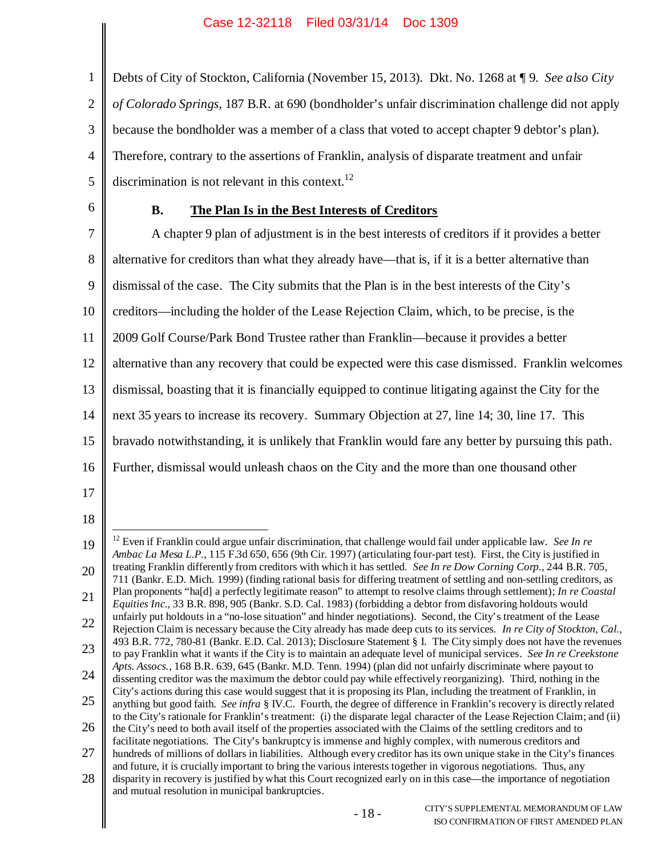1 2 3 4 5 Debts of City of Stockton, California (November 15, 2013). Dkt. No. 1268 at ¶ 9. *See also City of Colorado Springs*, 187 B.R. at 690 (bondholder's unfair discrimination challenge did not apply because the bondholder was a member of a class that voted to accept chapter 9 debtor's plan). Therefore, contrary to the assertions of Franklin, analysis of disparate treatment and unfair discrimination is not relevant in this context.<sup>12</sup>

6

## **B. The Plan Is in the Best Interests of Creditors**

7 8 9 10 11 12 13 14 15 16 A chapter 9 plan of adjustment is in the best interests of creditors if it provides a better alternative for creditors than what they already have—that is, if it is a better alternative than dismissal of the case. The City submits that the Plan is in the best interests of the City's creditors—including the holder of the Lease Rejection Claim, which, to be precise, is the 2009 Golf Course/Park Bond Trustee rather than Franklin—because it provides a better alternative than any recovery that could be expected were this case dismissed. Franklin welcomes dismissal, boasting that it is financially equipped to continue litigating against the City for the next 35 years to increase its recovery. Summary Objection at 27, line 14; 30, line 17. This bravado notwithstanding, it is unlikely that Franklin would fare any better by pursuing this path. Further, dismissal would unleash chaos on the City and the more than one thousand other

- 17
- 18

<sup>19</sup> 20 21 22 23 24 25 26 27 28 <sup>12</sup> Even if Franklin could argue unfair discrimination, that challenge would fail under applicable law. *See In re Ambac La Mesa L.P.*, 115 F.3d 650, 656 (9th Cir. 1997) (articulating four-part test). First, the City is justified in treating Franklin differently from creditors with which it has settled. *See In re Dow Corning Corp.*, 244 B.R. 705, 711 (Bankr. E.D. Mich. 1999) (finding rational basis for differing treatment of settling and non-settling creditors, as Plan proponents "ha[d] a perfectly legitimate reason" to attempt to resolve claims through settlement); *In re Coastal Equities Inc.*, 33 B.R. 898, 905 (Bankr. S.D. Cal. 1983) (forbidding a debtor from disfavoring holdouts would unfairly put holdouts in a "no-lose situation" and hinder negotiations). Second, the City's treatment of the Lease Rejection Claim is necessary because the City already has made deep cuts to its services. *In re City of Stockton, Cal.*, 493 B.R. 772, 780-81 (Bankr. E.D. Cal. 2013); Disclosure Statement § I. The City simply does not have the revenues to pay Franklin what it wants if the City is to maintain an adequate level of municipal services. *See In re Creekstone Apts. Assocs.*, 168 B.R. 639, 645 (Bankr. M.D. Tenn. 1994) (plan did not unfairly discriminate where payout to dissenting creditor was the maximum the debtor could pay while effectively reorganizing). Third, nothing in the City's actions during this case would suggest that it is proposing its Plan, including the treatment of Franklin, in anything but good faith. *See infra* § IV.C. Fourth, the degree of difference in Franklin's recovery is directly related to the City's rationale for Franklin's treatment: (i) the disparate legal character of the Lease Rejection Claim; and (ii) the City's need to both avail itself of the properties associated with the Claims of the settling creditors and to facilitate negotiations. The City's bankruptcy is immense and highly complex, with numerous creditors and hundreds of millions of dollars in liabilities. Although every creditor has its own unique stake in the City's finances and future, it is crucially important to bring the various interests together in vigorous negotiations. Thus, any disparity in recovery is justified by what this Court recognized early on in this case—the importance of negotiation and mutual resolution in municipal bankruptcies.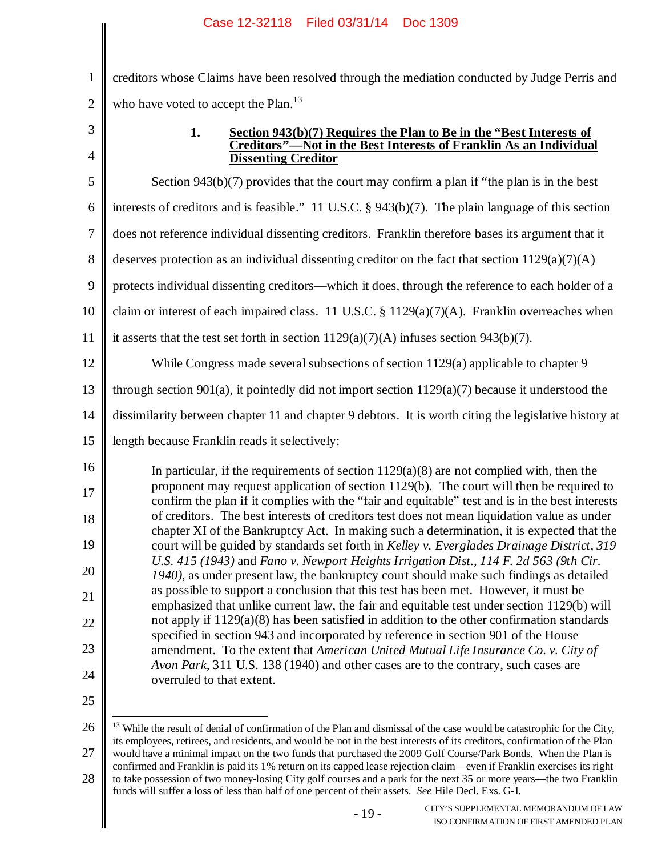creditors whose Claims have been resolved through the mediation conducted by Judge Perris and who have voted to accept the Plan. $^{13}$ 

3

4

1

2

### **1. Section 943(b)(7) Requires the Plan to Be in the "Best Interests of Creditors"—Not in the Best Interests of Franklin As an Individual Dissenting Creditor**

5 6 7 8 9 10 11 12 13 14 15 16 17 18 19 20 21 22 23 24 Section 943(b)(7) provides that the court may confirm a plan if "the plan is in the best interests of creditors and is feasible." 11 U.S.C. § 943(b)(7). The plain language of this section does not reference individual dissenting creditors. Franklin therefore bases its argument that it deserves protection as an individual dissenting creditor on the fact that section  $1129(a)(7)(A)$ protects individual dissenting creditors—which it does, through the reference to each holder of a claim or interest of each impaired class. 11 U.S.C. § 1129(a)(7)(A). Franklin overreaches when it asserts that the test set forth in section  $1129(a)(7)(A)$  infuses section  $943(b)(7)$ . While Congress made several subsections of section 1129(a) applicable to chapter 9 through section 901(a), it pointedly did not import section 1129(a)(7) because it understood the dissimilarity between chapter 11 and chapter 9 debtors. It is worth citing the legislative history at length because Franklin reads it selectively: In particular, if the requirements of section  $1129(a)(8)$  are not complied with, then the proponent may request application of section 1129(b). The court will then be required to confirm the plan if it complies with the "fair and equitable" test and is in the best interests of creditors. The best interests of creditors test does not mean liquidation value as under chapter XI of the Bankruptcy Act. In making such a determination, it is expected that the court will be guided by standards set forth in *Kelley v. Everglades Drainage District, 319 U.S. 415 (1943)* and *Fano v. Newport Heights Irrigation Dist., 114 F. 2d 563 (9th Cir. 1940)*, as under present law, the bankruptcy court should make such findings as detailed as possible to support a conclusion that this test has been met. However, it must be emphasized that unlike current law, the fair and equitable test under section 1129(b) will not apply if 1129(a)(8) has been satisfied in addition to the other confirmation standards specified in section 943 and incorporated by reference in section 901 of the House amendment. To the extent that *American United Mutual Life Insurance Co. v. City of Avon Park*, 311 U.S. 138 (1940) and other cases are to the contrary, such cases are overruled to that extent.

25

26 27 28  $13$  While the result of denial of confirmation of the Plan and dismissal of the case would be catastrophic for the City, its employees, retirees, and residents, and would be not in the best interests of its creditors, confirmation of the Plan would have a minimal impact on the two funds that purchased the 2009 Golf Course/Park Bonds. When the Plan is confirmed and Franklin is paid its 1% return on its capped lease rejection claim—even if Franklin exercises its right to take possession of two money-losing City golf courses and a park for the next 35 or more years—the two Franklin

funds will suffer a loss of less than half of one percent of their assets. *See* Hile Decl. Exs. G-I.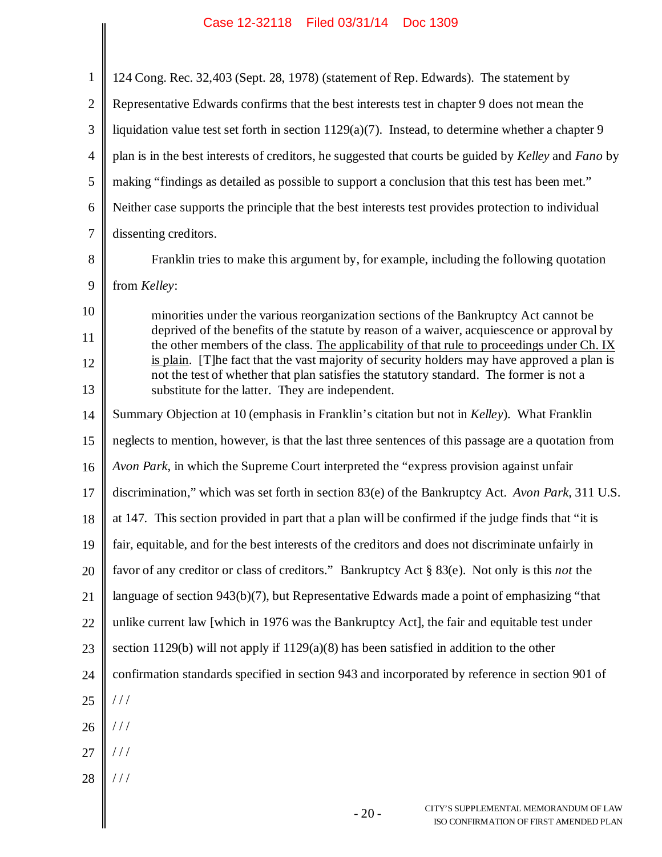| 1              | 124 Cong. Rec. 32,403 (Sept. 28, 1978) (statement of Rep. Edwards). The statement by                                                                                                                                                        |
|----------------|---------------------------------------------------------------------------------------------------------------------------------------------------------------------------------------------------------------------------------------------|
| $\overline{2}$ | Representative Edwards confirms that the best interests test in chapter 9 does not mean the                                                                                                                                                 |
| 3              | liquidation value test set forth in section 1129(a)(7). Instead, to determine whether a chapter 9                                                                                                                                           |
| $\overline{4}$ | plan is in the best interests of creditors, he suggested that courts be guided by Kelley and Fano by                                                                                                                                        |
| 5              | making "findings as detailed as possible to support a conclusion that this test has been met."                                                                                                                                              |
| 6              | Neither case supports the principle that the best interests test provides protection to individual                                                                                                                                          |
| $\overline{7}$ | dissenting creditors.                                                                                                                                                                                                                       |
| 8              | Franklin tries to make this argument by, for example, including the following quotation                                                                                                                                                     |
| 9              | from Kelley:                                                                                                                                                                                                                                |
| 10             | minorities under the various reorganization sections of the Bankruptcy Act cannot be                                                                                                                                                        |
| 11             | deprived of the benefits of the statute by reason of a waiver, acquiescence or approval by<br>the other members of the class. The applicability of that rule to proceedings under Ch. IX                                                    |
| 12<br>13       | is plain. [T] he fact that the vast majority of security holders may have approved a plan is<br>not the test of whether that plan satisfies the statutory standard. The former is not a<br>substitute for the latter. They are independent. |
| 14             | Summary Objection at 10 (emphasis in Franklin's citation but not in Kelley). What Franklin                                                                                                                                                  |
| 15             | neglects to mention, however, is that the last three sentences of this passage are a quotation from                                                                                                                                         |
| 16             | Avon Park, in which the Supreme Court interpreted the "express provision against unfair                                                                                                                                                     |
| 17             | discrimination," which was set forth in section 83(e) of the Bankruptcy Act. Avon Park, 311 U.S.                                                                                                                                            |
| 18             | at 147. This section provided in part that a plan will be confirmed if the judge finds that "it is                                                                                                                                          |
| 19             | fair, equitable, and for the best interests of the creditors and does not discriminate unfairly in                                                                                                                                          |
| 20             | favor of any creditor or class of creditors." Bankruptcy Act § 83(e). Not only is this not the                                                                                                                                              |
| 21             | language of section 943(b)(7), but Representative Edwards made a point of emphasizing "that                                                                                                                                                 |
| 22             | unlike current law [which in 1976 was the Bankruptcy Act], the fair and equitable test under                                                                                                                                                |
| 23             | section 1129(b) will not apply if $1129(a)(8)$ has been satisfied in addition to the other                                                                                                                                                  |
| 24             | confirmation standards specified in section 943 and incorporated by reference in section 901 of                                                                                                                                             |
| 25             | //                                                                                                                                                                                                                                          |
| 26             |                                                                                                                                                                                                                                             |
| 27             |                                                                                                                                                                                                                                             |
| 28             |                                                                                                                                                                                                                                             |
|                | CITY'S SUPPLEMENTAL MEMORANDUM OF LAW<br>$-20-$<br>ISO CONFIRMATION OF FIRST AMENDED PLAN                                                                                                                                                   |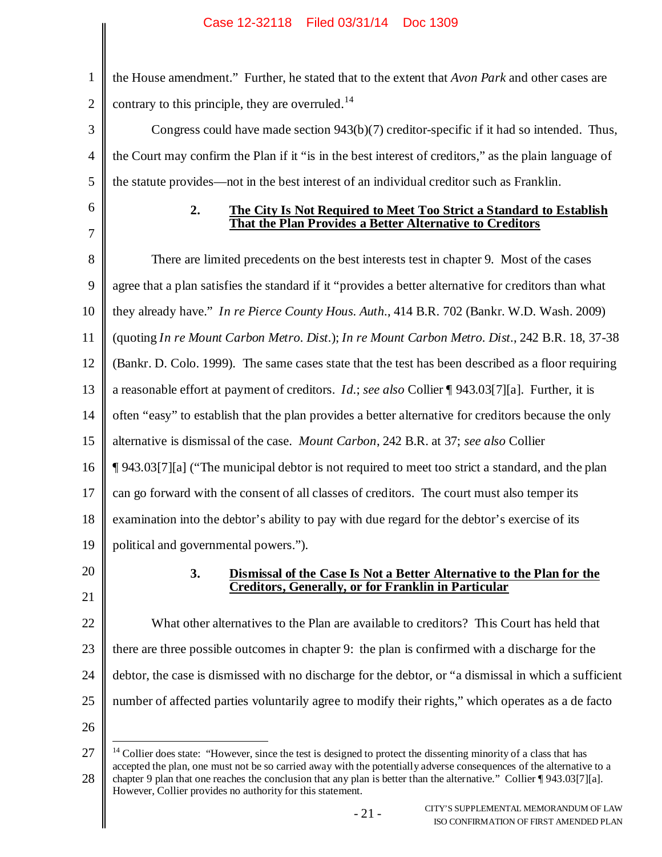1 2 the House amendment." Further, he stated that to the extent that *Avon Park* and other cases are contrary to this principle, they are overruled.<sup>14</sup>

3 4 5 Congress could have made section 943(b)(7) creditor-specific if it had so intended. Thus, the Court may confirm the Plan if it "is in the best interest of creditors," as the plain language of the statute provides—not in the best interest of an individual creditor such as Franklin.

6 7

### **2. The City Is Not Required to Meet Too Strict a Standard to Establish That the Plan Provides a Better Alternative to Creditors**

8 9 10 11 12 13 14 15 16 17 18 19 20 There are limited precedents on the best interests test in chapter 9. Most of the cases agree that a plan satisfies the standard if it "provides a better alternative for creditors than what they already have." *In re Pierce County Hous. Auth.*, 414 B.R. 702 (Bankr. W.D. Wash. 2009) (quoting *In re Mount Carbon Metro. Dist.*); *In re Mount Carbon Metro. Dist.*, 242 B.R. 18, 37-38 (Bankr. D. Colo. 1999). The same cases state that the test has been described as a floor requiring a reasonable effort at payment of creditors. *Id.*; *see also* Collier ¶ 943.03[7][a]. Further, it is often "easy" to establish that the plan provides a better alternative for creditors because the only alternative is dismissal of the case. *Mount Carbon*, 242 B.R. at 37; *see also* Collier ¶ 943.03[7][a] ("The municipal debtor is not required to meet too strict a standard, and the plan can go forward with the consent of all classes of creditors. The court must also temper its examination into the debtor's ability to pay with due regard for the debtor's exercise of its political and governmental powers.").

21

## **3. Dismissal of the Case Is Not a Better Alternative to the Plan for the Creditors, Generally, or for Franklin in Particular**

22 23 24 25 What other alternatives to the Plan are available to creditors? This Court has held that there are three possible outcomes in chapter 9: the plan is confirmed with a discharge for the debtor, the case is dismissed with no discharge for the debtor, or "a dismissal in which a sufficient number of affected parties voluntarily agree to modify their rights," which operates as a de facto

<sup>27</sup> 28  $<sup>14</sup>$  Collier does state: "However, since the test is designed to protect the dissenting minority of a class that has</sup> accepted the plan, one must not be so carried away with the potentially adverse consequences of the alternative to a chapter 9 plan that one reaches the conclusion that any plan is better than the alternative." Collier ¶ 943.03[7][a]. However, Collier provides no authority for this statement.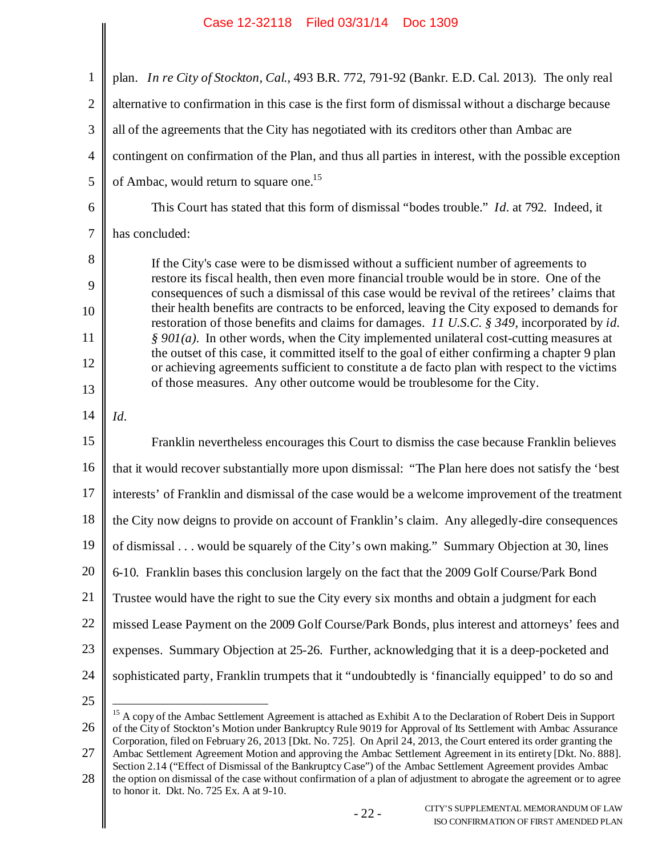1 2 3 4 5 6 7 8 9 10 11 12 13 14 15 16 17 18 19 20 21 22 23 24 25 plan. *In re City of Stockton, Cal.*, 493 B.R. 772, 791-92 (Bankr. E.D. Cal. 2013). The only real alternative to confirmation in this case is the first form of dismissal without a discharge because all of the agreements that the City has negotiated with its creditors other than Ambac are contingent on confirmation of the Plan, and thus all parties in interest, with the possible exception of Ambac, would return to square one.<sup>15</sup> This Court has stated that this form of dismissal "bodes trouble." *Id.* at 792. Indeed, it has concluded: If the City's case were to be dismissed without a sufficient number of agreements to restore its fiscal health, then even more financial trouble would be in store. One of the consequences of such a dismissal of this case would be revival of the retirees' claims that their health benefits are contracts to be enforced, leaving the City exposed to demands for restoration of those benefits and claims for damages. *11 U.S.C. § 349*, incorporated by *id. § 901(a)*. In other words, when the City implemented unilateral cost-cutting measures at the outset of this case, it committed itself to the goal of either confirming a chapter 9 plan or achieving agreements sufficient to constitute a de facto plan with respect to the victims of those measures. Any other outcome would be troublesome for the City. *Id.* Franklin nevertheless encourages this Court to dismiss the case because Franklin believes that it would recover substantially more upon dismissal: "The Plan here does not satisfy the 'best interests' of Franklin and dismissal of the case would be a welcome improvement of the treatment the City now deigns to provide on account of Franklin's claim. Any allegedly-dire consequences of dismissal . . . would be squarely of the City's own making." Summary Objection at 30, lines 6-10. Franklin bases this conclusion largely on the fact that the 2009 Golf Course/Park Bond Trustee would have the right to sue the City every six months and obtain a judgment for each missed Lease Payment on the 2009 Golf Course/Park Bonds, plus interest and attorneys' fees and expenses. Summary Objection at 25-26. Further, acknowledging that it is a deep-pocketed and sophisticated party, Franklin trumpets that it "undoubtedly is 'financially equipped' to do so and <sup>15</sup> A copy of the Ambac Settlement Agreement is attached as Exhibit A to the Declaration of Robert Deis in Support

26

of the City of Stockton's Motion under Bankruptcy Rule 9019 for Approval of Its Settlement with Ambac Assurance Corporation, filed on February 26, 2013 [Dkt. No. 725]. On April 24, 2013, the Court entered its order granting the Ambac Settlement Agreement Motion and approving the Ambac Settlement Agreement in its entirety [Dkt. No. 888].

<sup>28</sup> Section 2.14 ("Effect of Dismissal of the Bankruptcy Case") of the Ambac Settlement Agreement provides Ambac the option on dismissal of the case without confirmation of a plan of adjustment to abrogate the agreement or to agree to honor it. Dkt. No. 725 Ex. A at 9-10.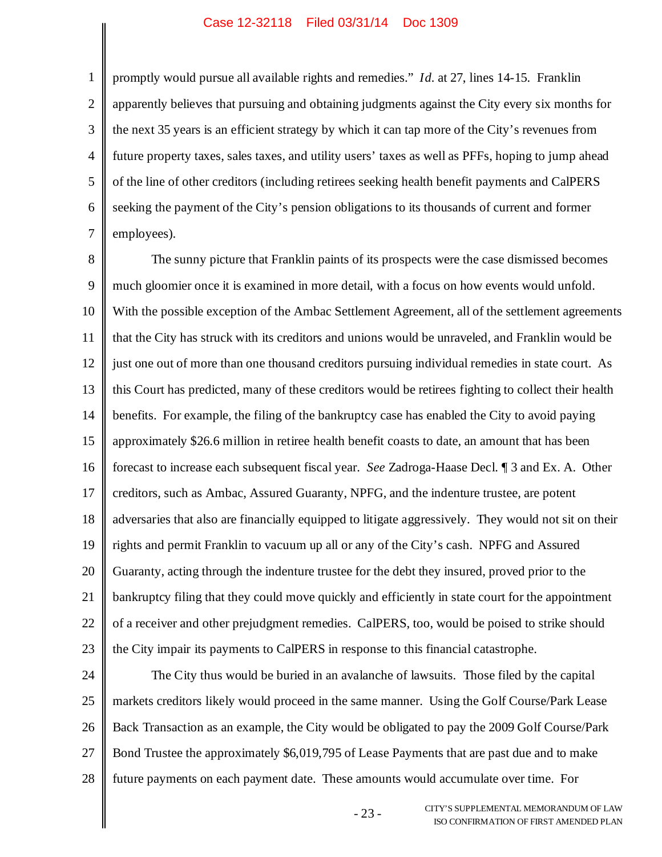1 2 3 4 5 6 7 promptly would pursue all available rights and remedies." *Id.* at 27, lines 14-15. Franklin apparently believes that pursuing and obtaining judgments against the City every six months for the next 35 years is an efficient strategy by which it can tap more of the City's revenues from future property taxes, sales taxes, and utility users' taxes as well as PFFs, hoping to jump ahead of the line of other creditors (including retirees seeking health benefit payments and CalPERS seeking the payment of the City's pension obligations to its thousands of current and former employees).

8 9 10 11 12 13 14 15 16 17 18 19 20 21 22 23 The sunny picture that Franklin paints of its prospects were the case dismissed becomes much gloomier once it is examined in more detail, with a focus on how events would unfold. With the possible exception of the Ambac Settlement Agreement, all of the settlement agreements that the City has struck with its creditors and unions would be unraveled, and Franklin would be just one out of more than one thousand creditors pursuing individual remedies in state court. As this Court has predicted, many of these creditors would be retirees fighting to collect their health benefits. For example, the filing of the bankruptcy case has enabled the City to avoid paying approximately \$26.6 million in retiree health benefit coasts to date, an amount that has been forecast to increase each subsequent fiscal year. *See* Zadroga-Haase Decl. ¶ 3 and Ex. A. Other creditors, such as Ambac, Assured Guaranty, NPFG, and the indenture trustee, are potent adversaries that also are financially equipped to litigate aggressively. They would not sit on their rights and permit Franklin to vacuum up all or any of the City's cash. NPFG and Assured Guaranty, acting through the indenture trustee for the debt they insured, proved prior to the bankruptcy filing that they could move quickly and efficiently in state court for the appointment of a receiver and other prejudgment remedies. CalPERS, too, would be poised to strike should the City impair its payments to CalPERS in response to this financial catastrophe.

24 25 26 27 28 The City thus would be buried in an avalanche of lawsuits. Those filed by the capital markets creditors likely would proceed in the same manner. Using the Golf Course/Park Lease Back Transaction as an example, the City would be obligated to pay the 2009 Golf Course/Park Bond Trustee the approximately \$6,019,795 of Lease Payments that are past due and to make future payments on each payment date. These amounts would accumulate over time. For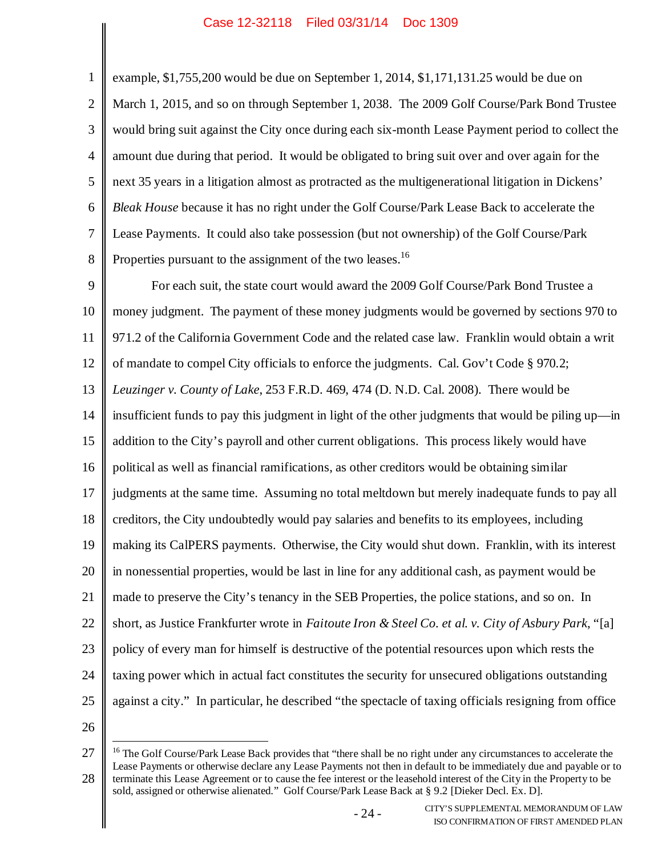1 2 3 4 5 6 7 8 example, \$1,755,200 would be due on September 1, 2014, \$1,171,131.25 would be due on March 1, 2015, and so on through September 1, 2038. The 2009 Golf Course/Park Bond Trustee would bring suit against the City once during each six-month Lease Payment period to collect the amount due during that period. It would be obligated to bring suit over and over again for the next 35 years in a litigation almost as protracted as the multigenerational litigation in Dickens' *Bleak House* because it has no right under the Golf Course/Park Lease Back to accelerate the Lease Payments. It could also take possession (but not ownership) of the Golf Course/Park Properties pursuant to the assignment of the two leases.<sup>16</sup>

9 10 11 12 13 14 15 16 17 18 19 20 21 22 23 24 25 For each suit, the state court would award the 2009 Golf Course/Park Bond Trustee a money judgment. The payment of these money judgments would be governed by sections 970 to 971.2 of the California Government Code and the related case law. Franklin would obtain a writ of mandate to compel City officials to enforce the judgments. Cal. Gov't Code § 970.2; *Leuzinger v. County of Lake*, 253 F.R.D. 469, 474 (D. N.D. Cal. 2008). There would be insufficient funds to pay this judgment in light of the other judgments that would be piling up—in addition to the City's payroll and other current obligations. This process likely would have political as well as financial ramifications, as other creditors would be obtaining similar judgments at the same time. Assuming no total meltdown but merely inadequate funds to pay all creditors, the City undoubtedly would pay salaries and benefits to its employees, including making its CalPERS payments. Otherwise, the City would shut down. Franklin, with its interest in nonessential properties, would be last in line for any additional cash, as payment would be made to preserve the City's tenancy in the SEB Properties, the police stations, and so on. In short, as Justice Frankfurter wrote in *Faitoute Iron & Steel Co. et al. v. City of Asbury Park*, "[a] policy of every man for himself is destructive of the potential resources upon which rests the taxing power which in actual fact constitutes the security for unsecured obligations outstanding against a city." In particular, he described "the spectacle of taxing officials resigning from office

<sup>27</sup> 28 <sup>16</sup> The Golf Course/Park Lease Back provides that "there shall be no right under any circumstances to accelerate the Lease Payments or otherwise declare any Lease Payments not then in default to be immediately due and payable or to terminate this Lease Agreement or to cause the fee interest or the leasehold interest of the City in the Property to be sold, assigned or otherwise alienated." Golf Course/Park Lease Back at § 9.2 [Dieker Decl. Ex. D].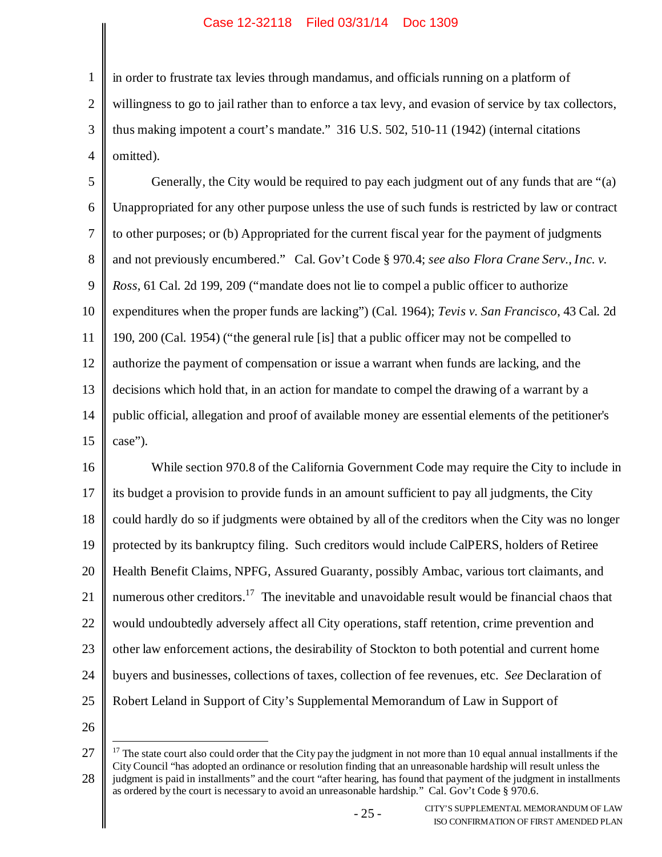1 2 3 4 in order to frustrate tax levies through mandamus, and officials running on a platform of willingness to go to jail rather than to enforce a tax levy, and evasion of service by tax collectors, thus making impotent a court's mandate." 316 U.S. 502, 510-11 (1942) (internal citations omitted).

5 6 7 8 9 10 11 12 13 14 15 Generally, the City would be required to pay each judgment out of any funds that are "(a) Unappropriated for any other purpose unless the use of such funds is restricted by law or contract to other purposes; or (b) Appropriated for the current fiscal year for the payment of judgments and not previously encumbered." Cal. Gov't Code § 970.4; *see also Flora Crane Serv., Inc. v. Ross*, 61 Cal. 2d 199, 209 ("mandate does not lie to compel a public officer to authorize expenditures when the proper funds are lacking") (Cal. 1964); *Tevis v. San Francisco*, 43 Cal. 2d 190, 200 (Cal. 1954) ("the general rule [is] that a public officer may not be compelled to authorize the payment of compensation or issue a warrant when funds are lacking, and the decisions which hold that, in an action for mandate to compel the drawing of a warrant by a public official, allegation and proof of available money are essential elements of the petitioner's case").

16 17 18 19 20 21 22 23 24 25 While section 970.8 of the California Government Code may require the City to include in its budget a provision to provide funds in an amount sufficient to pay all judgments, the City could hardly do so if judgments were obtained by all of the creditors when the City was no longer protected by its bankruptcy filing. Such creditors would include CalPERS, holders of Retiree Health Benefit Claims, NPFG, Assured Guaranty, possibly Ambac, various tort claimants, and numerous other creditors.<sup>17</sup> The inevitable and unavoidable result would be financial chaos that would undoubtedly adversely affect all City operations, staff retention, crime prevention and other law enforcement actions, the desirability of Stockton to both potential and current home buyers and businesses, collections of taxes, collection of fee revenues, etc. *See* Declaration of Robert Leland in Support of City's Supplemental Memorandum of Law in Support of

<sup>27</sup> 28 <sup>17</sup> The state court also could order that the City pay the judgment in not more than 10 equal annual installments if the City Council "has adopted an ordinance or resolution finding that an unreasonable hardship will result unless the judgment is paid in installments" and the court "after hearing, has found that payment of the judgment in installments as ordered by the court is necessary to avoid an unreasonable hardship." Cal. Gov't Code § 970.6.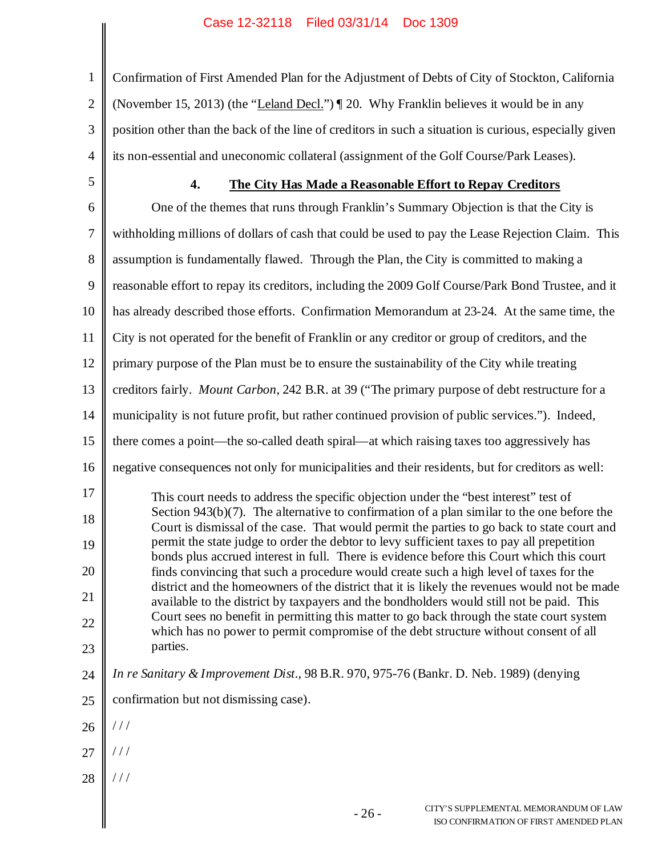1 2 3 4 Confirmation of First Amended Plan for the Adjustment of Debts of City of Stockton, California (November 15, 2013) (the "Leland Decl.") ¶ 20. Why Franklin believes it would be in any position other than the back of the line of creditors in such a situation is curious, especially given its non-essential and uneconomic collateral (assignment of the Golf Course/Park Leases).

5

### **4. The City Has Made a Reasonable Effort to Repay Creditors**

6 7 8 9 10 11 12 13 14 15 16 17 18 19 20 21 22 23 24 One of the themes that runs through Franklin's Summary Objection is that the City is withholding millions of dollars of cash that could be used to pay the Lease Rejection Claim. This assumption is fundamentally flawed. Through the Plan, the City is committed to making a reasonable effort to repay its creditors, including the 2009 Golf Course/Park Bond Trustee, and it has already described those efforts. Confirmation Memorandum at 23-24. At the same time, the City is not operated for the benefit of Franklin or any creditor or group of creditors, and the primary purpose of the Plan must be to ensure the sustainability of the City while treating creditors fairly. *Mount Carbon*, 242 B.R. at 39 ("The primary purpose of debt restructure for a municipality is not future profit, but rather continued provision of public services."). Indeed, there comes a point—the so-called death spiral—at which raising taxes too aggressively has negative consequences not only for municipalities and their residents, but for creditors as well: This court needs to address the specific objection under the "best interest" test of Section 943(b)(7). The alternative to confirmation of a plan similar to the one before the Court is dismissal of the case. That would permit the parties to go back to state court and permit the state judge to order the debtor to levy sufficient taxes to pay all prepetition bonds plus accrued interest in full. There is evidence before this Court which this court finds convincing that such a procedure would create such a high level of taxes for the district and the homeowners of the district that it is likely the revenues would not be made available to the district by taxpayers and the bondholders would still not be paid. This Court sees no benefit in permitting this matter to go back through the state court system which has no power to permit compromise of the debt structure without consent of all parties. *In re Sanitary & Improvement Dist.*, 98 B.R. 970, 975-76 (Bankr. D. Neb. 1989) (denying

- 25 confirmation but not dismissing case).
- 26 / / /
- 27 / / /
- 28 / / /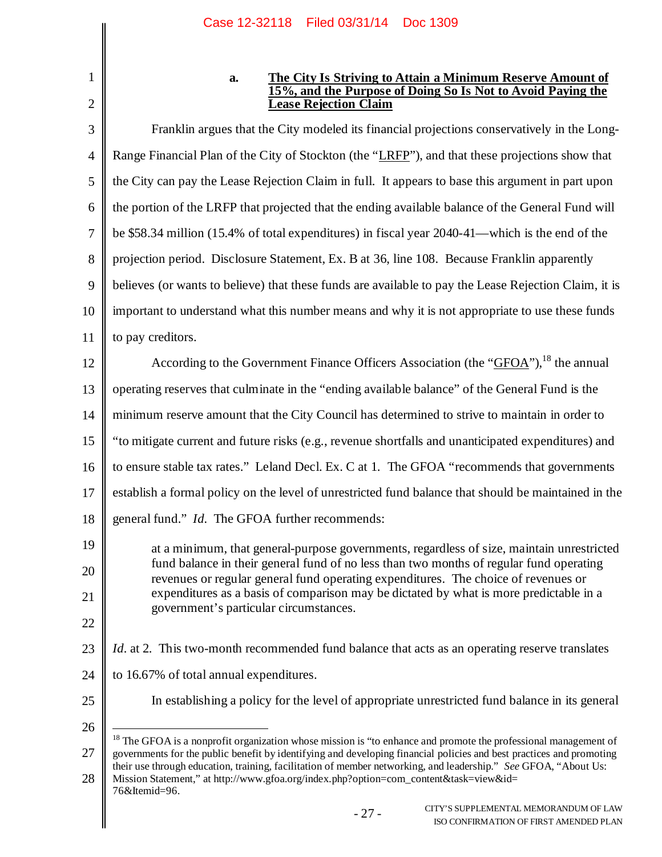1 2

### **a. The City Is Striving to Attain a Minimum Reserve Amount of 15%, and the Purpose of Doing So Is Not to Avoid Paying the Lease Rejection Claim**

3 4 5 6 7 8 9 10 11 12 13 14 15 16 17 18 19 20 21 22 23 24 25 26 Franklin argues that the City modeled its financial projections conservatively in the Long-Range Financial Plan of the City of Stockton (the "LRFP"), and that these projections show that the City can pay the Lease Rejection Claim in full. It appears to base this argument in part upon the portion of the LRFP that projected that the ending available balance of the General Fund will be \$58.34 million (15.4% of total expenditures) in fiscal year 2040-41—which is the end of the projection period. Disclosure Statement, Ex. B at 36, line 108. Because Franklin apparently believes (or wants to believe) that these funds are available to pay the Lease Rejection Claim, it is important to understand what this number means and why it is not appropriate to use these funds to pay creditors. According to the Government Finance Officers Association (the "GFOA"), <sup>18</sup> the annual operating reserves that culminate in the "ending available balance" of the General Fund is the minimum reserve amount that the City Council has determined to strive to maintain in order to "to mitigate current and future risks (e.g., revenue shortfalls and unanticipated expenditures) and to ensure stable tax rates." Leland Decl. Ex. C at 1. The GFOA "recommends that governments establish a formal policy on the level of unrestricted fund balance that should be maintained in the general fund." *Id.* The GFOA further recommends: at a minimum, that general-purpose governments, regardless of size, maintain unrestricted fund balance in their general fund of no less than two months of regular fund operating revenues or regular general fund operating expenditures. The choice of revenues or expenditures as a basis of comparison may be dictated by what is more predictable in a government's particular circumstances. *Id.* at 2. This two-month recommended fund balance that acts as an operating reserve translates to 16.67% of total annual expenditures. In establishing a policy for the level of appropriate unrestricted fund balance in its general <sup>18</sup> The GFOA is a nonprofit organization whose mission is "to enhance and promote the professional management of

27 governments for the public benefit by identifying and developing financial policies and best practices and promoting their use through education, training, facilitation of member networking, and leadership." *See* GFOA, "About Us:

28 Mission Statement," at http://www.gfoa.org/index.php?option=com\_content&task=view&id=

<sup>76&</sup>amp;Itemid=96.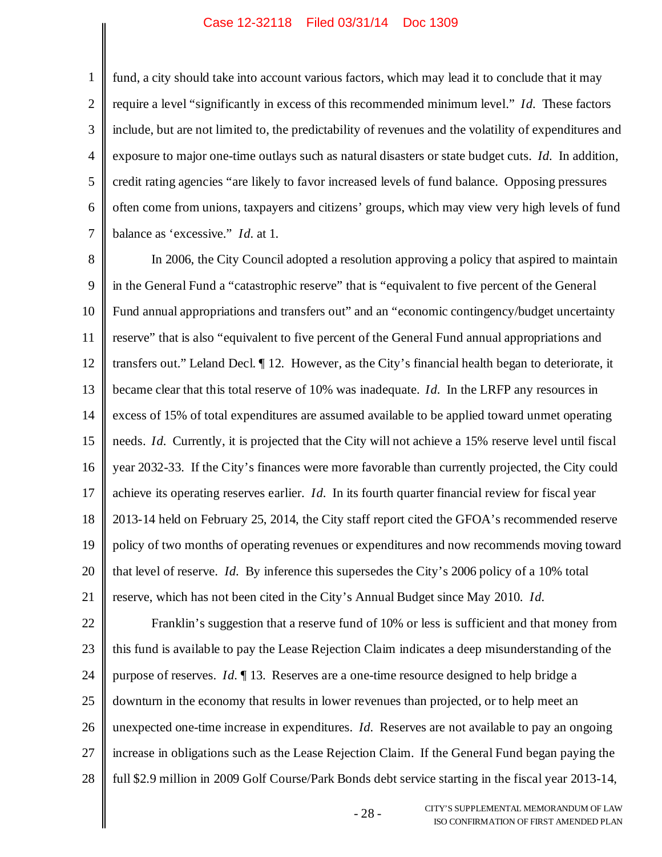1 2 3 4 5 6 7 fund, a city should take into account various factors, which may lead it to conclude that it may require a level "significantly in excess of this recommended minimum level." *Id.* These factors include, but are not limited to, the predictability of revenues and the volatility of expenditures and exposure to major one-time outlays such as natural disasters or state budget cuts. *Id.* In addition, credit rating agencies "are likely to favor increased levels of fund balance. Opposing pressures often come from unions, taxpayers and citizens' groups, which may view very high levels of fund balance as 'excessive." *Id.* at 1.

8 9 10 11 12 13 14 15 16 17 18 19 20 21 In 2006, the City Council adopted a resolution approving a policy that aspired to maintain in the General Fund a "catastrophic reserve" that is "equivalent to five percent of the General Fund annual appropriations and transfers out" and an "economic contingency/budget uncertainty reserve" that is also "equivalent to five percent of the General Fund annual appropriations and transfers out." Leland Decl. ¶ 12. However, as the City's financial health began to deteriorate, it became clear that this total reserve of 10% was inadequate. *Id.* In the LRFP any resources in excess of 15% of total expenditures are assumed available to be applied toward unmet operating needs. *Id.* Currently, it is projected that the City will not achieve a 15% reserve level until fiscal year 2032-33. If the City's finances were more favorable than currently projected, the City could achieve its operating reserves earlier. *Id.* In its fourth quarter financial review for fiscal year 2013-14 held on February 25, 2014, the City staff report cited the GFOA's recommended reserve policy of two months of operating revenues or expenditures and now recommends moving toward that level of reserve. *Id.* By inference this supersedes the City's 2006 policy of a 10% total reserve, which has not been cited in the City's Annual Budget since May 2010. *Id.*

22 23 24 25 26 27 28 Franklin's suggestion that a reserve fund of 10% or less is sufficient and that money from this fund is available to pay the Lease Rejection Claim indicates a deep misunderstanding of the purpose of reserves. *Id.* ¶ 13. Reserves are a one-time resource designed to help bridge a downturn in the economy that results in lower revenues than projected, or to help meet an unexpected one-time increase in expenditures. *Id.* Reserves are not available to pay an ongoing increase in obligations such as the Lease Rejection Claim. If the General Fund began paying the full \$2.9 million in 2009 Golf Course/Park Bonds debt service starting in the fiscal year 2013-14,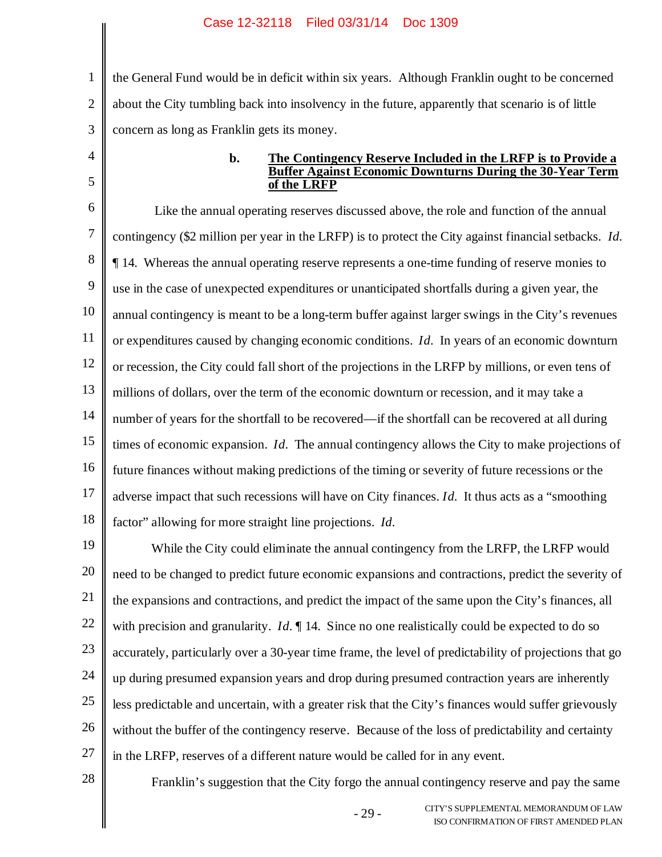1 2 3 the General Fund would be in deficit within six years. Although Franklin ought to be concerned about the City tumbling back into insolvency in the future, apparently that scenario is of little concern as long as Franklin gets its money.

4 5

#### **b. The Contingency Reserve Included in the LRFP is to Provide a Buffer Against Economic Downturns During the 30-Year Term of the LRFP**

6 7 8 9 10 11 12 13 14 15 16 17 18 Like the annual operating reserves discussed above, the role and function of the annual contingency (\$2 million per year in the LRFP) is to protect the City against financial setbacks. *Id.* ¶ 14. Whereas the annual operating reserve represents a one-time funding of reserve monies to use in the case of unexpected expenditures or unanticipated shortfalls during a given year, the annual contingency is meant to be a long-term buffer against larger swings in the City's revenues or expenditures caused by changing economic conditions. *Id.* In years of an economic downturn or recession, the City could fall short of the projections in the LRFP by millions, or even tens of millions of dollars, over the term of the economic downturn or recession, and it may take a number of years for the shortfall to be recovered—if the shortfall can be recovered at all during times of economic expansion. *Id.* The annual contingency allows the City to make projections of future finances without making predictions of the timing or severity of future recessions or the adverse impact that such recessions will have on City finances. *Id.* It thus acts as a "smoothing factor" allowing for more straight line projections. *Id.*

19 20 21 22 23 24 25 26 27 While the City could eliminate the annual contingency from the LRFP, the LRFP would need to be changed to predict future economic expansions and contractions, predict the severity of the expansions and contractions, and predict the impact of the same upon the City's finances, all with precision and granularity. *Id.*  $\parallel$  14. Since no one realistically could be expected to do so accurately, particularly over a 30-year time frame, the level of predictability of projections that go up during presumed expansion years and drop during presumed contraction years are inherently less predictable and uncertain, with a greater risk that the City's finances would suffer grievously without the buffer of the contingency reserve. Because of the loss of predictability and certainty in the LRFP, reserves of a different nature would be called for in any event.

28

Franklin's suggestion that the City forgo the annual contingency reserve and pay the same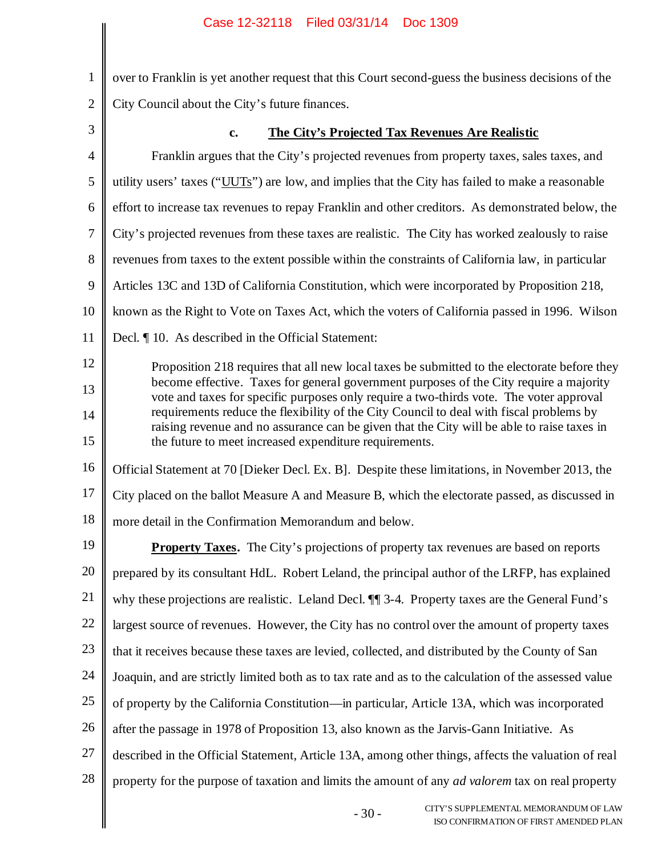1 2 3 4 5 6 7 8 9 10 11 12 13 14 15 16 17 18 19 20 21 22 23 24 25 26 27 28 over to Franklin is yet another request that this Court second-guess the business decisions of the City Council about the City's future finances. **c. The City's Projected Tax Revenues Are Realistic** Franklin argues that the City's projected revenues from property taxes, sales taxes, and utility users' taxes ("UUTs") are low, and implies that the City has failed to make a reasonable effort to increase tax revenues to repay Franklin and other creditors. As demonstrated below, the City's projected revenues from these taxes are realistic. The City has worked zealously to raise revenues from taxes to the extent possible within the constraints of California law, in particular Articles 13C and 13D of California Constitution, which were incorporated by Proposition 218, known as the Right to Vote on Taxes Act, which the voters of California passed in 1996. Wilson Decl. ¶ 10. As described in the Official Statement: Proposition 218 requires that all new local taxes be submitted to the electorate before they become effective. Taxes for general government purposes of the City require a majority vote and taxes for specific purposes only require a two-thirds vote. The voter approval requirements reduce the flexibility of the City Council to deal with fiscal problems by raising revenue and no assurance can be given that the City will be able to raise taxes in the future to meet increased expenditure requirements. Official Statement at 70 [Dieker Decl. Ex. B]. Despite these limitations, in November 2013, the City placed on the ballot Measure A and Measure B, which the electorate passed, as discussed in more detail in the Confirmation Memorandum and below. **Property Taxes.** The City's projections of property tax revenues are based on reports prepared by its consultant HdL. Robert Leland, the principal author of the LRFP, has explained why these projections are realistic. Leland Decl. ¶¶ 3-4. Property taxes are the General Fund's largest source of revenues. However, the City has no control over the amount of property taxes that it receives because these taxes are levied, collected, and distributed by the County of San Joaquin, and are strictly limited both as to tax rate and as to the calculation of the assessed value of property by the California Constitution—in particular, Article 13A, which was incorporated after the passage in 1978 of Proposition 13, also known as the Jarvis-Gann Initiative. As described in the Official Statement, Article 13A, among other things, affects the valuation of real property for the purpose of taxation and limits the amount of any *ad valorem* tax on real property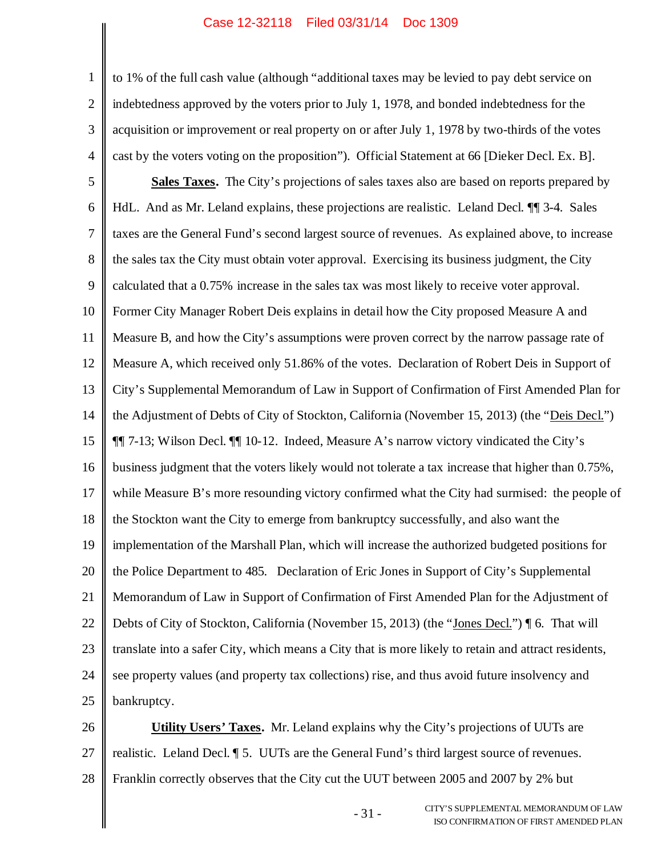1 2 3 4 to 1% of the full cash value (although "additional taxes may be levied to pay debt service on indebtedness approved by the voters prior to July 1, 1978, and bonded indebtedness for the acquisition or improvement or real property on or after July 1, 1978 by two-thirds of the votes cast by the voters voting on the proposition"). Official Statement at 66 [Dieker Decl. Ex. B].

5 6 7 8 9 10 11 12 13 14 15 16 17 18 19 20 21 22 23 24 25 **Sales Taxes.** The City's projections of sales taxes also are based on reports prepared by HdL. And as Mr. Leland explains, these projections are realistic. Leland Decl. ¶¶ 3-4. Sales taxes are the General Fund's second largest source of revenues. As explained above, to increase the sales tax the City must obtain voter approval. Exercising its business judgment, the City calculated that a 0.75% increase in the sales tax was most likely to receive voter approval. Former City Manager Robert Deis explains in detail how the City proposed Measure A and Measure B, and how the City's assumptions were proven correct by the narrow passage rate of Measure A, which received only 51.86% of the votes. Declaration of Robert Deis in Support of City's Supplemental Memorandum of Law in Support of Confirmation of First Amended Plan for the Adjustment of Debts of City of Stockton, California (November 15, 2013) (the "Deis Decl.") ¶¶ 7-13; Wilson Decl. ¶¶ 10-12. Indeed, Measure A's narrow victory vindicated the City's business judgment that the voters likely would not tolerate a tax increase that higher than 0.75%, while Measure B's more resounding victory confirmed what the City had surmised: the people of the Stockton want the City to emerge from bankruptcy successfully, and also want the implementation of the Marshall Plan, which will increase the authorized budgeted positions for the Police Department to 485. Declaration of Eric Jones in Support of City's Supplemental Memorandum of Law in Support of Confirmation of First Amended Plan for the Adjustment of Debts of City of Stockton, California (November 15, 2013) (the "Jones Decl.") ¶ 6. That will translate into a safer City, which means a City that is more likely to retain and attract residents, see property values (and property tax collections) rise, and thus avoid future insolvency and bankruptcy.

26 27 28 **Utility Users' Taxes.** Mr. Leland explains why the City's projections of UUTs are realistic. Leland Decl. ¶ 5. UUTs are the General Fund's third largest source of revenues. Franklin correctly observes that the City cut the UUT between 2005 and 2007 by 2% but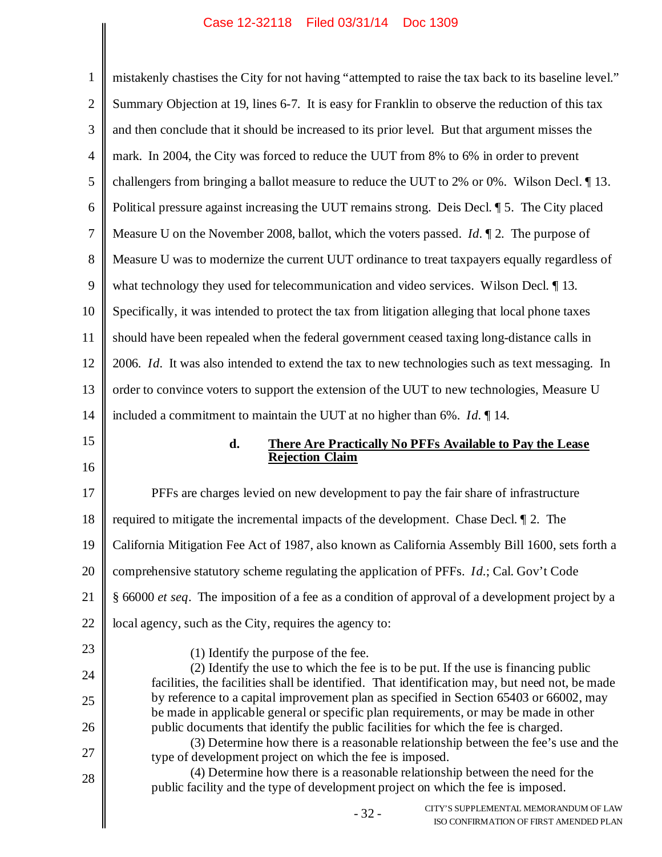1 2 3 4 5 6 7 8 9 10 11 12 13 14 15 16 17 18 19 20 21 22 23 24 25 26 mistakenly chastises the City for not having "attempted to raise the tax back to its baseline level." Summary Objection at 19, lines 6-7. It is easy for Franklin to observe the reduction of this tax and then conclude that it should be increased to its prior level. But that argument misses the mark. In 2004, the City was forced to reduce the UUT from 8% to 6% in order to prevent challengers from bringing a ballot measure to reduce the UUT to 2% or 0%. Wilson Decl. ¶ 13. Political pressure against increasing the UUT remains strong. Deis Decl. ¶ 5. The City placed Measure U on the November 2008, ballot, which the voters passed. *Id.* ¶ 2. The purpose of Measure U was to modernize the current UUT ordinance to treat taxpayers equally regardless of what technology they used for telecommunication and video services. Wilson Decl. 13. Specifically, it was intended to protect the tax from litigation alleging that local phone taxes should have been repealed when the federal government ceased taxing long-distance calls in 2006. *Id.* It was also intended to extend the tax to new technologies such as text messaging. In order to convince voters to support the extension of the UUT to new technologies, Measure U included a commitment to maintain the UUT at no higher than 6%. *Id.* ¶ 14. **d. There Are Practically No PFFs Available to Pay the Lease Rejection Claim** PFFs are charges levied on new development to pay the fair share of infrastructure required to mitigate the incremental impacts of the development. Chase Decl. ¶ 2. The California Mitigation Fee Act of 1987, also known as California Assembly Bill 1600, sets forth a comprehensive statutory scheme regulating the application of PFFs. *Id.*; Cal. Gov't Code § 66000 *et seq*. The imposition of a fee as a condition of approval of a development project by a local agency, such as the City, requires the agency to: (1) Identify the purpose of the fee. (2) Identify the use to which the fee is to be put. If the use is financing public facilities, the facilities shall be identified. That identification may, but need not, be made by reference to a capital improvement plan as specified in Section 65403 or 66002, may be made in applicable general or specific plan requirements, or may be made in other public documents that identify the public facilities for which the fee is charged. (3) Determine how there is a reasonable relationship between the fee's use and the

type of development project on which the fee is imposed. (4) Determine how there is a reasonable relationship between the need for the

27

28

public facility and the type of development project on which the fee is imposed.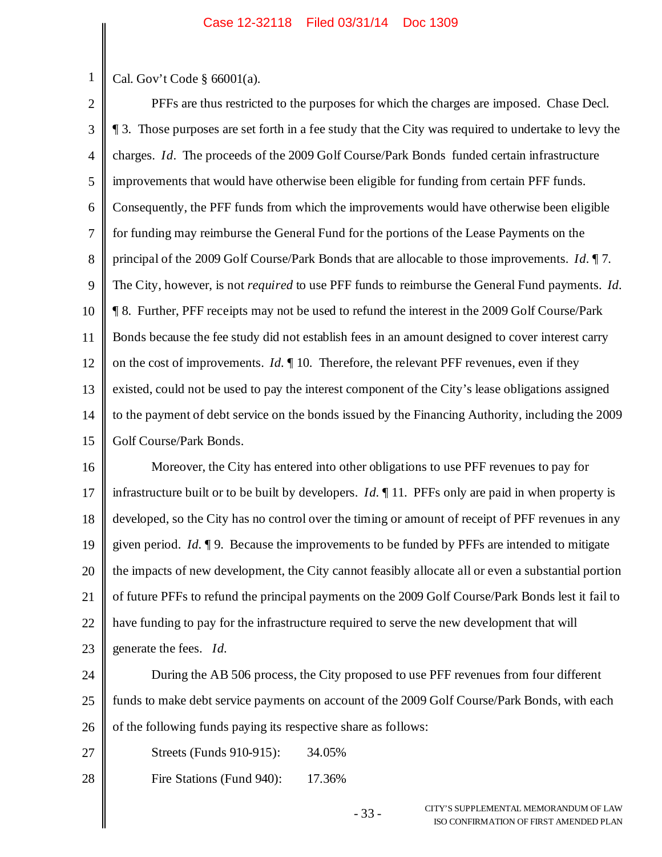1 Cal. Gov't Code § 66001(a).

2 3 4 5 6 7 8 9 10 11 12 13 14 15 PFFs are thus restricted to the purposes for which the charges are imposed. Chase Decl. ¶ 3. Those purposes are set forth in a fee study that the City was required to undertake to levy the charges. *Id*. The proceeds of the 2009 Golf Course/Park Bonds funded certain infrastructure improvements that would have otherwise been eligible for funding from certain PFF funds. Consequently, the PFF funds from which the improvements would have otherwise been eligible for funding may reimburse the General Fund for the portions of the Lease Payments on the principal of the 2009 Golf Course/Park Bonds that are allocable to those improvements. *Id.* ¶ 7. The City, however, is not *required* to use PFF funds to reimburse the General Fund payments. *Id.* ¶ 8. Further, PFF receipts may not be used to refund the interest in the 2009 Golf Course/Park Bonds because the fee study did not establish fees in an amount designed to cover interest carry on the cost of improvements. *Id.* ¶ 10. Therefore, the relevant PFF revenues, even if they existed, could not be used to pay the interest component of the City's lease obligations assigned to the payment of debt service on the bonds issued by the Financing Authority, including the 2009 Golf Course/Park Bonds.

16 17 18 19 20 21 22 23 Moreover, the City has entered into other obligations to use PFF revenues to pay for infrastructure built or to be built by developers. *Id.* ¶ 11. PFFs only are paid in when property is developed, so the City has no control over the timing or amount of receipt of PFF revenues in any given period. *Id.* ¶ 9. Because the improvements to be funded by PFFs are intended to mitigate the impacts of new development, the City cannot feasibly allocate all or even a substantial portion of future PFFs to refund the principal payments on the 2009 Golf Course/Park Bonds lest it fail to have funding to pay for the infrastructure required to serve the new development that will generate the fees. *Id.*

24 25 26 During the AB 506 process, the City proposed to use PFF revenues from four different funds to make debt service payments on account of the 2009 Golf Course/Park Bonds, with each of the following funds paying its respective share as follows:

27 Streets (Funds 910-915): 34.05%

28 Fire Stations (Fund 940): 17.36%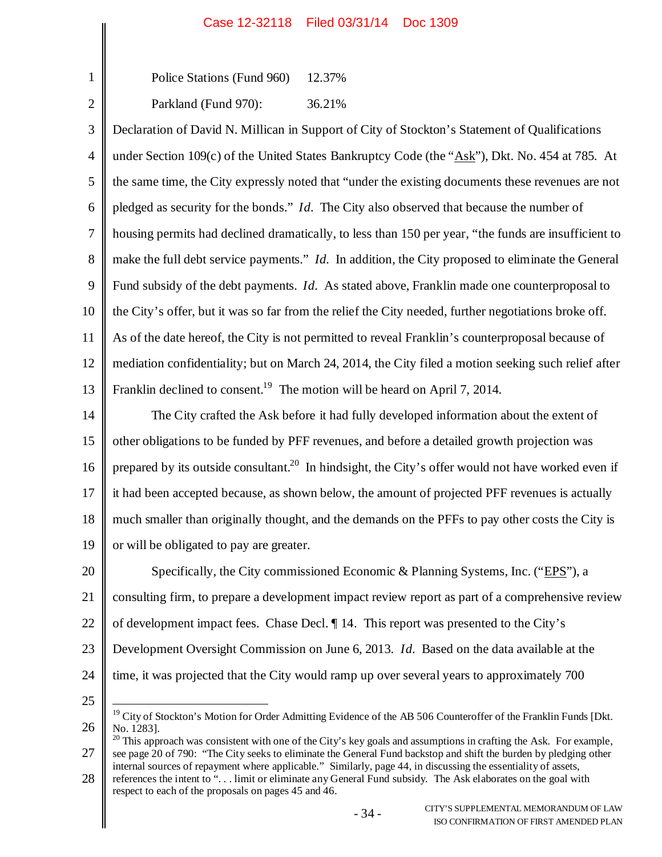Police Stations (Fund 960) 12.37%

2

1

Parkland (Fund 970): 36.21%

3 4 5 6 7 8 9 10 11 12 13 Declaration of David N. Millican in Support of City of Stockton's Statement of Qualifications under Section 109(c) of the United States Bankruptcy Code (the "Ask"), Dkt. No. 454 at 785. At the same time, the City expressly noted that "under the existing documents these revenues are not pledged as security for the bonds." *Id.* The City also observed that because the number of housing permits had declined dramatically, to less than 150 per year, "the funds are insufficient to make the full debt service payments." *Id.* In addition, the City proposed to eliminate the General Fund subsidy of the debt payments. *Id.* As stated above, Franklin made one counterproposal to the City's offer, but it was so far from the relief the City needed, further negotiations broke off. As of the date hereof, the City is not permitted to reveal Franklin's counterproposal because of mediation confidentiality; but on March 24, 2014, the City filed a motion seeking such relief after Franklin declined to consent.<sup>19</sup> The motion will be heard on April 7, 2014.

14 15 16 17 18 19 The City crafted the Ask before it had fully developed information about the extent of other obligations to be funded by PFF revenues, and before a detailed growth projection was prepared by its outside consultant.<sup>20</sup> In hindsight, the City's offer would not have worked even if it had been accepted because, as shown below, the amount of projected PFF revenues is actually much smaller than originally thought, and the demands on the PFFs to pay other costs the City is or will be obligated to pay are greater.

20 21 22 23 24 Specifically, the City commissioned Economic & Planning Systems, Inc. ("EPS"), a consulting firm, to prepare a development impact review report as part of a comprehensive review of development impact fees. Chase Decl. ¶ 14. This report was presented to the City's Development Oversight Commission on June 6, 2013. *Id.* Based on the data available at the time, it was projected that the City would ramp up over several years to approximately 700

25

26 <sup>19</sup> City of Stockton's Motion for Order Admitting Evidence of the AB 506 Counteroffer of the Franklin Funds [Dkt. No. 1283].

<sup>27</sup>  $^{20}$  This approach was consistent with one of the City's key goals and assumptions in crafting the Ask. For example, see page 20 of 790: "The City seeks to eliminate the General Fund backstop and shift the burden by pledging other internal sources of repayment where applicable." Similarly, page 44, in discussing the essentiality of assets,

<sup>28</sup> references the intent to ". . . limit or eliminate any General Fund subsidy. The Ask elaborates on the goal with respect to each of the proposals on pages 45 and 46.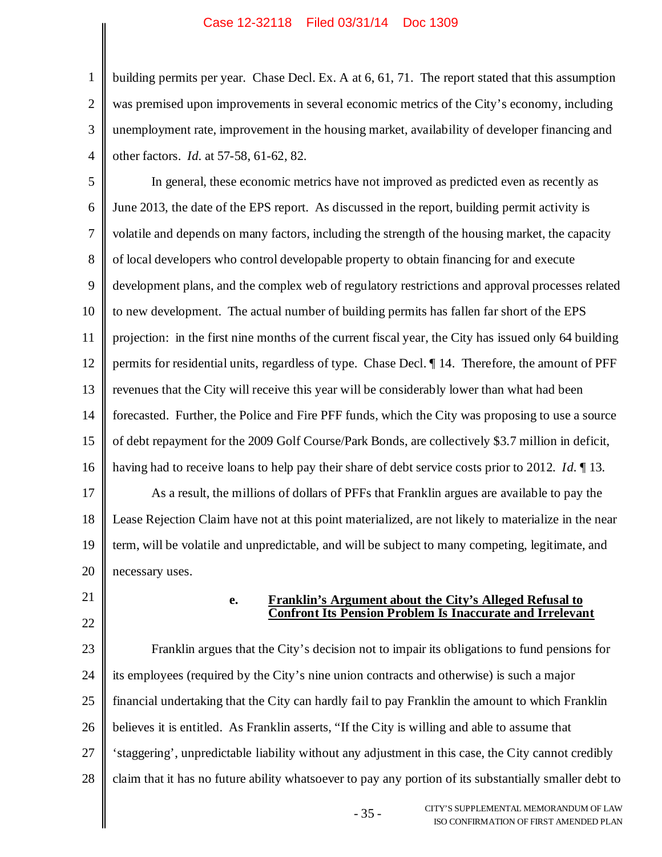2 3 4 building permits per year. Chase Decl. Ex. A at 6, 61, 71. The report stated that this assumption was premised upon improvements in several economic metrics of the City's economy, including unemployment rate, improvement in the housing market, availability of developer financing and other factors. *Id.* at 57-58, 61-62, 82.

5 6 7 8 9 10 11 12 13 14 15 16 In general, these economic metrics have not improved as predicted even as recently as June 2013, the date of the EPS report. As discussed in the report, building permit activity is volatile and depends on many factors, including the strength of the housing market, the capacity of local developers who control developable property to obtain financing for and execute development plans, and the complex web of regulatory restrictions and approval processes related to new development. The actual number of building permits has fallen far short of the EPS projection: in the first nine months of the current fiscal year, the City has issued only 64 building permits for residential units, regardless of type. Chase Decl. ¶ 14. Therefore, the amount of PFF revenues that the City will receive this year will be considerably lower than what had been forecasted. Further, the Police and Fire PFF funds, which the City was proposing to use a source of debt repayment for the 2009 Golf Course/Park Bonds, are collectively \$3.7 million in deficit, having had to receive loans to help pay their share of debt service costs prior to 2012. *Id.* ¶ 13.

17 18 19 20 As a result, the millions of dollars of PFFs that Franklin argues are available to pay the Lease Rejection Claim have not at this point materialized, are not likely to materialize in the near term, will be volatile and unpredictable, and will be subject to many competing, legitimate, and necessary uses.

21

1

22

### **e. Franklin's Argument about the City's Alleged Refusal to Confront Its Pension Problem Is Inaccurate and Irrelevant**

23 24 25 26 27 28 Franklin argues that the City's decision not to impair its obligations to fund pensions for its employees (required by the City's nine union contracts and otherwise) is such a major financial undertaking that the City can hardly fail to pay Franklin the amount to which Franklin believes it is entitled. As Franklin asserts, "If the City is willing and able to assume that 'staggering', unpredictable liability without any adjustment in this case, the City cannot credibly claim that it has no future ability whatsoever to pay any portion of its substantially smaller debt to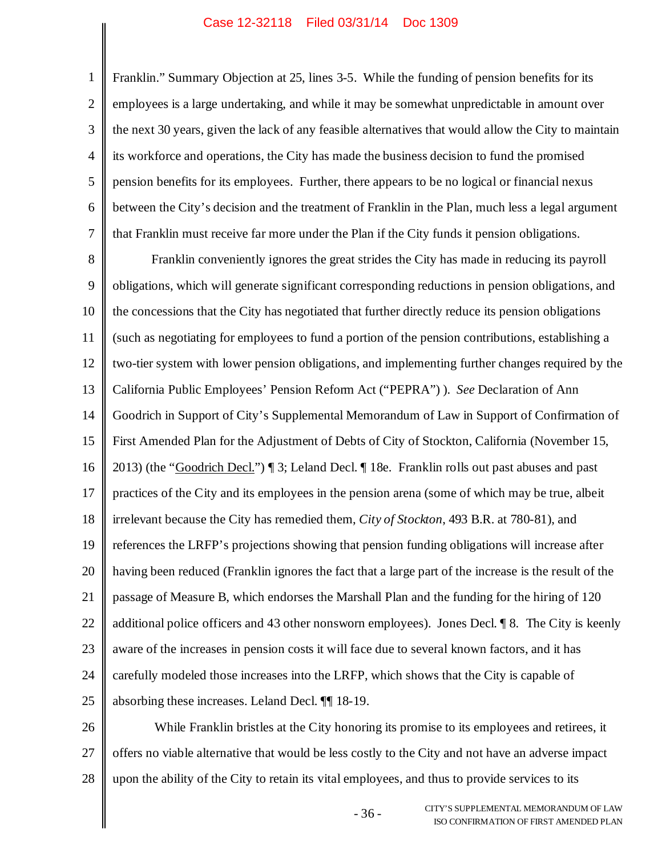1 2 3 4 5 6 7 Franklin." Summary Objection at 25, lines 3-5. While the funding of pension benefits for its employees is a large undertaking, and while it may be somewhat unpredictable in amount over the next 30 years, given the lack of any feasible alternatives that would allow the City to maintain its workforce and operations, the City has made the business decision to fund the promised pension benefits for its employees. Further, there appears to be no logical or financial nexus between the City's decision and the treatment of Franklin in the Plan, much less a legal argument that Franklin must receive far more under the Plan if the City funds it pension obligations.

8 9 10 11 12 13 14 15 16 17 18 19 20 21 22 23 24 25 Franklin conveniently ignores the great strides the City has made in reducing its payroll obligations, which will generate significant corresponding reductions in pension obligations, and the concessions that the City has negotiated that further directly reduce its pension obligations (such as negotiating for employees to fund a portion of the pension contributions, establishing a two-tier system with lower pension obligations, and implementing further changes required by the California Public Employees' Pension Reform Act ("PEPRA") ). *See* Declaration of Ann Goodrich in Support of City's Supplemental Memorandum of Law in Support of Confirmation of First Amended Plan for the Adjustment of Debts of City of Stockton, California (November 15, 2013) (the "Goodrich Decl.") ¶ 3; Leland Decl. ¶ 18e. Franklin rolls out past abuses and past practices of the City and its employees in the pension arena (some of which may be true, albeit irrelevant because the City has remedied them, *City of Stockton*, 493 B.R. at 780-81), and references the LRFP's projections showing that pension funding obligations will increase after having been reduced (Franklin ignores the fact that a large part of the increase is the result of the passage of Measure B, which endorses the Marshall Plan and the funding for the hiring of 120 additional police officers and 43 other nonsworn employees). Jones Decl. ¶ 8. The City is keenly aware of the increases in pension costs it will face due to several known factors, and it has carefully modeled those increases into the LRFP, which shows that the City is capable of absorbing these increases. Leland Decl. ¶¶ 18-19.

26 27 28 While Franklin bristles at the City honoring its promise to its employees and retirees, it offers no viable alternative that would be less costly to the City and not have an adverse impact upon the ability of the City to retain its vital employees, and thus to provide services to its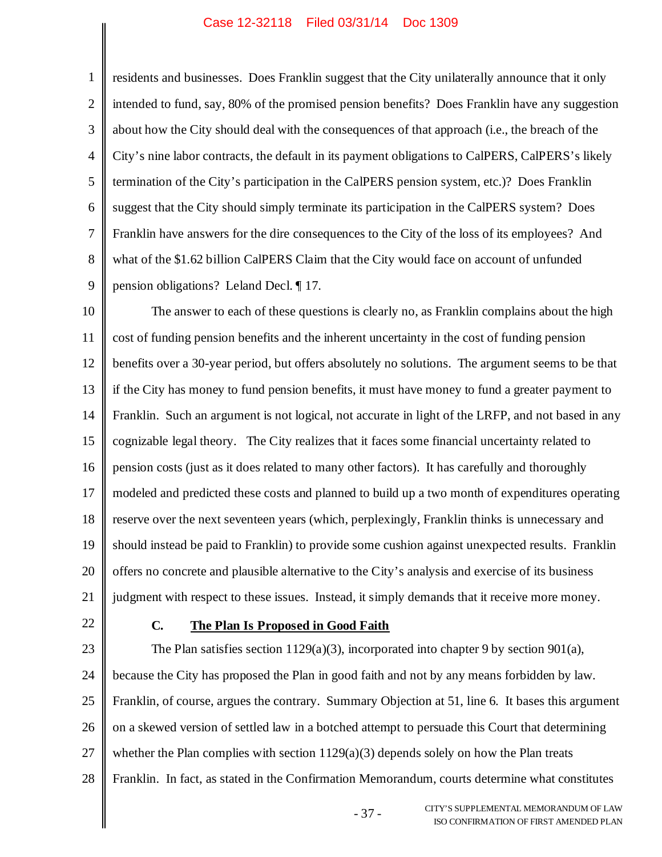1 2 3 4 5 6 7 8 9 residents and businesses. Does Franklin suggest that the City unilaterally announce that it only intended to fund, say, 80% of the promised pension benefits? Does Franklin have any suggestion about how the City should deal with the consequences of that approach (i.e., the breach of the City's nine labor contracts, the default in its payment obligations to CalPERS, CalPERS's likely termination of the City's participation in the CalPERS pension system, etc.)? Does Franklin suggest that the City should simply terminate its participation in the CalPERS system? Does Franklin have answers for the dire consequences to the City of the loss of its employees? And what of the \$1.62 billion CalPERS Claim that the City would face on account of unfunded pension obligations? Leland Decl. ¶ 17.

10 11 12 13 14 15 16 17 18 19 20 21 The answer to each of these questions is clearly no, as Franklin complains about the high cost of funding pension benefits and the inherent uncertainty in the cost of funding pension benefits over a 30-year period, but offers absolutely no solutions. The argument seems to be that if the City has money to fund pension benefits, it must have money to fund a greater payment to Franklin. Such an argument is not logical, not accurate in light of the LRFP, and not based in any cognizable legal theory. The City realizes that it faces some financial uncertainty related to pension costs (just as it does related to many other factors). It has carefully and thoroughly modeled and predicted these costs and planned to build up a two month of expenditures operating reserve over the next seventeen years (which, perplexingly, Franklin thinks is unnecessary and should instead be paid to Franklin) to provide some cushion against unexpected results. Franklin offers no concrete and plausible alternative to the City's analysis and exercise of its business judgment with respect to these issues. Instead, it simply demands that it receive more money.

22

### **C. The Plan Is Proposed in Good Faith**

23 24 25 26 27 28 The Plan satisfies section 1129(a)(3), incorporated into chapter 9 by section 901(a), because the City has proposed the Plan in good faith and not by any means forbidden by law. Franklin, of course, argues the contrary. Summary Objection at 51, line 6. It bases this argument on a skewed version of settled law in a botched attempt to persuade this Court that determining whether the Plan complies with section  $1129(a)(3)$  depends solely on how the Plan treats Franklin. In fact, as stated in the Confirmation Memorandum, courts determine what constitutes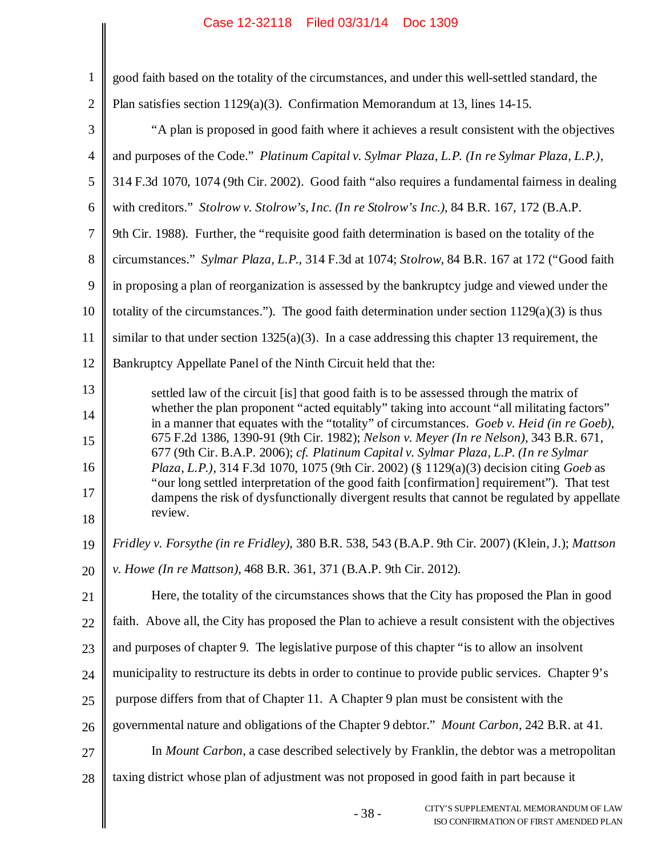| $\mathbf{1}$   | good faith based on the totality of the circumstances, and under this well-settled standard, the                                                                                          |
|----------------|-------------------------------------------------------------------------------------------------------------------------------------------------------------------------------------------|
| $\overline{2}$ | Plan satisfies section $1129(a)(3)$ . Confirmation Memorandum at 13, lines 14-15.                                                                                                         |
| 3              | "A plan is proposed in good faith where it achieves a result consistent with the objectives                                                                                               |
| $\overline{4}$ | and purposes of the Code." Platinum Capital v. Sylmar Plaza, L.P. (In re Sylmar Plaza, L.P.),                                                                                             |
| 5              | 314 F.3d 1070, 1074 (9th Cir. 2002). Good faith "also requires a fundamental fairness in dealing                                                                                          |
| 6              | with creditors." Stolrow v. Stolrow's, Inc. (In re Stolrow's Inc.), 84 B.R. 167, 172 (B.A.P.                                                                                              |
| $\tau$         | 9th Cir. 1988). Further, the "requisite good faith determination is based on the totality of the                                                                                          |
| 8              | circumstances." Sylmar Plaza, L.P., 314 F.3d at 1074; Stolrow, 84 B.R. 167 at 172 ("Good faith                                                                                            |
| 9              | in proposing a plan of reorganization is assessed by the bankruptcy judge and viewed under the                                                                                            |
| 10             | totality of the circumstances."). The good faith determination under section $1129(a)(3)$ is thus                                                                                         |
| 11             | similar to that under section 1325(a)(3). In a case addressing this chapter 13 requirement, the                                                                                           |
| 12             | Bankruptcy Appellate Panel of the Ninth Circuit held that the:                                                                                                                            |
| 13             | settled law of the circuit [is] that good faith is to be assessed through the matrix of                                                                                                   |
| 14             | whether the plan proponent "acted equitably" taking into account "all militating factors"<br>in a manner that equates with the "totality" of circumstances. Goeb v. Heid (in re Goeb),    |
| 15             | 675 F.2d 1386, 1390-91 (9th Cir. 1982); Nelson v. Meyer (In re Nelson), 343 B.R. 671,                                                                                                     |
| 16             | 677 (9th Cir. B.A.P. 2006); cf. Platinum Capital v. Sylmar Plaza, L.P. (In re Sylmar<br>Plaza, L.P.), 314 F.3d 1070, 1075 (9th Cir. 2002) (§ 1129(a)(3) decision citing Goeb as           |
| 17             | "our long settled interpretation of the good faith [confirmation] requirement"). That test<br>dampens the risk of dysfunctionally divergent results that cannot be regulated by appellate |
| 18             | review.                                                                                                                                                                                   |
| 19             | Fridley v. Forsythe (in re Fridley), 380 B.R. 538, 543 (B.A.P. 9th Cir. 2007) (Klein, J.); Mattson                                                                                        |
| 20             | v. Howe (In re Mattson), 468 B.R. 361, 371 (B.A.P. 9th Cir. 2012).                                                                                                                        |
| 21             | Here, the totality of the circumstances shows that the City has proposed the Plan in good                                                                                                 |
| 22             | faith. Above all, the City has proposed the Plan to achieve a result consistent with the objectives                                                                                       |
| 23             | and purposes of chapter 9. The legislative purpose of this chapter "is to allow an insolvent                                                                                              |
| 24             | municipality to restructure its debts in order to continue to provide public services. Chapter 9's                                                                                        |
| 25             | purpose differs from that of Chapter 11. A Chapter 9 plan must be consistent with the                                                                                                     |
| 26             | governmental nature and obligations of the Chapter 9 debtor." Mount Carbon, 242 B.R. at 41.                                                                                               |
| 27             | In <i>Mount Carbon</i> , a case described selectively by Franklin, the debtor was a metropolitan                                                                                          |
| 28             | taxing district whose plan of adjustment was not proposed in good faith in part because it                                                                                                |
|                | CITY'S SUPPLEMENTAL MEMORANDUM OF LAW<br>$-38-$<br>ISO CONFIRM ATION OF FIRST AMENDED PLAN                                                                                                |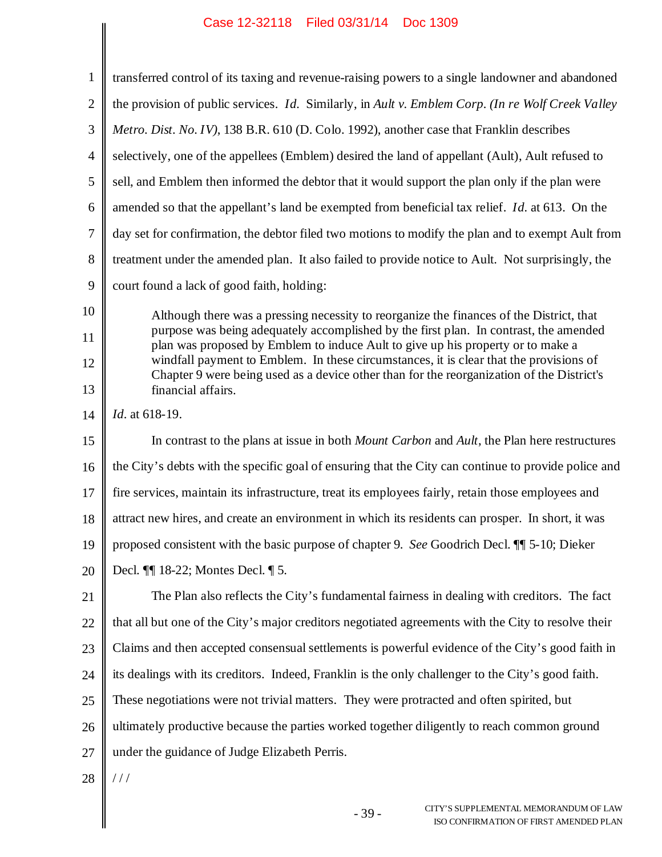║

| $\mathbf{1}$     | transferred control of its taxing and revenue-raising powers to a single landowner and abandoned                                                                                    |
|------------------|-------------------------------------------------------------------------------------------------------------------------------------------------------------------------------------|
| $\sqrt{2}$       | the provision of public services. <i>Id.</i> Similarly, in Ault v. Emblem Corp. (In re Wolf Creek Valley                                                                            |
| $\mathfrak{Z}$   | Metro. Dist. No. IV), 138 B.R. 610 (D. Colo. 1992), another case that Franklin describes                                                                                            |
| $\overline{4}$   | selectively, one of the appellees (Emblem) desired the land of appellant (Ault), Ault refused to                                                                                    |
| 5                | sell, and Emblem then informed the debtor that it would support the plan only if the plan were                                                                                      |
| 6                | amended so that the appellant's land be exempted from beneficial tax relief. <i>Id.</i> at 613. On the                                                                              |
| $\boldsymbol{7}$ | day set for confirmation, the debtor filed two motions to modify the plan and to exempt Ault from                                                                                   |
| $8\,$            | treatment under the amended plan. It also failed to provide notice to Ault. Not surprisingly, the                                                                                   |
| $\overline{9}$   | court found a lack of good faith, holding:                                                                                                                                          |
| 10               | Although there was a pressing necessity to reorganize the finances of the District, that                                                                                            |
| 11               | purpose was being adequately accomplished by the first plan. In contrast, the amended<br>plan was proposed by Emblem to induce Ault to give up his property or to make a            |
| 12               | windfall payment to Emblem. In these circumstances, it is clear that the provisions of<br>Chapter 9 were being used as a device other than for the reorganization of the District's |
| 13               | financial affairs.                                                                                                                                                                  |
| 14               | <i>Id.</i> at 618-19.                                                                                                                                                               |
| 15               | In contrast to the plans at issue in both <i>Mount Carbon</i> and <i>Ault</i> , the Plan here restructures                                                                          |
| 16               | the City's debts with the specific goal of ensuring that the City can continue to provide police and                                                                                |
| 17               | fire services, maintain its infrastructure, treat its employees fairly, retain those employees and                                                                                  |
| 18               | attract new hires, and create an environment in which its residents can prosper. In short, it was                                                                                   |
| 19               | proposed consistent with the basic purpose of chapter 9. See Goodrich Decl. II 5-10; Dieker                                                                                         |
| 20               | Decl. ¶ 18-22; Montes Decl. ¶ 5.                                                                                                                                                    |
| 21               | The Plan also reflects the City's fundamental fairness in dealing with creditors. The fact                                                                                          |
| 22               | that all but one of the City's major creditors negotiated agreements with the City to resolve their                                                                                 |
| 23               | Claims and then accepted consensual settlements is powerful evidence of the City's good faith in                                                                                    |
| 24               | its dealings with its creditors. Indeed, Franklin is the only challenger to the City's good faith.                                                                                  |
| 25               | These negotiations were not trivial matters. They were protracted and often spirited, but                                                                                           |
| 26               | ultimately productive because the parties worked together diligently to reach common ground                                                                                         |
| 27               | under the guidance of Judge Elizabeth Perris.                                                                                                                                       |
| 28               | 111                                                                                                                                                                                 |
|                  | CITY'S SUPPLEMENTAL MEMORANDUM OF LAW<br>$-39-$<br>ISO CONFIRMATION OF FIRST AMENDED PLAN                                                                                           |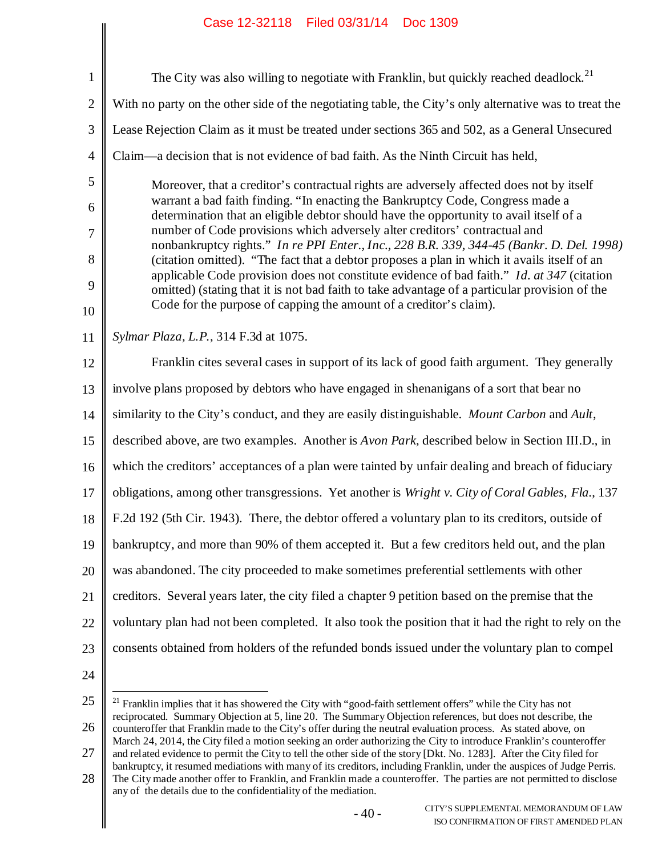| $\mathbf{1}$   | The City was also willing to negotiate with Franklin, but quickly reached deadlock. <sup>21</sup>                                                                                         |
|----------------|-------------------------------------------------------------------------------------------------------------------------------------------------------------------------------------------|
| $\mathbf{2}$   | With no party on the other side of the negotiating table, the City's only alternative was to treat the                                                                                    |
| 3              | Lease Rejection Claim as it must be treated under sections 365 and 502, as a General Unsecured                                                                                            |
| $\overline{4}$ | Claim—a decision that is not evidence of bad faith. As the Ninth Circuit has held,                                                                                                        |
| 5              | Moreover, that a creditor's contractual rights are adversely affected does not by itself                                                                                                  |
| 6              | warrant a bad faith finding. "In enacting the Bankruptcy Code, Congress made a<br>determination that an eligible debtor should have the opportunity to avail itself of a                  |
| $\tau$         | number of Code provisions which adversely alter creditors' contractual and<br>nonbankruptcy rights." In re PPI Enter., Inc., 228 B.R. 339, 344-45 (Bankr. D. Del. 1998)                   |
| 8              | (citation omitted). "The fact that a debtor proposes a plan in which it avails itself of an<br>applicable Code provision does not constitute evidence of bad faith." Id. at 347 (citation |
| 9              | omitted) (stating that it is not bad faith to take advantage of a particular provision of the                                                                                             |
| 10             | Code for the purpose of capping the amount of a creditor's claim).                                                                                                                        |
| 11             | Sylmar Plaza, L.P., 314 F.3d at 1075.                                                                                                                                                     |
| 12             | Franklin cites several cases in support of its lack of good faith argument. They generally                                                                                                |
| 13             | involve plans proposed by debtors who have engaged in shenanigans of a sort that bear no                                                                                                  |
| 14             | similarity to the City's conduct, and they are easily distinguishable. Mount Carbon and Ault,                                                                                             |
| 15             | described above, are two examples. Another is <i>Avon Park</i> , described below in Section III.D., in                                                                                    |
| 16             | which the creditors' acceptances of a plan were tainted by unfair dealing and breach of fiduciary                                                                                         |
| 17             | obligations, among other transgressions. Yet another is Wright v. City of Coral Gables, Fla., 137                                                                                         |
| 18             | F.2d 192 (5th Cir. 1943). There, the debtor offered a voluntary plan to its creditors, outside of                                                                                         |
| 19             | bankruptcy, and more than 90% of them accepted it. But a few creditors held out, and the plan                                                                                             |
| 20             | was abandoned. The city proceeded to make sometimes preferential settlements with other                                                                                                   |
| 21             | creditors. Several years later, the city filed a chapter 9 petition based on the premise that the                                                                                         |
| 22             | voluntary plan had not been completed. It also took the position that it had the right to rely on the                                                                                     |
| 23             | consents obtained from holders of the refunded bonds issued under the voluntary plan to compel                                                                                            |
| 24             |                                                                                                                                                                                           |
|                |                                                                                                                                                                                           |

<sup>25</sup> 26 <sup>21</sup> Franklin implies that it has showered the City with "good-faith settlement offers" while the City has not reciprocated. Summary Objection at 5, line 20. The Summary Objection references, but does not describe, the counteroffer that Franklin made to the City's offer during the neutral evaluation process. As stated above, on March 24, 2014, the City filed a motion seeking an order authorizing the City to introduce Franklin's counteroffer

<sup>27</sup> and related evidence to permit the City to tell the other side of the story [Dkt. No. 1283]. After the City filed for bankruptcy, it resumed mediations with many of its creditors, including Franklin, under the auspices of Judge Perris.

<sup>28</sup> The City made another offer to Franklin, and Franklin made a counteroffer. The parties are not permitted to disclose any of the details due to the confidentiality of the mediation.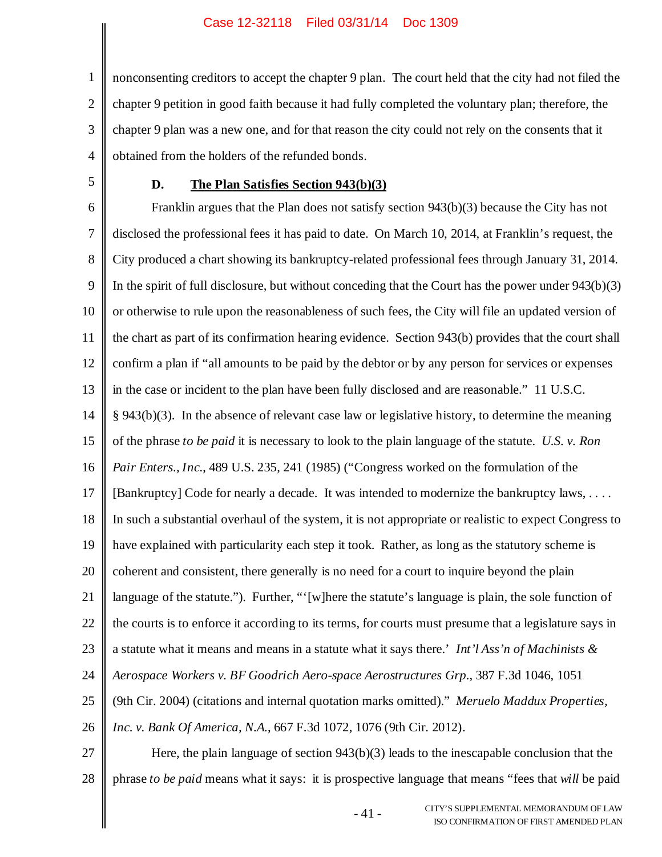1 2 3 4 nonconsenting creditors to accept the chapter 9 plan. The court held that the city had not filed the chapter 9 petition in good faith because it had fully completed the voluntary plan; therefore, the chapter 9 plan was a new one, and for that reason the city could not rely on the consents that it obtained from the holders of the refunded bonds.

5

### **D. The Plan Satisfies Section 943(b)(3)**

6 7 8 9 10 11 12 13 14 15 16 17 18 19 20 21 22 23 24 25 26 27 Franklin argues that the Plan does not satisfy section 943(b)(3) because the City has not disclosed the professional fees it has paid to date. On March 10, 2014, at Franklin's request, the City produced a chart showing its bankruptcy-related professional fees through January 31, 2014. In the spirit of full disclosure, but without conceding that the Court has the power under 943(b)(3) or otherwise to rule upon the reasonableness of such fees, the City will file an updated version of the chart as part of its confirmation hearing evidence. Section 943(b) provides that the court shall confirm a plan if "all amounts to be paid by the debtor or by any person for services or expenses in the case or incident to the plan have been fully disclosed and are reasonable." 11 U.S.C. § 943(b)(3). In the absence of relevant case law or legislative history, to determine the meaning of the phrase *to be paid* it is necessary to look to the plain language of the statute. *U.S. v. Ron Pair Enters., Inc.*, 489 U.S. 235, 241 (1985) ("Congress worked on the formulation of the [Bankruptcy] Code for nearly a decade. It was intended to modernize the bankruptcy laws, .... In such a substantial overhaul of the system, it is not appropriate or realistic to expect Congress to have explained with particularity each step it took. Rather, as long as the statutory scheme is coherent and consistent, there generally is no need for a court to inquire beyond the plain language of the statute."). Further, "'[w]here the statute's language is plain, the sole function of the courts is to enforce it according to its terms, for courts must presume that a legislature says in a statute what it means and means in a statute what it says there.' *Int'l Ass'n of Machinists & Aerospace Workers v. BF Goodrich Aero-space Aerostructures Grp.*, 387 F.3d 1046, 1051 (9th Cir. 2004) (citations and internal quotation marks omitted)." *Meruelo Maddux Properties, Inc. v. Bank Of America, N.A.*, 667 F.3d 1072, 1076 (9th Cir. 2012). Here, the plain language of section  $943(b)(3)$  leads to the inescapable conclusion that the

28 phrase *to be paid* means what it says: it is prospective language that means "fees that *will* be paid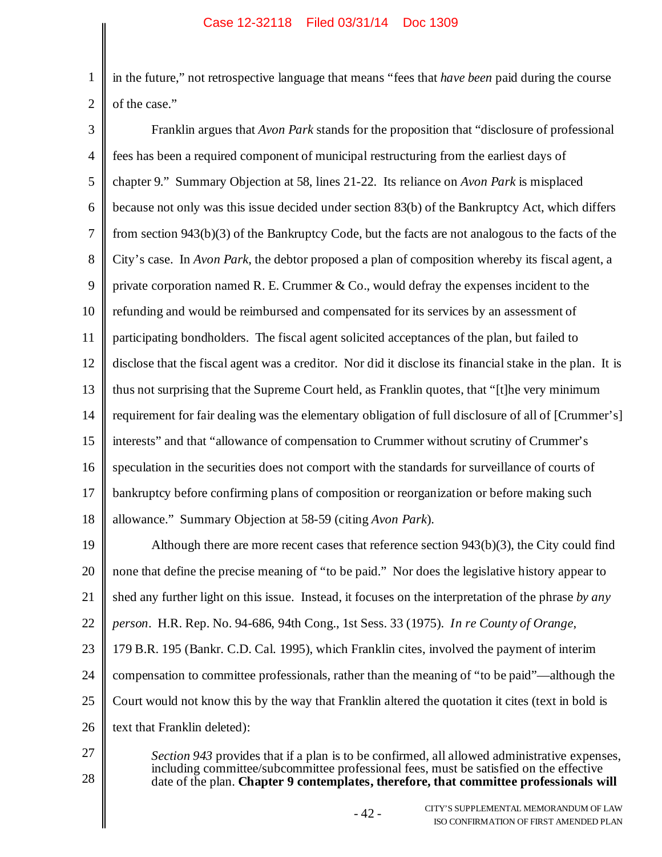1 2 in the future," not retrospective language that means "fees that *have been* paid during the course of the case."

3 4 5 6 7 8 9 10 11 12 13 14 15 16 17 18 Franklin argues that *Avon Park* stands for the proposition that "disclosure of professional fees has been a required component of municipal restructuring from the earliest days of chapter 9." Summary Objection at 58, lines 21-22. Its reliance on *Avon Park* is misplaced because not only was this issue decided under section 83(b) of the Bankruptcy Act, which differs from section 943(b)(3) of the Bankruptcy Code, but the facts are not analogous to the facts of the City's case. In *Avon Park*, the debtor proposed a plan of composition whereby its fiscal agent, a private corporation named R. E. Crummer  $& Co.,$  would defray the expenses incident to the refunding and would be reimbursed and compensated for its services by an assessment of participating bondholders. The fiscal agent solicited acceptances of the plan, but failed to disclose that the fiscal agent was a creditor. Nor did it disclose its financial stake in the plan. It is thus not surprising that the Supreme Court held, as Franklin quotes, that "[t]he very minimum requirement for fair dealing was the elementary obligation of full disclosure of all of [Crummer's] interests" and that "allowance of compensation to Crummer without scrutiny of Crummer's speculation in the securities does not comport with the standards for surveillance of courts of bankruptcy before confirming plans of composition or reorganization or before making such allowance." Summary Objection at 58-59 (citing *Avon Park*).

19 20 21 22 23 24 25 26 Although there are more recent cases that reference section  $943(b)(3)$ , the City could find none that define the precise meaning of "to be paid." Nor does the legislative history appear to shed any further light on this issue. Instead, it focuses on the interpretation of the phrase *by any person*. H.R. Rep. No. 94-686, 94th Cong., 1st Sess. 33 (1975). *In re County of Orange*, 179 B.R. 195 (Bankr. C.D. Cal. 1995), which Franklin cites, involved the payment of interim compensation to committee professionals, rather than the meaning of "to be paid"—although the Court would not know this by the way that Franklin altered the quotation it cites (text in bold is text that Franklin deleted):

27

28

*Section 943* provides that if a plan is to be confirmed, all allowed administrative expenses, including committee/subcommittee professional fees, must be satisfied on the effective date of the plan. **Chapter 9 contemplates, therefore, that committee professionals will**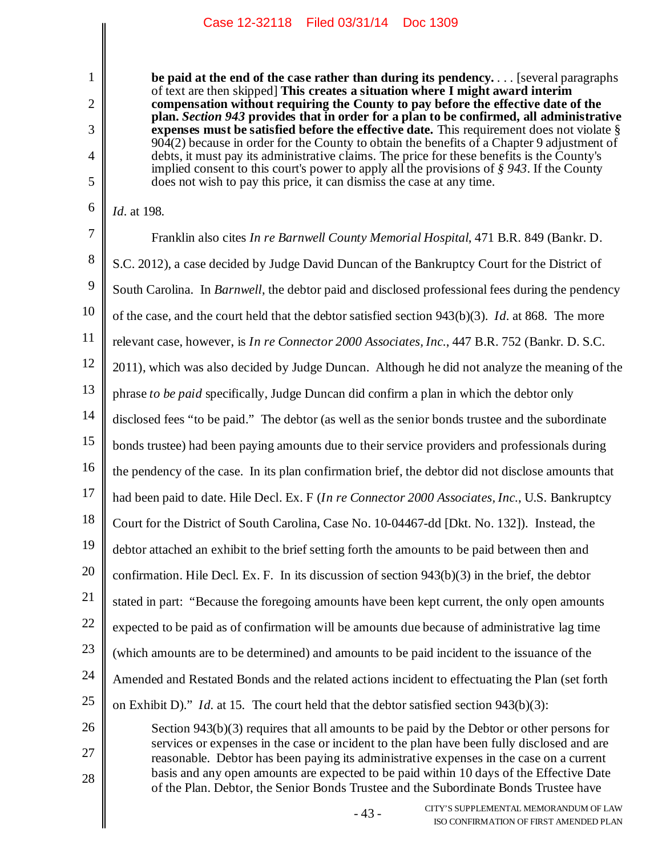**be paid at the end of the case rather than during its pendency.** . . . [several paragraphs of text are then skipped] **This creates a situation where I might award interim compensation without requiring the County to pay before the effective date of the plan.** *Section 943* **provides that in order for a plan to be confirmed, all administrative expenses must be satisfied before the effective date.** This requirement does not violate § 904(2) because in order for the County to obtain the benefits of a Chapter 9 adjustment of debts, it must pay its administrative claims. The price for these benefits is the County's implied consent to this court's power to apply all the provisions of *§ 943*. If the County does not wish to pay this price, it can dismiss the case at any time.

*Id.* at 198.

1

2

3

4

5

6

28

7 8 9 10 11 12 13 14 15 16 17 18 19 20 21 22 23 24 25 26 27 Franklin also cites *In re Barnwell County Memorial Hospital*, 471 B.R. 849 (Bankr. D. S.C. 2012), a case decided by Judge David Duncan of the Bankruptcy Court for the District of South Carolina. In *Barnwell*, the debtor paid and disclosed professional fees during the pendency of the case, and the court held that the debtor satisfied section 943(b)(3). *Id.* at 868. The more relevant case, however, is *In re Connector 2000 Associates, Inc.*, 447 B.R. 752 (Bankr. D. S.C. 2011), which was also decided by Judge Duncan. Although he did not analyze the meaning of the phrase *to be paid* specifically, Judge Duncan did confirm a plan in which the debtor only disclosed fees "to be paid." The debtor (as well as the senior bonds trustee and the subordinate bonds trustee) had been paying amounts due to their service providers and professionals during the pendency of the case. In its plan confirmation brief, the debtor did not disclose amounts that had been paid to date. Hile Decl. Ex. F (*In re Connector 2000 Associates, Inc.*, U.S. Bankruptcy Court for the District of South Carolina, Case No. 10-04467-dd [Dkt. No. 132]). Instead, the debtor attached an exhibit to the brief setting forth the amounts to be paid between then and confirmation. Hile Decl. Ex. F. In its discussion of section 943(b)(3) in the brief, the debtor stated in part: "Because the foregoing amounts have been kept current, the only open amounts expected to be paid as of confirmation will be amounts due because of administrative lag time (which amounts are to be determined) and amounts to be paid incident to the issuance of the Amended and Restated Bonds and the related actions incident to effectuating the Plan (set forth on Exhibit D)." *Id.* at 15. The court held that the debtor satisfied section 943(b)(3): Section 943(b)(3) requires that all amounts to be paid by the Debtor or other persons for

services or expenses in the case or incident to the plan have been fully disclosed and are reasonable. Debtor has been paying its administrative expenses in the case on a current basis and any open amounts are expected to be paid within 10 days of the Effective Date of the Plan. Debtor, the Senior Bonds Trustee and the Subordinate Bonds Trustee have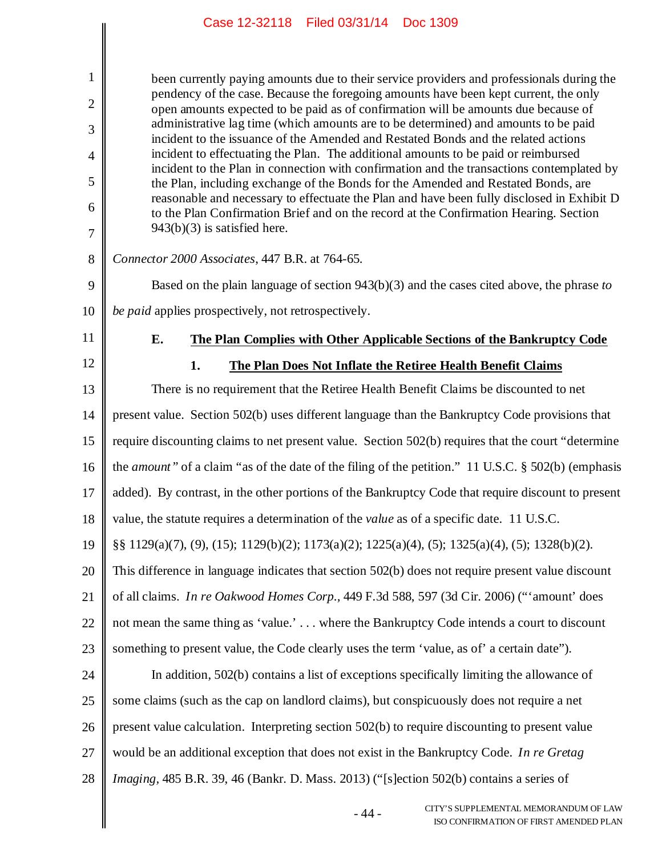| $\mathbf{1}$   | been currently paying amounts due to their service providers and professionals during the                                                                                                                                                                         |
|----------------|-------------------------------------------------------------------------------------------------------------------------------------------------------------------------------------------------------------------------------------------------------------------|
| $\overline{2}$ | pendency of the case. Because the foregoing amounts have been kept current, the only<br>open amounts expected to be paid as of confirmation will be amounts due because of<br>administrative lag time (which amounts are to be determined) and amounts to be paid |
| 3              | incident to the issuance of the Amended and Restated Bonds and the related actions                                                                                                                                                                                |
| $\overline{4}$ | incident to effectuating the Plan. The additional amounts to be paid or reimbursed<br>incident to the Plan in connection with confirmation and the transactions contemplated by                                                                                   |
| 5              | the Plan, including exchange of the Bonds for the Amended and Restated Bonds, are<br>reasonable and necessary to effectuate the Plan and have been fully disclosed in Exhibit D                                                                                   |
| 6<br>7         | to the Plan Confirmation Brief and on the record at the Confirmation Hearing. Section<br>$943(b)(3)$ is satisfied here.                                                                                                                                           |
| 8              | Connector 2000 Associates, 447 B.R. at 764-65.                                                                                                                                                                                                                    |
| 9              | Based on the plain language of section $943(b)(3)$ and the cases cited above, the phrase to                                                                                                                                                                       |
| 10             | be paid applies prospectively, not retrospectively.                                                                                                                                                                                                               |
| 11             | E.<br>The Plan Complies with Other Applicable Sections of the Bankruptcy Code                                                                                                                                                                                     |
| 12             | 1.<br>The Plan Does Not Inflate the Retiree Health Benefit Claims                                                                                                                                                                                                 |
| 13             | There is no requirement that the Retiree Health Benefit Claims be discounted to net                                                                                                                                                                               |
| 14             | present value. Section 502(b) uses different language than the Bankruptcy Code provisions that                                                                                                                                                                    |
| 15             | require discounting claims to net present value. Section 502(b) requires that the court "determine                                                                                                                                                                |
| 16             | the amount" of a claim "as of the date of the filing of the petition." 11 U.S.C. § 502(b) (emphasis                                                                                                                                                               |
| 17             | added). By contrast, in the other portions of the Bankruptcy Code that require discount to present                                                                                                                                                                |
| 18             | value, the statute requires a determination of the <i>value</i> as of a specific date. 11 U.S.C.                                                                                                                                                                  |
| 19             | §§ 1129(a)(7), (9), (15); 1129(b)(2); 1173(a)(2); 1225(a)(4), (5); 1325(a)(4), (5); 1328(b)(2).                                                                                                                                                                   |
| 20             | This difference in language indicates that section 502(b) does not require present value discount                                                                                                                                                                 |
| 21             | of all claims. In re Oakwood Homes Corp., 449 F.3d 588, 597 (3d Cir. 2006) ("'amount' does                                                                                                                                                                        |
| 22             | not mean the same thing as 'value.' where the Bankruptcy Code intends a court to discount                                                                                                                                                                         |
| 23             | something to present value, the Code clearly uses the term 'value, as of' a certain date'').                                                                                                                                                                      |
| 24             | In addition, 502(b) contains a list of exceptions specifically limiting the allowance of                                                                                                                                                                          |
| 25             | some claims (such as the cap on landlord claims), but conspicuously does not require a net                                                                                                                                                                        |
| 26             | present value calculation. Interpreting section 502(b) to require discounting to present value                                                                                                                                                                    |
| 27             | would be an additional exception that does not exist in the Bankruptcy Code. In re Gretag                                                                                                                                                                         |
| 28             | Imaging, 485 B.R. 39, 46 (Bankr. D. Mass. 2013) ("[s]ection 502(b) contains a series of                                                                                                                                                                           |
|                | CITY'S SUPPLEMENTAL MEMORANDUM OF LAW<br>$-44-$<br>ISO CONFIRM ATION OF FIRST AMENDED PLAN                                                                                                                                                                        |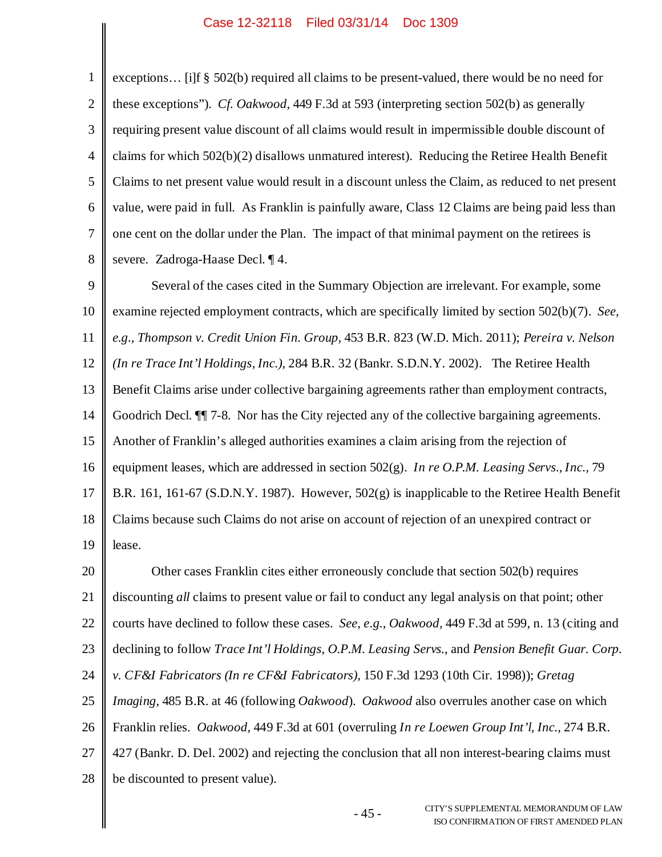1 2 3 4 5 6 7 8 exceptions… [i]f § 502(b) required all claims to be present-valued, there would be no need for these exceptions"). *Cf. Oakwood*, 449 F.3d at 593 (interpreting section 502(b) as generally requiring present value discount of all claims would result in impermissible double discount of claims for which 502(b)(2) disallows unmatured interest). Reducing the Retiree Health Benefit Claims to net present value would result in a discount unless the Claim, as reduced to net present value, were paid in full. As Franklin is painfully aware, Class 12 Claims are being paid less than one cent on the dollar under the Plan. The impact of that minimal payment on the retirees is severe. Zadroga-Haase Decl. ¶ 4.

9 10 11 12 13 14 15 16 17 18 19 Several of the cases cited in the Summary Objection are irrelevant. For example, some examine rejected employment contracts, which are specifically limited by section 502(b)(7). *See, e.g., Thompson v. Credit Union Fin. Group,* 453 B.R. 823 (W.D. Mich. 2011); *Pereira v. Nelson (In re Trace Int'l Holdings, Inc.)*, 284 B.R. 32 (Bankr. S.D.N.Y. 2002). The Retiree Health Benefit Claims arise under collective bargaining agreements rather than employment contracts, Goodrich Decl. ¶¶ 7-8. Nor has the City rejected any of the collective bargaining agreements. Another of Franklin's alleged authorities examines a claim arising from the rejection of equipment leases, which are addressed in section 502(g). *In re O.P.M. Leasing Servs., Inc.,* 79 B.R. 161, 161-67 (S.D.N.Y. 1987). However, 502(g) is inapplicable to the Retiree Health Benefit Claims because such Claims do not arise on account of rejection of an unexpired contract or lease.

20 21 22 23 24 25 26 27 28 Other cases Franklin cites either erroneously conclude that section 502(b) requires discounting *all* claims to present value or fail to conduct any legal analysis on that point; other courts have declined to follow these cases. *See, e.g.*, *Oakwood,* 449 F.3d at 599, n. 13 (citing and declining to follow *Trace Int'l Holdings*, *O.P.M. Leasing Servs.*, and *Pension Benefit Guar. Corp. v. CF&I Fabricators (In re CF&I Fabricators),* 150 F.3d 1293 (10th Cir. 1998)); *Gretag Imaging*, 485 B.R. at 46 (following *Oakwood*). *Oakwood* also overrules another case on which Franklin relies. *Oakwood,* 449 F.3d at 601 (overruling *In re Loewen Group Int'l, Inc.,* 274 B.R. 427 (Bankr. D. Del. 2002) and rejecting the conclusion that all non interest-bearing claims must be discounted to present value).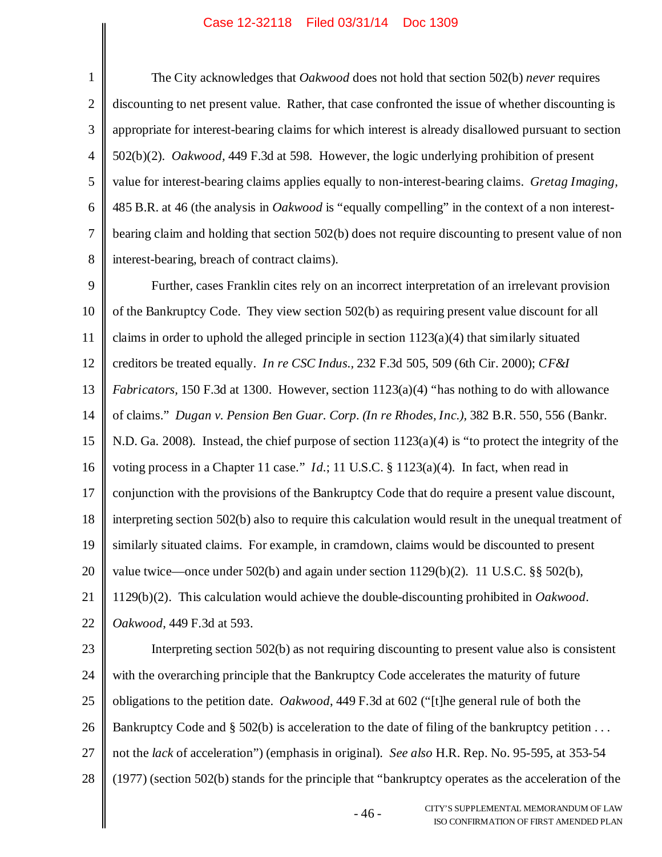1 2 3 4 5 6 7 8 The City acknowledges that *Oakwood* does not hold that section 502(b) *never* requires discounting to net present value. Rather, that case confronted the issue of whether discounting is appropriate for interest-bearing claims for which interest is already disallowed pursuant to section 502(b)(2). *Oakwood,* 449 F.3d at 598. However, the logic underlying prohibition of present value for interest-bearing claims applies equally to non-interest-bearing claims. *Gretag Imaging,* 485 B.R. at 46 (the analysis in *Oakwood* is "equally compelling" in the context of a non interestbearing claim and holding that section 502(b) does not require discounting to present value of non interest-bearing, breach of contract claims).

9 10 11 12 13 14 15 16 17 18 19 20 21 22 Further, cases Franklin cites rely on an incorrect interpretation of an irrelevant provision of the Bankruptcy Code. They view section 502(b) as requiring present value discount for all claims in order to uphold the alleged principle in section  $1123(a)(4)$  that similarly situated creditors be treated equally. *In re CSC Indus.,* 232 F.3d 505, 509 (6th Cir. 2000); *CF&I Fabricators,* 150 F.3d at 1300. However, section 1123(a)(4) "has nothing to do with allowance of claims." *Dugan v. Pension Ben Guar. Corp. (In re Rhodes, Inc.),* 382 B.R. 550, 556 (Bankr. N.D. Ga. 2008). Instead, the chief purpose of section  $1123(a)(4)$  is "to protect the integrity of the voting process in a Chapter 11 case." *Id.*; 11 U.S.C. § 1123(a)(4). In fact, when read in conjunction with the provisions of the Bankruptcy Code that do require a present value discount, interpreting section 502(b) also to require this calculation would result in the unequal treatment of similarly situated claims. For example, in cramdown, claims would be discounted to present value twice—once under 502(b) and again under section 1129(b)(2). 11 U.S.C. §§ 502(b), 1129(b)(2). This calculation would achieve the double-discounting prohibited in *Oakwood*. *Oakwood*, 449 F.3d at 593.

23 24 25 26 27 28 Interpreting section 502(b) as not requiring discounting to present value also is consistent with the overarching principle that the Bankruptcy Code accelerates the maturity of future obligations to the petition date. *Oakwood*, 449 F.3d at 602 ("[t]he general rule of both the Bankruptcy Code and § 502(b) is acceleration to the date of filing of the bankruptcy petition ... not the *lack* of acceleration") (emphasis in original). *See also* H.R. Rep. No. 95-595, at 353-54 (1977) (section 502(b) stands for the principle that "bankruptcy operates as the acceleration of the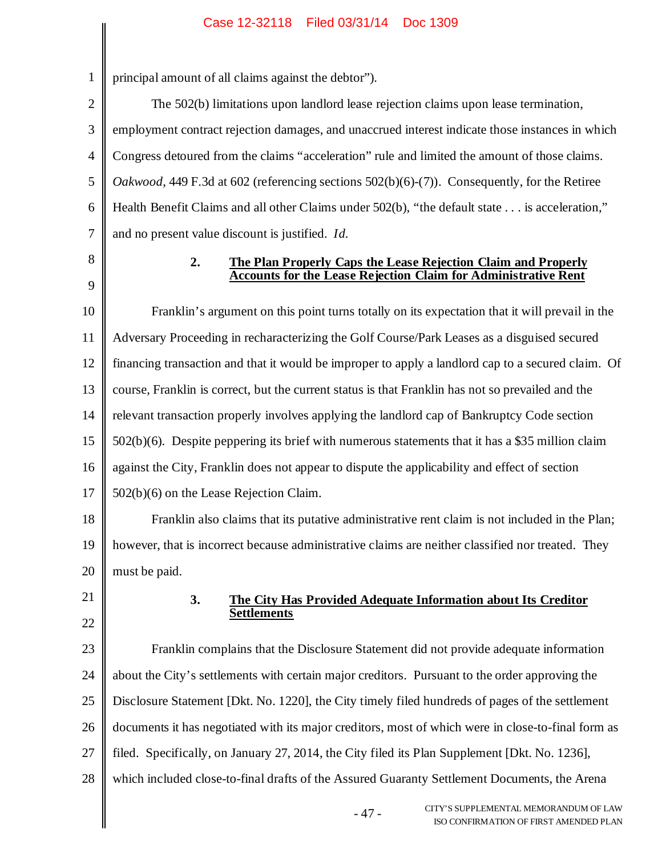| 3               |
|-----------------|
| 4               |
| 5               |
| 6               |
| $\overline{7}$  |
| 8               |
| $\overline{9}$  |
| 10              |
| 11              |
| 12              |
| 13              |
| 14              |
| 15              |
| 16              |
| 17              |
| 18              |
| 19              |
| 20              |
| $\overline{21}$ |
| $\overline{22}$ |

1

2

# principal amount of all claims against the debtor").

The 502(b) limitations upon landlord lease rejection claims upon lease termination, employment contract rejection damages, and unaccrued interest indicate those instances in which Congress detoured from the claims "acceleration" rule and limited the amount of those claims. *Oakwood*, 449 F.3d at 602 (referencing sections 502(b)(6)-(7)). Consequently, for the Retiree Health Benefit Claims and all other Claims under 502(b), "the default state . . . is acceleration," and no present value discount is justified. *Id.*

### **2. The Plan Properly Caps the Lease Rejection Claim and Properly Accounts for the Lease Rejection Claim for Administrative Rent**

Franklin's argument on this point turns totally on its expectation that it will prevail in the Adversary Proceeding in recharacterizing the Golf Course/Park Leases as a disguised secured financing transaction and that it would be improper to apply a landlord cap to a secured claim. Of course, Franklin is correct, but the current status is that Franklin has not so prevailed and the relevant transaction properly involves applying the landlord cap of Bankruptcy Code section 502(b)(6). Despite peppering its brief with numerous statements that it has a \$35 million claim against the City, Franklin does not appear to dispute the applicability and effect of section 502(b)(6) on the Lease Rejection Claim.

Franklin also claims that its putative administrative rent claim is not included in the Plan; however, that is incorrect because administrative claims are neither classified nor treated. They must be paid.

> **3. The City Has Provided Adequate Information about Its Creditor Settlements**

23 24 25 26 27 28 Franklin complains that the Disclosure Statement did not provide adequate information about the City's settlements with certain major creditors. Pursuant to the order approving the Disclosure Statement [Dkt. No. 1220], the City timely filed hundreds of pages of the settlement documents it has negotiated with its major creditors, most of which were in close-to-final form as filed. Specifically, on January 27, 2014, the City filed its Plan Supplement [Dkt. No. 1236], which included close-to-final drafts of the Assured Guaranty Settlement Documents, the Arena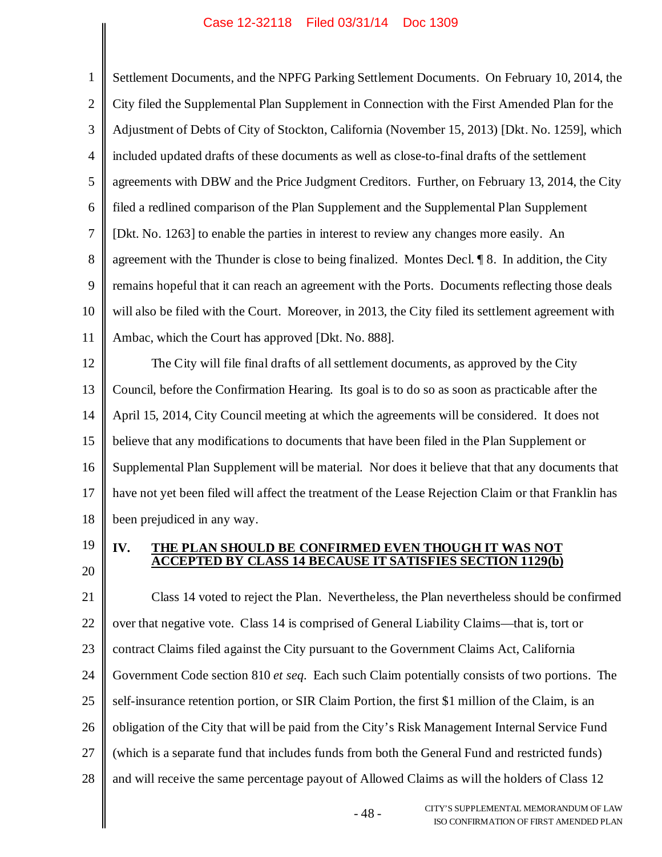1 2 3 4 5 6 7 8 9 10 11 12 Settlement Documents, and the NPFG Parking Settlement Documents. On February 10, 2014, the City filed the Supplemental Plan Supplement in Connection with the First Amended Plan for the Adjustment of Debts of City of Stockton, California (November 15, 2013) [Dkt. No. 1259], which included updated drafts of these documents as well as close-to-final drafts of the settlement agreements with DBW and the Price Judgment Creditors. Further, on February 13, 2014, the City filed a redlined comparison of the Plan Supplement and the Supplemental Plan Supplement [Dkt. No. 1263] to enable the parties in interest to review any changes more easily. An agreement with the Thunder is close to being finalized. Montes Decl. ¶ 8. In addition, the City remains hopeful that it can reach an agreement with the Ports. Documents reflecting those deals will also be filed with the Court. Moreover, in 2013, the City filed its settlement agreement with Ambac, which the Court has approved [Dkt. No. 888]. The City will file final drafts of all settlement documents, as approved by the City

13 14 15 16 17 18 Council, before the Confirmation Hearing. Its goal is to do so as soon as practicable after the April 15, 2014, City Council meeting at which the agreements will be considered. It does not believe that any modifications to documents that have been filed in the Plan Supplement or Supplemental Plan Supplement will be material. Nor does it believe that that any documents that have not yet been filed will affect the treatment of the Lease Rejection Claim or that Franklin has been prejudiced in any way.

19 20

### **IV. THE PLAN SHOULD BE CONFIRMED EVEN THOUGH IT WAS NOT ACCEPTED BY CLASS 14 BECAUSE IT SATISFIES SECTION 1129(b)**

21 22 23 24 25 26 27 28 Class 14 voted to reject the Plan. Nevertheless, the Plan nevertheless should be confirmed over that negative vote. Class 14 is comprised of General Liability Claims—that is, tort or contract Claims filed against the City pursuant to the Government Claims Act, California Government Code section 810 *et seq.* Each such Claim potentially consists of two portions. The self-insurance retention portion, or SIR Claim Portion, the first \$1 million of the Claim, is an obligation of the City that will be paid from the City's Risk Management Internal Service Fund (which is a separate fund that includes funds from both the General Fund and restricted funds) and will receive the same percentage payout of Allowed Claims as will the holders of Class 12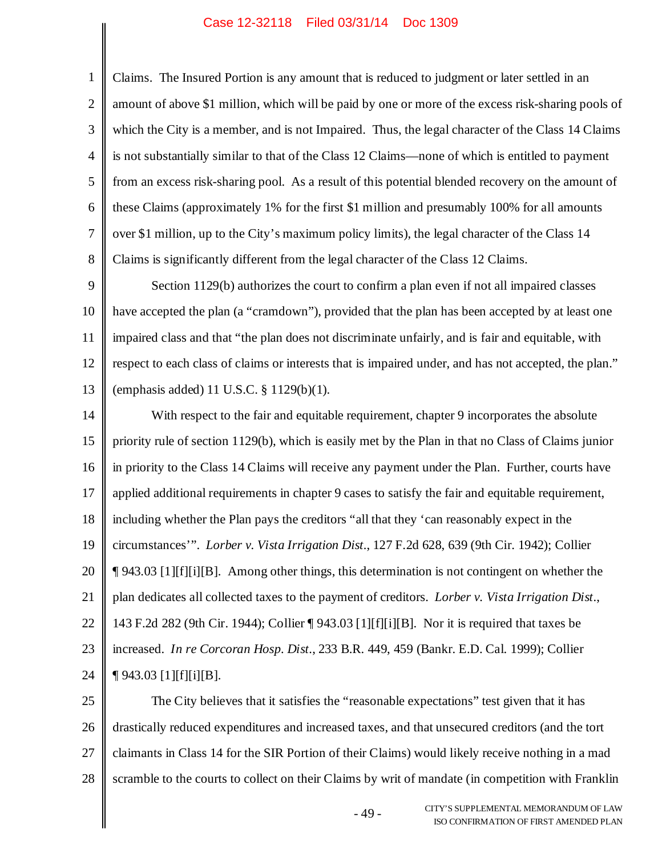1 2 3 4 5 6 7 8 Claims. The Insured Portion is any amount that is reduced to judgment or later settled in an amount of above \$1 million, which will be paid by one or more of the excess risk-sharing pools of which the City is a member, and is not Impaired. Thus, the legal character of the Class 14 Claims is not substantially similar to that of the Class 12 Claims—none of which is entitled to payment from an excess risk-sharing pool. As a result of this potential blended recovery on the amount of these Claims (approximately 1% for the first \$1 million and presumably 100% for all amounts over \$1 million, up to the City's maximum policy limits), the legal character of the Class 14 Claims is significantly different from the legal character of the Class 12 Claims.

9 10 11 12 13 Section 1129(b) authorizes the court to confirm a plan even if not all impaired classes have accepted the plan (a "cramdown"), provided that the plan has been accepted by at least one impaired class and that "the plan does not discriminate unfairly, and is fair and equitable, with respect to each class of claims or interests that is impaired under, and has not accepted, the plan." (emphasis added) 11 U.S.C. § 1129(b)(1).

14 15 16 17 18 19 20 21 22 23 24 With respect to the fair and equitable requirement, chapter 9 incorporates the absolute priority rule of section 1129(b), which is easily met by the Plan in that no Class of Claims junior in priority to the Class 14 Claims will receive any payment under the Plan. Further, courts have applied additional requirements in chapter 9 cases to satisfy the fair and equitable requirement, including whether the Plan pays the creditors "all that they 'can reasonably expect in the circumstances'". *Lorber v. Vista Irrigation Dist.*, 127 F.2d 628, 639 (9th Cir. 1942); Collier ¶ 943.03 [1][f][i][B]. Among other things, this determination is not contingent on whether the plan dedicates all collected taxes to the payment of creditors. *Lorber v. Vista Irrigation Dist.*, 143 F.2d 282 (9th Cir. 1944); Collier ¶ 943.03 [1][f][i][B]. Nor it is required that taxes be increased. *In re Corcoran Hosp. Dist.*, 233 B.R. 449, 459 (Bankr. E.D. Cal. 1999); Collier  $\P$  943.03 [1][f][i][B].

25 26 27 28 The City believes that it satisfies the "reasonable expectations" test given that it has drastically reduced expenditures and increased taxes, and that unsecured creditors (and the tort claimants in Class 14 for the SIR Portion of their Claims) would likely receive nothing in a mad scramble to the courts to collect on their Claims by writ of mandate (in competition with Franklin